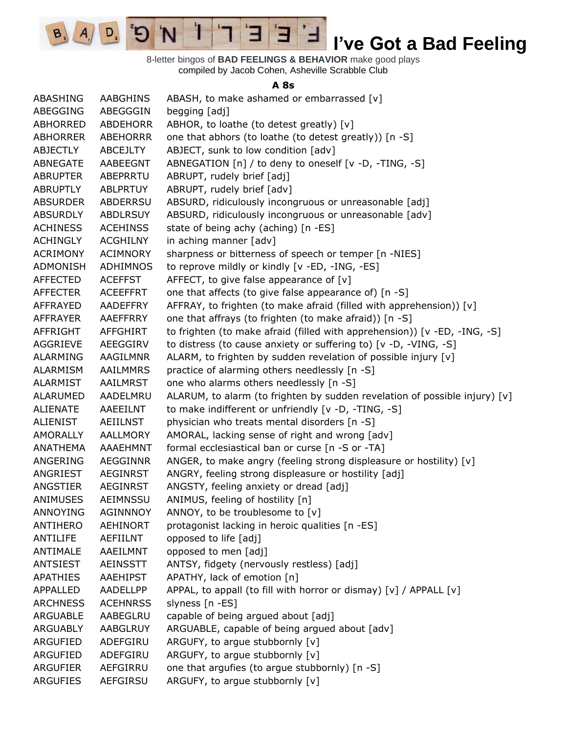

8-letter bingos of **BAD FEELINGS & BEHAVIOR** make good plays compiled by Jacob Cohen, Asheville Scrabble Club

#### **A 8s**

| ABASHING        | AABGHINS        | ABASH, to make ashamed or embarrassed [v]                                  |
|-----------------|-----------------|----------------------------------------------------------------------------|
| ABEGGING        | ABEGGGIN        | begging [adj]                                                              |
| <b>ABHORRED</b> | <b>ABDEHORR</b> | ABHOR, to loathe (to detest greatly) [v]                                   |
| ABHORRER        | <b>ABEHORRR</b> | one that abhors (to loathe (to detest greatly)) [n -S]                     |
| ABJECTLY        | ABCEJLTY        | ABJECT, sunk to low condition [adv]                                        |
| ABNEGATE        | AABEEGNT        | ABNEGATION [n] / to deny to oneself [v -D, -TING, -S]                      |
| <b>ABRUPTER</b> | ABEPRRTU        | ABRUPT, rudely brief [adj]                                                 |
| <b>ABRUPTLY</b> | <b>ABLPRTUY</b> | ABRUPT, rudely brief [adv]                                                 |
| <b>ABSURDER</b> | <b>ABDERRSU</b> | ABSURD, ridiculously incongruous or unreasonable [adj]                     |
| <b>ABSURDLY</b> | <b>ABDLRSUY</b> | ABSURD, ridiculously incongruous or unreasonable [adv]                     |
| <b>ACHINESS</b> | <b>ACEHINSS</b> | state of being achy (aching) [n -ES]                                       |
| <b>ACHINGLY</b> | <b>ACGHILNY</b> | in aching manner [adv]                                                     |
| <b>ACRIMONY</b> | <b>ACIMNORY</b> | sharpness or bitterness of speech or temper [n -NIES]                      |
| ADMONISH        | <b>ADHIMNOS</b> | to reprove mildly or kindly [v -ED, -ING, -ES]                             |
| <b>AFFECTED</b> | <b>ACEFFST</b>  | AFFECT, to give false appearance of $[v]$                                  |
| <b>AFFECTER</b> | <b>ACEEFFRT</b> | one that affects (to give false appearance of) [n -S]                      |
| AFFRAYED        | AADEFFRY        | AFFRAY, to frighten (to make afraid (filled with apprehension)) [v]        |
| AFFRAYER        | AAEFFRRY        | one that affrays (to frighten (to make afraid)) [n -S]                     |
| <b>AFFRIGHT</b> | AFFGHIRT        | to frighten (to make afraid (filled with apprehension)) [v -ED, -ING, -S]  |
| <b>AGGRIEVE</b> | AEEGGIRV        | to distress (to cause anxiety or suffering to) [v -D, -VING, -S]           |
| <b>ALARMING</b> | AAGILMNR        | ALARM, to frighten by sudden revelation of possible injury [v]             |
| ALARMISM        | AAILMMRS        | practice of alarming others needlessly [n -S]                              |
| <b>ALARMIST</b> | AAILMRST        | one who alarms others needlessly [n -S]                                    |
| <b>ALARUMED</b> | AADELMRU        | ALARUM, to alarm (to frighten by sudden revelation of possible injury) [v] |
| ALIENATE        | AAEEILNT        | to make indifferent or unfriendly [v -D, -TING, -S]                        |
| <b>ALIENIST</b> | <b>AEIILNST</b> | physician who treats mental disorders [n -S]                               |
| <b>AMORALLY</b> | AALLMORY        | AMORAL, lacking sense of right and wrong [adv]                             |
| <b>ANATHEMA</b> | AAAEHMNT        | formal ecclesiastical ban or curse [n -S or -TA]                           |
| ANGERING        | <b>AEGGINNR</b> | ANGER, to make angry (feeling strong displeasure or hostility) [v]         |
| ANGRIEST        | AEGINRST        | ANGRY, feeling strong displeasure or hostility [adj]                       |
| ANGSTIER        | AEGINRST        | ANGSTY, feeling anxiety or dread [adj]                                     |
| ANIMUSES        | AEIMNSSU        | ANIMUS, feeling of hostility [n]                                           |
| <b>ANNOYING</b> | <b>AGINNNOY</b> | ANNOY, to be troublesome to $[v]$                                          |
| ANTIHERO        | AEHINORT        | protagonist lacking in heroic qualities [n -ES]                            |
| <b>ANTILIFE</b> | AEFIILNT        | opposed to life [adj]                                                      |
| ANTIMALE        | AAEILMNT        | opposed to men [adj]                                                       |
| <b>ANTSIEST</b> | <b>AEINSSTT</b> | ANTSY, fidgety (nervously restless) [adj]                                  |
| <b>APATHIES</b> | AAEHIPST        | APATHY, lack of emotion [n]                                                |
| APPALLED        | AADELLPP        | APPAL, to appall (to fill with horror or dismay) [v] / APPALL [v]          |
| <b>ARCHNESS</b> | <b>ACEHNRSS</b> | slyness [n -ES]                                                            |
| ARGUABLE        | AABEGLRU        | capable of being argued about [adj]                                        |
| <b>ARGUABLY</b> | AABGLRUY        | ARGUABLE, capable of being argued about [adv]                              |
| ARGUFIED        | ADEFGIRU        | ARGUFY, to argue stubbornly [v]                                            |
| ARGUFIED        | ADEFGIRU        | ARGUFY, to argue stubbornly [v]                                            |
| <b>ARGUFIER</b> | AEFGIRRU        | one that argufies (to argue stubbornly) [n -S]                             |
| <b>ARGUFIES</b> | AEFGIRSU        | ARGUFY, to argue stubbornly [v]                                            |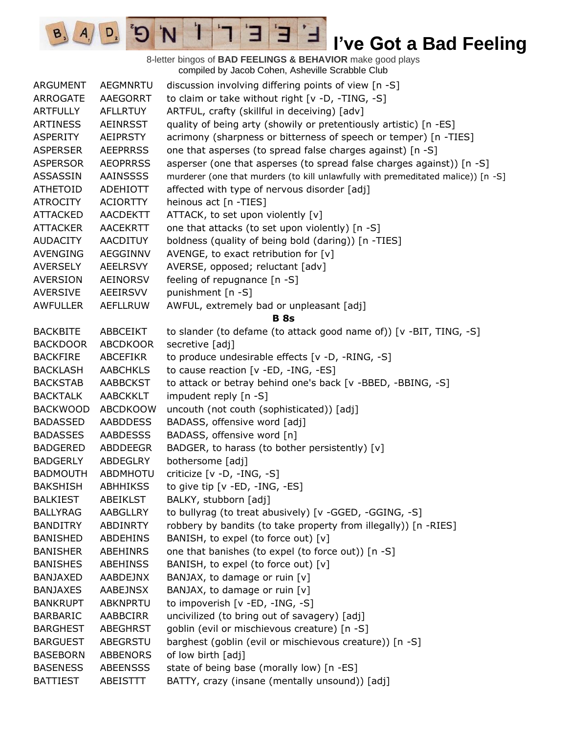

8-letter bingos of **BAD FEELINGS & BEHAVIOR** make good plays compiled by Jacob Cohen, Asheville Scrabble Club ARGUMENT AEGMNRTU discussion involving differing points of view [n -S] ARROGATE AAEGORRT to claim or take without right [v -D, -TING, -S] ARTFULLY AFLLRTUY ARTFUL, crafty (skillful in deceiving) [adv] ARTINESS AEINRSST quality of being arty (showily or pretentiously artistic) [n -ES] ASPERITY AEIPRSTY acrimony (sharpness or bitterness of speech or temper) [n -TIES] ASPERSER AEEPRRSS one that asperses (to spread false charges against) [n -S] ASPERSOR AEOPRRSS asperser (one that asperses (to spread false charges against)) [n -S] ASSASSIN AAINSSSS murderer (one that murders (to kill unlawfully with premeditated malice)) [n -S] ATHETOID ADEHIOTT affected with type of nervous disorder [adj] ATROCITY ACIORTTY heinous act [n -TIES] ATTACKED AACDEKTT ATTACK, to set upon violently [v] ATTACKER AACEKRTT one that attacks (to set upon violently) [n -S] AUDACITY AACDITUY boldness (quality of being bold (daring)) [n -TIES] AVENGING AEGGINNV AVENGE, to exact retribution for [v] AVERSELY AEELRSVY AVERSE, opposed; reluctant [adv] AVERSION AEINORSV feeling of repugnance [n -S] AVERSIVE AEEIRSVV punishment [n -S] AWFULLER AEFLLRUW AWFUL, extremely bad or unpleasant [adj] **B 8s** BACKBITE ABBCEIKT to slander (to defame (to attack good name of)) [v -BIT, TING, -S] BACKDOOR ABCDKOOR secretive [adj] BACKFIRE ABCEFIKR to produce undesirable effects [v -D, -RING, -S] BACKLASH AABCHKLS to cause reaction [v -ED, -ING, -ES] BACKSTAB AABBCKST to attack or betray behind one's back [v -BBED, -BBING, -S] BACKTALK AABCKKLT impudent reply [n -S] BACKWOOD ABCDKOOW uncouth (not couth (sophisticated)) [adj] BADASSED AABDDESS BADASS, offensive word [adj] BADASSES AABDESSS BADASS, offensive word [n] BADGERED ABDDEEGR BADGER, to harass (to bother persistently) [v] BADGERLY ABDEGLRY bothersome [adj] BADMOUTH ABDMHOTU criticize [v -D, -ING, -S] BAKSHISH ABHHIKSS to give tip [v -ED, -ING, -ES] BALKIEST ABEIKLST BALKY, stubborn [adj] BALLYRAG AABGLLRY to bullyrag (to treat abusively) [v -GGED, -GGING, -S] BANDITRY ABDINRTY robbery by bandits (to take property from illegally)) [n -RIES] BANISHED ABDEHINS BANISH, to expel (to force out) [v] BANISHER ABEHINRS one that banishes (to expel (to force out)) [n -S] BANISHES ABEHINSS BANISH, to expel (to force out) [v] BANJAXED AABDEJNX BANJAX, to damage or ruin [v] BANJAXES AABEJNSX BANJAX, to damage or ruin [v] BANKRUPT ABKNPRTU to impoverish [v -ED, -ING, -S] BARBARIC AABBCIRR uncivilized (to bring out of savagery) [adj] BARGHEST ABEGHRST goblin (evil or mischievous creature) [n -S] BARGUEST ABEGRSTU barghest (goblin (evil or mischievous creature)) [n -S] BASEBORN ABBENORS of low birth [adj] BASENESS ABEENSSS state of being base (morally low) [n -ES] BATTIEST ABEISTTT BATTY, crazy (insane (mentally unsound)) [adj]

 $A \mid D$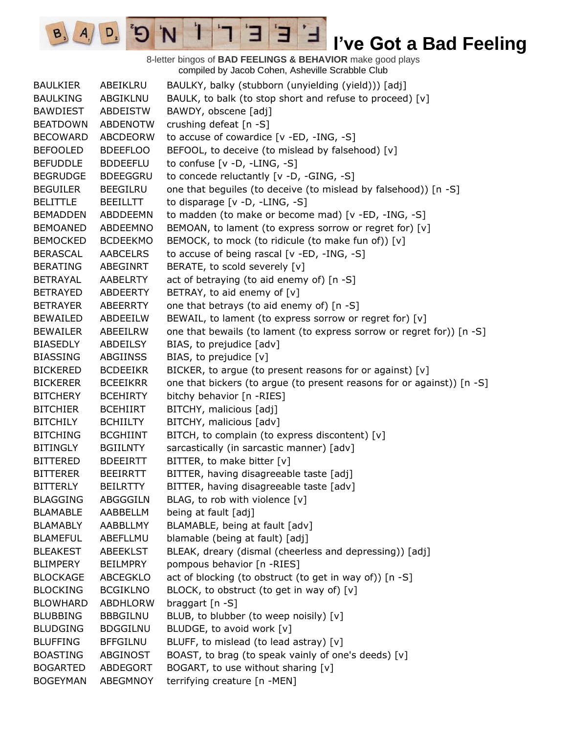8-letter bingos of **BAD FEELINGS & BEHAVIOR** make good plays compiled by Jacob Cohen, Asheville Scrabble Club BAULKIER ABEIKLRU BAULKY, balky (stubborn (unyielding (yield))) [adj] BAULKING ABGIKLNU BAULK, to balk (to stop short and refuse to proceed) [v] BAWDIEST ABDEISTW BAWDY, obscene [adj] BEATDOWN ABDENOTW crushing defeat [n -S] BECOWARD ABCDEORW to accuse of cowardice [v -ED, -ING, -S] BEFOOLED BDEEFLOO BEFOOL, to deceive (to mislead by falsehood) [v] BEFUDDLE BDDEEFLU to confuse [v -D, -LING, -S] BEGRUDGE BDEEGGRU to concede reluctantly [v -D, -GING, -S] BEGUILER BEEGILRU one that beguiles (to deceive (to mislead by falsehood)) [n -S] BELITTLE BEEILLTT to disparage [v -D, -LING, -S] BEMADDEN ABDDEEMN to madden (to make or become mad) [v -ED, -ING, -S] BEMOANED ABDEEMNO BEMOAN, to lament (to express sorrow or regret for) [v] BEMOCKED BCDEEKMO BEMOCK, to mock (to ridicule (to make fun of)) [v] BERASCAL AABCELRS to accuse of being rascal [v -ED, -ING, -S] BERATING ABEGINRT BERATE, to scold severely [v] BETRAYAL AABELRTY act of betraying (to aid enemy of) [n -S] BETRAYED ABDEERTY BETRAY, to aid enemy of [v] BETRAYER ABEERRTY one that betrays (to aid enemy of) [n -S] BEWAILED ABDEEILW BEWAIL, to lament (to express sorrow or regret for) [v] BEWAILER ABEEILRW one that bewails (to lament (to express sorrow or regret for)) [n -S] BIASEDLY ABDEILSY BIAS, to prejudice [adv] BIASSING ABGIINSS BIAS, to prejudice [v] BICKERED BCDEEIKR BICKER, to argue (to present reasons for or against) [v] BICKERER BCEEIKRR one that bickers (to arque (to present reasons for or against)) [n -S] BITCHERY BCEHIRTY bitchy behavior [n -RIES] BITCHIER BCEHIIRT BITCHY, malicious [adj] BITCHILY BCHIILTY BITCHY, malicious [adv] BITCHING BCGHIINT BITCH, to complain (to express discontent) [v] BITINGLY BGIILNTY sarcastically (in sarcastic manner) [adv] BITTERED BDEEIRTT BITTER, to make bitter [v] BITTERER BEEIRRTT BITTER, having disagreeable taste [adj] BITTERLY BEILRTTY BITTER, having disagreeable taste [adv] BLAGGING ABGGGILN BLAG, to rob with violence [v] BLAMABLE AABBELLM being at fault [adj] BLAMABLY AABBLLMY BLAMABLE, being at fault [adv] BLAMEFUL ABEFLLMU blamable (being at fault) [adj] BLEAKEST ABEEKLST BLEAK, dreary (dismal (cheerless and depressing)) [adj] BLIMPERY BEILMPRY pompous behavior [n -RIES] BLOCKAGE ABCEGKLO act of blocking (to obstruct (to get in way of)) [n -S] BLOCKING BCGIKLNO BLOCK, to obstruct (to get in way of) [v] BLOWHARD ABDHLORW braggart [n -S] BLUBBING BBBGILNU BLUB, to blubber (to weep noisily) [v] BLUDGING BDGGILNU BLUDGE, to avoid work [v] BLUFFING BFFGILNU BLUFF, to mislead (to lead astray) [v] BOASTING ABGINOST BOAST, to brag (to speak vainly of one's deeds)  $[v]$ BOGARTED ABDEGORT BOGART, to use without sharing [v] BOGEYMAN ABEGMNOY terrifying creature [n -MEN]

E

 $A \mid D$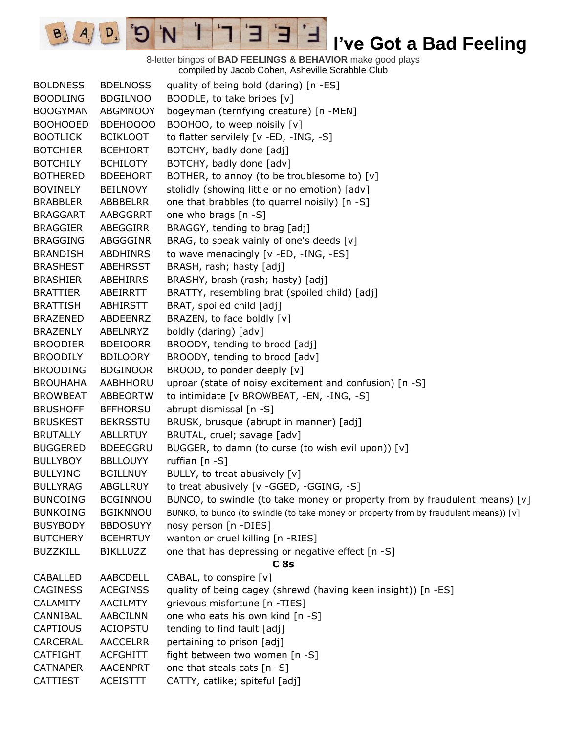8-letter bingos of **BAD FEELINGS & BEHAVIOR** make good plays compiled by Jacob Cohen, Asheville Scrabble Club

E

Ί

N

 $B_3$ 

 $A_{.}$ 

 $D_{2}$ 

Э

| <b>BOLDNESS</b> | <b>BDELNOSS</b> | quality of being bold (daring) [n -ES]                                                |
|-----------------|-----------------|---------------------------------------------------------------------------------------|
| <b>BOODLING</b> | <b>BDGILNOO</b> | BOODLE, to take bribes [v]                                                            |
| <b>BOOGYMAN</b> | ABGMNOOY        | bogeyman (terrifying creature) [n -MEN]                                               |
| <b>BOOHOOED</b> | BDEHOOOO        | BOOHOO, to weep noisily [v]                                                           |
| <b>BOOTLICK</b> | <b>BCIKLOOT</b> | to flatter servilely [v -ED, -ING, -S]                                                |
| <b>BOTCHIER</b> | <b>BCEHIORT</b> | BOTCHY, badly done [adj]                                                              |
| <b>BOTCHILY</b> | <b>BCHILOTY</b> | BOTCHY, badly done [adv]                                                              |
| <b>BOTHERED</b> | <b>BDEEHORT</b> | BOTHER, to annoy (to be troublesome to) [v]                                           |
| <b>BOVINELY</b> | <b>BEILNOVY</b> | stolidly (showing little or no emotion) [adv]                                         |
| <b>BRABBLER</b> | ABBBELRR        | one that brabbles (to quarrel noisily) [n -S]                                         |
| <b>BRAGGART</b> | AABGGRRT        | one who brags [n -S]                                                                  |
| <b>BRAGGIER</b> | ABEGGIRR        | BRAGGY, tending to brag [adj]                                                         |
| <b>BRAGGING</b> | ABGGGINR        | BRAG, to speak vainly of one's deeds [v]                                              |
| <b>BRANDISH</b> | <b>ABDHINRS</b> | to wave menacingly [v -ED, -ING, -ES]                                                 |
| <b>BRASHEST</b> | <b>ABEHRSST</b> | BRASH, rash; hasty [adj]                                                              |
| <b>BRASHIER</b> | ABEHIRRS        | BRASHY, brash (rash; hasty) [adj]                                                     |
| <b>BRATTIER</b> | ABEIRRTT        | BRATTY, resembling brat (spoiled child) [adj]                                         |
| <b>BRATTISH</b> | ABHIRSTT        | BRAT, spoiled child [adj]                                                             |
| <b>BRAZENED</b> | ABDEENRZ        | BRAZEN, to face boldly [v]                                                            |
| <b>BRAZENLY</b> | ABELNRYZ        | boldly (daring) [adv]                                                                 |
| <b>BROODIER</b> | <b>BDEIOORR</b> | BROODY, tending to brood [adj]                                                        |
| <b>BROODILY</b> | <b>BDILOORY</b> | BROODY, tending to brood [adv]                                                        |
| <b>BROODING</b> | <b>BDGINOOR</b> | BROOD, to ponder deeply [v]                                                           |
| <b>BROUHAHA</b> | AABHHORU        | uproar (state of noisy excitement and confusion) [n -S]                               |
| <b>BROWBEAT</b> | <b>ABBEORTW</b> | to intimidate [v BROWBEAT, -EN, -ING, -S]                                             |
| <b>BRUSHOFF</b> | <b>BFFHORSU</b> | abrupt dismissal [n -S]                                                               |
| <b>BRUSKEST</b> | <b>BEKRSSTU</b> | BRUSK, brusque (abrupt in manner) [adj]                                               |
| <b>BRUTALLY</b> | <b>ABLLRTUY</b> | BRUTAL, cruel; savage [adv]                                                           |
| <b>BUGGERED</b> | <b>BDEEGGRU</b> | BUGGER, to damn (to curse (to wish evil upon)) [v]                                    |
| <b>BULLYBOY</b> | <b>BBLLOUYY</b> | ruffian $[n -S]$                                                                      |
| <b>BULLYING</b> | <b>BGILLNUY</b> | BULLY, to treat abusively [v]                                                         |
| <b>BULLYRAG</b> | <b>ABGLLRUY</b> | to treat abusively [v -GGED, -GGING, -S]                                              |
| <b>BUNCOING</b> | <b>BCGINNOU</b> | BUNCO, to swindle (to take money or property from by fraudulent means) [v]            |
| <b>BUNKOING</b> | <b>BGIKNNOU</b> | BUNKO, to bunco (to swindle (to take money or property from by fraudulent means)) [v] |
| <b>BUSYBODY</b> | <b>BBDOSUYY</b> | nosy person [n -DIES]                                                                 |
| <b>BUTCHERY</b> | <b>BCEHRTUY</b> | wanton or cruel killing [n -RIES]                                                     |
| <b>BUZZKILL</b> | <b>BIKLLUZZ</b> | one that has depressing or negative effect [n -S]                                     |
|                 |                 | C <sub>8s</sub>                                                                       |
| CABALLED        | AABCDELL        | CABAL, to conspire [v]                                                                |
| <b>CAGINESS</b> | <b>ACEGINSS</b> | quality of being cagey (shrewd (having keen insight)) [n -ES]                         |
| <b>CALAMITY</b> | <b>AACILMTY</b> | grievous misfortune [n -TIES]                                                         |
| CANNIBAL        | <b>AABCILNN</b> | one who eats his own kind [n -S]                                                      |
| <b>CAPTIOUS</b> | <b>ACIOPSTU</b> | tending to find fault [adj]                                                           |
| CARCERAL        | <b>AACCELRR</b> | pertaining to prison [adj]                                                            |
| <b>CATFIGHT</b> | <b>ACFGHITT</b> | fight between two women [n -S]                                                        |
| <b>CATNAPER</b> | <b>AACENPRT</b> | one that steals cats [n -S]                                                           |
| CATTIEST        | <b>ACEISTTT</b> | CATTY, catlike; spiteful [adj]                                                        |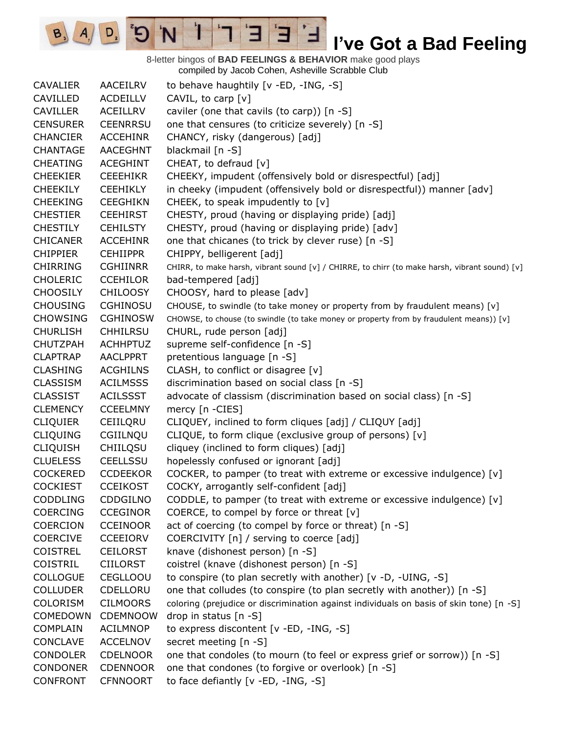8-letter bingos of **BAD FEELINGS & BEHAVIOR** make good plays compiled by Jacob Cohen, Asheville Scrabble Club

Е

 $A \cap D$   $B \cap D$ 

CAVALIER AACEILRV to behave haughtily [v -ED, -ING, -S] CAVILLED ACDEILLV CAVIL, to carp [v] CAVILLER ACEILLRV caviler (one that cavils (to carp)) [n -S] CENSURER CEENRRSU one that censures (to criticize severely) [n -S] CHANCIER ACCEHINR CHANCY, risky (dangerous) [adj] CHANTAGE AACEGHNT blackmail [n -S] CHEATING ACEGHINT CHEAT, to defraud [v] CHEEKIER CEEEHIKR CHEEKY, impudent (offensively bold or disrespectful) [adj] CHEEKILY CEEHIKLY in cheeky (impudent (offensively bold or disrespectful)) manner [adv] CHEEKING CEEGHIKN CHEEK, to speak impudently to [v] CHESTIER CEEHIRST CHESTY, proud (having or displaying pride) [adj] CHESTILY CEHILSTY CHESTY, proud (having or displaying pride) [adv] CHICANER ACCEHINR one that chicanes (to trick by clever ruse) [n -S] CHIPPIER CEHIIPPR CHIPPY, belligerent [adj] CHIRRING CGHIINRR CHIRR, to make harsh, vibrant sound [v] / CHIRRE, to chirr (to make harsh, vibrant sound) [v] CHOLERIC CCEHILOR bad-tempered [adj] CHOOSILY CHILOOSY CHOOSY, hard to please [adv] CHOUSING CGHINOSU CHOUSE, to swindle (to take money or property from by fraudulent means) [v] CHOWSING CGHINOSW CHOWSE, to chouse (to swindle (to take money or property from by fraudulent means)) [v] CHURLISH CHHILRSU CHURL, rude person [adj] CHUTZPAH ACHHPTUZ supreme self-confidence [n -S] CLAPTRAP AACLPPRT pretentious language [n -S] CLASHING ACGHILNS CLASH, to conflict or disagree [v] CLASSISM ACILMSSS discrimination based on social class [n -S] CLASSIST ACILSSST advocate of classism (discrimination based on social class) [n -S] CLEMENCY CCEELMNY mercy [n -CIES] CLIQUIER CEIILQRU CLIQUEY, inclined to form cliques [adj] / CLIQUY [adj] CLIQUING CGIILNQU CLIQUE, to form clique (exclusive group of persons) [v] CLIQUISH CHIILQSU cliquey (inclined to form cliques) [adj] CLUELESS CEELLSSU hopelessly confused or ignorant [adj] COCKERED CCDEEKOR COCKER, to pamper (to treat with extreme or excessive indulgence)  $[v]$ COCKIEST CCEIKOST COCKY, arrogantly self-confident [adj] CODDLING CDDGILNO CODDLE, to pamper (to treat with extreme or excessive indulgence)  $[v]$ COERCING CCEGINOR COERCE, to compel by force or threat [v] COERCION CCEINOOR act of coercing (to compel by force or threat) [n -S] COERCIVE CCEEIORV COERCIVITY [n] / serving to coerce [adj] COISTREL CEILORST knave (dishonest person) [n -S] COISTRIL CIILORST coistrel (knave (dishonest person) [n -S] COLLOGUE CEGLLOOU to conspire (to plan secretly with another) [v -D, -UING, -S] COLLUDER CDELLORU one that colludes (to conspire (to plan secretly with another)) [n -S] COLORISM CILMOORS coloring (prejudice or discrimination against individuals on basis of skin tone) [n -S] COMEDOWN CDEMNOOW drop in status [n -S] COMPLAIN ACILMNOP to express discontent [v -ED, -ING, -S] CONCLAVE ACCELNOV secret meeting [n -S] CONDOLER CDELNOOR one that condoles (to mourn (to feel or express grief or sorrow)) [n -S] CONDONER CDENNOOR one that condones (to forgive or overlook) [n -S] CONFRONT CFNNOORT to face defiantly [v -ED, -ING, -S]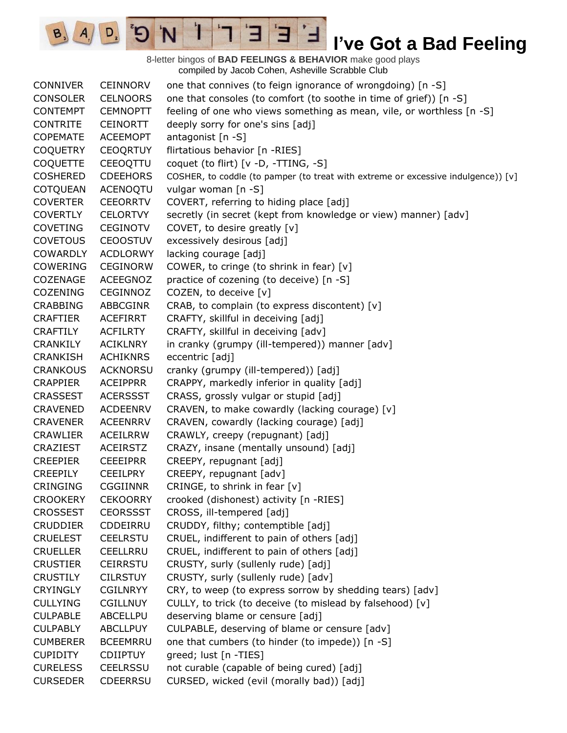8-letter bingos of **BAD FEELINGS & BEHAVIOR** make good plays compiled by Jacob Cohen, Asheville Scrabble Club

E

3

 $\mathbf{I}$ 

'N

 $B_3$ 

 $A_{1}$ 

 $D_{2}$ 

| <b>CONNIVER</b> | <b>CEINNORV</b> | one that connives (to feign ignorance of wrongdoing) [n -S]                       |
|-----------------|-----------------|-----------------------------------------------------------------------------------|
| <b>CONSOLER</b> | <b>CELNOORS</b> | one that consoles (to comfort (to soothe in time of grief)) [n -S]                |
| <b>CONTEMPT</b> | <b>CEMNOPTT</b> | feeling of one who views something as mean, vile, or worthless [n -S]             |
| <b>CONTRITE</b> | <b>CEINORTT</b> | deeply sorry for one's sins [adj]                                                 |
| <b>COPEMATE</b> | <b>ACEEMOPT</b> | antagonist [n -S]                                                                 |
| <b>COQUETRY</b> | <b>CEOQRTUY</b> | flirtatious behavior [n -RIES]                                                    |
| <b>COQUETTE</b> | CEEOQTTU        | coquet (to flirt) [v -D, -TTING, -S]                                              |
| <b>COSHERED</b> | <b>CDEEHORS</b> | COSHER, to coddle (to pamper (to treat with extreme or excessive indulgence)) [v] |
| <b>COTQUEAN</b> | <b>ACENOQTU</b> | vulgar woman [n -S]                                                               |
| <b>COVERTER</b> | <b>CEEORRTV</b> | COVERT, referring to hiding place [adj]                                           |
| <b>COVERTLY</b> | <b>CELORTVY</b> | secretly (in secret (kept from knowledge or view) manner) [adv]                   |
| <b>COVETING</b> | <b>CEGINOTV</b> | COVET, to desire greatly [v]                                                      |
| <b>COVETOUS</b> | <b>CEOOSTUV</b> | excessively desirous [adj]                                                        |
| <b>COWARDLY</b> | <b>ACDLORWY</b> | lacking courage [adj]                                                             |
| <b>COWERING</b> | <b>CEGINORW</b> | COWER, to cringe (to shrink in fear) [v]                                          |
| COZENAGE        | <b>ACEEGNOZ</b> | practice of cozening (to deceive) [n -S]                                          |
| <b>COZENING</b> | CEGINNOZ        | COZEN, to deceive [v]                                                             |
| <b>CRABBING</b> | ABBCGINR        | CRAB, to complain (to express discontent) [v]                                     |
| <b>CRAFTIER</b> | <b>ACEFIRRT</b> | CRAFTY, skillful in deceiving [adj]                                               |
| <b>CRAFTILY</b> | <b>ACFILRTY</b> | CRAFTY, skillful in deceiving [adv]                                               |
| <b>CRANKILY</b> | <b>ACIKLNRY</b> | in cranky (grumpy (ill-tempered)) manner [adv]                                    |
| <b>CRANKISH</b> | <b>ACHIKNRS</b> | eccentric [adj]                                                                   |
| <b>CRANKOUS</b> | <b>ACKNORSU</b> | cranky (grumpy (ill-tempered)) [adj]                                              |
| <b>CRAPPIER</b> | <b>ACEIPPRR</b> | CRAPPY, markedly inferior in quality [adj]                                        |
| <b>CRASSEST</b> | <b>ACERSSST</b> | CRASS, grossly vulgar or stupid [adj]                                             |
| <b>CRAVENED</b> | <b>ACDEENRV</b> | CRAVEN, to make cowardly (lacking courage) [v]                                    |
| <b>CRAVENER</b> | <b>ACEENRRV</b> | CRAVEN, cowardly (lacking courage) [adj]                                          |
| <b>CRAWLIER</b> | ACEILRRW        | CRAWLY, creepy (repugnant) [adj]                                                  |
| <b>CRAZIEST</b> | <b>ACEIRSTZ</b> | CRAZY, insane (mentally unsound) [adj]                                            |
| <b>CREEPIER</b> | <b>CEEEIPRR</b> | CREEPY, repugnant [adj]                                                           |
| <b>CREEPILY</b> | <b>CEEILPRY</b> | CREEPY, repugnant [adv]                                                           |
| <b>CRINGING</b> | <b>CGGIINNR</b> | CRINGE, to shrink in fear [v]                                                     |
| <b>CROOKERY</b> | <b>CEKOORRY</b> | crooked (dishonest) activity [n -RIES]                                            |
| <b>CROSSEST</b> | <b>CEORSSST</b> | CROSS, ill-tempered [adj]                                                         |
| <b>CRUDDIER</b> | CDDEIRRU        | CRUDDY, filthy; contemptible [adj]                                                |
| <b>CRUELEST</b> | <b>CEELRSTU</b> | CRUEL, indifferent to pain of others [adj]                                        |
| <b>CRUELLER</b> | <b>CEELLRRU</b> | CRUEL, indifferent to pain of others [adj]                                        |
| <b>CRUSTIER</b> | <b>CEIRRSTU</b> | CRUSTY, surly (sullenly rude) [adj]                                               |
| <b>CRUSTILY</b> | <b>CILRSTUY</b> | CRUSTY, surly (sullenly rude) [adv]                                               |
| <b>CRYINGLY</b> | <b>CGILNRYY</b> | CRY, to weep (to express sorrow by shedding tears) [adv]                          |
| <b>CULLYING</b> | <b>CGILLNUY</b> | CULLY, to trick (to deceive (to mislead by falsehood) [v]                         |
| <b>CULPABLE</b> | ABCELLPU        | deserving blame or censure [adj]                                                  |
| <b>CULPABLY</b> | <b>ABCLLPUY</b> | CULPABLE, deserving of blame or censure [adv]                                     |
| <b>CUMBERER</b> | <b>BCEEMRRU</b> | one that cumbers (to hinder (to impede)) [n -S]                                   |
| <b>CUPIDITY</b> | <b>CDIIPTUY</b> | greed; lust [n -TIES]                                                             |
| <b>CURELESS</b> | <b>CEELRSSU</b> | not curable (capable of being cured) [adj]                                        |
| <b>CURSEDER</b> | <b>CDEERRSU</b> | CURSED, wicked (evil (morally bad)) [adj]                                         |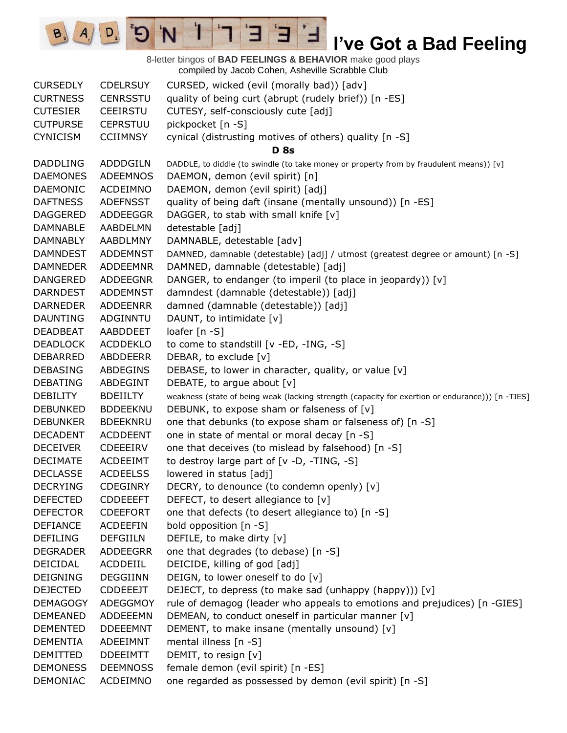8-letter bingos of **BAD FEELINGS & BEHAVIOR** make good plays compiled by Jacob Cohen, Asheville Scrabble Club CURSEDLY CDELRSUY CURSED, wicked (evil (morally bad)) [adv] CURTNESS CENRSSTU quality of being curt (abrupt (rudely brief)) [n -ES] CUTESIER CEEIRSTU CUTESY, self-consciously cute [adj] CUTPURSE CEPRSTUU pickpocket [n -S] CYNICISM CCIIMNSY cynical (distrusting motives of others) quality [n -S] **D 8s** DADDLING ADDDGILN DADDLE, to diddle (to swindle (to take money or property from by fraudulent means)) [v] DAEMONES ADEEMNOS DAEMON, demon (evil spirit) [n] DAEMONIC ACDEIMNO DAEMON, demon (evil spirit) [adj] DAFTNESS ADEFNSST quality of being daft (insane (mentally unsound)) [n -ES] DAGGERED ADDEEGGR DAGGER, to stab with small knife [v] DAMNABLE AABDELMN detestable [adj] DAMNABLY AABDLMNY DAMNABLE, detestable [adv] DAMNDEST ADDEMNST DAMNED, damnable (detestable) [adj] / utmost (greatest degree or amount) [n -S] DAMNEDER ADDEEMNR DAMNED, damnable (detestable) [adj] DANGERED ADDEEGNR DANGER, to endanger (to imperil (to place in jeopardy)) [v] DARNDEST ADDEMNST damndest (damnable (detestable)) [adj] DARNEDER ADDEENRR damned (damnable (detestable)) [adj] DAUNTING ADGINNTU DAUNT, to intimidate [v] DEADBEAT AABDDEET loafer [n -S] DEADLOCK ACDDEKLO to come to standstill [v -ED, -ING, -S] DEBARRED ABDDEERR DEBAR, to exclude [v] DEBASING ABDEGINS DEBASE, to lower in character, quality, or value [v] DEBATING ABDEGINT DEBATE, to argue about [v] DEBILITY BDEIILTY weakness (state of being weak (lacking strength (capacity for exertion or endurance))) [n -TIES] DEBUNKED BDDEEKNU DEBUNK, to expose sham or falseness of [v] DEBUNKER BDEEKNRU one that debunks (to expose sham or falseness of) [n -S] DECADENT ACDDEENT one in state of mental or moral decay [n -S] DECEIVER CDEEEIRV one that deceives (to mislead by falsehood) [n -S] DECIMATE ACDEEIMT to destroy large part of [v -D, -TING, -S] DECLASSE ACDEELSS lowered in status [adj] DECRYING CDEGINRY DECRY, to denounce (to condemn openly) [v] DEFECTED CDDEEEFT DEFECT, to desert allegiance to [v] DEFECTOR CDEEFORT one that defects (to desert allegiance to) [n -S] DEFIANCE ACDEEFIN bold opposition [n -S] DEFILING DEFGIILN DEFILE, to make dirty [v] DEGRADER ADDEEGRR one that degrades (to debase) [n -S] DEICIDAL ACDDEIIL DEICIDE, killing of god [adj] DEIGNING DEGGIINN DEIGN, to lower oneself to do [v] DEJECTED CDDEEEJT DEJECT, to depress (to make sad (unhappy (happy))) [v] DEMAGOGY ADEGGMOY rule of demagog (leader who appeals to emotions and prejudices) [n -GIES] DEMEANED ADDEEEMN DEMEAN, to conduct oneself in particular manner  $[v]$ DEMENTED DDEEEMNT DEMENT, to make insane (mentally unsound) [v] DEMENTIA ADEEIMNT mental illness [n -S] DEMITTED DDEEIMTT DEMIT, to resign [v] DEMONESS DEEMNOSS female demon (evil spirit) [n -ES] DEMONIAC ACDEIMNO one regarded as possessed by demon (evil spirit) [n -S]

E

 $A \mid D$   $^2D$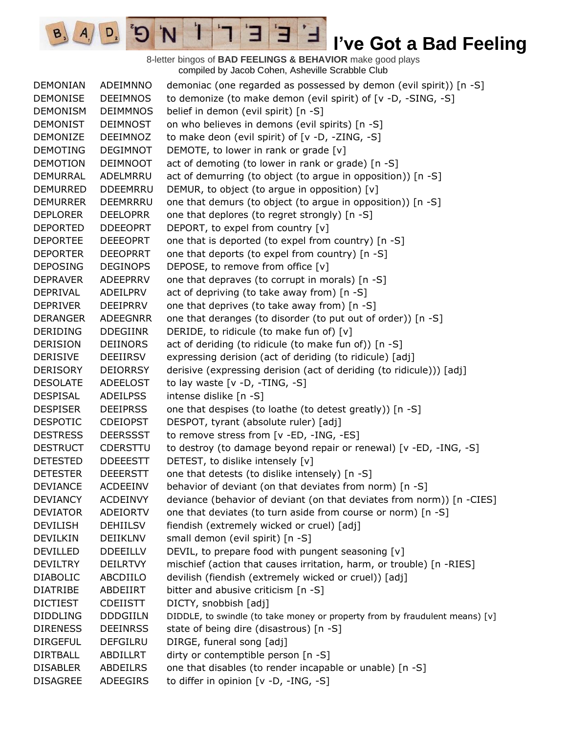8-letter bingos of **BAD FEELINGS & BEHAVIOR** make good plays compiled by Jacob Cohen, Asheville Scrabble Club

E

3

 $\mathbf{I}$ 

'N

 $B_3$ 

 $A_{1}$ 

 $D_{2}$ 

| <b>DEMONIAN</b> | ADEIMNNO        | demoniac (one regarded as possessed by demon (evil spirit)) [n -S]          |
|-----------------|-----------------|-----------------------------------------------------------------------------|
| <b>DEMONISE</b> | <b>DEEIMNOS</b> | to demonize (to make demon (evil spirit) of [v -D, -SING, -S]               |
| <b>DEMONISM</b> | <b>DEIMMNOS</b> | belief in demon (evil spirit) [n -S]                                        |
| <b>DEMONIST</b> | <b>DEIMNOST</b> | on who believes in demons (evil spirits) [n -S]                             |
| <b>DEMONIZE</b> | DEEIMNOZ        | to make deon (evil spirit) of [v -D, -ZING, -S]                             |
| <b>DEMOTING</b> | <b>DEGIMNOT</b> | DEMOTE, to lower in rank or grade [v]                                       |
| <b>DEMOTION</b> | <b>DEIMNOOT</b> | act of demoting (to lower in rank or grade) [n -S]                          |
| <b>DEMURRAL</b> | ADELMRRU        | act of demurring (to object (to argue in opposition)) [n -S]                |
| <b>DEMURRED</b> | <b>DDEEMRRU</b> | DEMUR, to object (to argue in opposition) [v]                               |
| <b>DEMURRER</b> | DEEMRRRU        | one that demurs (to object (to argue in opposition)) [n -S]                 |
| <b>DEPLORER</b> | <b>DEELOPRR</b> | one that deplores (to regret strongly) [n -S]                               |
| <b>DEPORTED</b> | <b>DDEEOPRT</b> | DEPORT, to expel from country [v]                                           |
| <b>DEPORTEE</b> | <b>DEEEOPRT</b> | one that is deported (to expel from country) [n -S]                         |
| <b>DEPORTER</b> | <b>DEEOPRRT</b> | one that deports (to expel from country) [n -S]                             |
| <b>DEPOSING</b> | <b>DEGINOPS</b> | DEPOSE, to remove from office [v]                                           |
| <b>DEPRAVER</b> | ADEEPRRV        | one that depraves (to corrupt in morals) [n -S]                             |
| <b>DEPRIVAL</b> | ADEILPRV        | act of depriving (to take away from) [n -S]                                 |
| <b>DEPRIVER</b> | <b>DEEIPRRV</b> | one that deprives (to take away from) [n -S]                                |
| <b>DERANGER</b> | <b>ADEEGNRR</b> | one that deranges (to disorder (to put out of order)) [n -S]                |
| <b>DERIDING</b> | <b>DDEGIINR</b> | DERIDE, to ridicule (to make fun of) [v]                                    |
| <b>DERISION</b> | DEIINORS        | act of deriding (to ridicule (to make fun of)) [n -S]                       |
| <b>DERISIVE</b> | DEEIIRSV        | expressing derision (act of deriding (to ridicule) [adj]                    |
| <b>DERISORY</b> | <b>DEIORRSY</b> | derisive (expressing derision (act of deriding (to ridicule))) [adj]        |
| <b>DESOLATE</b> | <b>ADEELOST</b> | to lay waste $[v -D, -TING, -S]$                                            |
| <b>DESPISAL</b> | <b>ADEILPSS</b> | intense dislike [n -S]                                                      |
| <b>DESPISER</b> | <b>DEEIPRSS</b> | one that despises (to loathe (to detest greatly)) [n -S]                    |
| <b>DESPOTIC</b> | <b>CDEIOPST</b> | DESPOT, tyrant (absolute ruler) [adj]                                       |
| <b>DESTRESS</b> | <b>DEERSSST</b> | to remove stress from [v -ED, -ING, -ES]                                    |
| <b>DESTRUCT</b> | CDERSTTU        | to destroy (to damage beyond repair or renewal) [v -ED, -ING, -S]           |
| <b>DETESTED</b> | <b>DDEEESTT</b> | DETEST, to dislike intensely [v]                                            |
| <b>DETESTER</b> | <b>DEEERSTT</b> | one that detests (to dislike intensely) [n -S]                              |
| <b>DEVIANCE</b> | <b>ACDEEINV</b> | behavior of deviant (on that deviates from norm) [n -S]                     |
| <b>DEVIANCY</b> | <b>ACDEINVY</b> | deviance (behavior of deviant (on that deviates from norm)) [n -CIES]       |
| <b>DEVIATOR</b> | <b>ADEIORTV</b> | one that deviates (to turn aside from course or norm) [n -S]                |
| <b>DEVILISH</b> | <b>DEHIILSV</b> | fiendish (extremely wicked or cruel) [adj]                                  |
| DEVILKIN        | DEIIKLNV        | small demon (evil spirit) [n -S]                                            |
| <b>DEVILLED</b> | <b>DDEEILLV</b> | DEVIL, to prepare food with pungent seasoning [v]                           |
| <b>DEVILTRY</b> | <b>DEILRTVY</b> | mischief (action that causes irritation, harm, or trouble) [n -RIES]        |
| <b>DIABOLIC</b> | ABCDIILO        | devilish (fiendish (extremely wicked or cruel)) [adj]                       |
| <b>DIATRIBE</b> | ABDEIIRT        | bitter and abusive criticism [n -S]                                         |
| <b>DICTIEST</b> | <b>CDEIISTT</b> | DICTY, snobbish [adj]                                                       |
| <b>DIDDLING</b> | <b>DDDGIILN</b> | DIDDLE, to swindle (to take money or property from by fraudulent means) [v] |
| <b>DIRENESS</b> | <b>DEEINRSS</b> | state of being dire (disastrous) [n -S]                                     |
| <b>DIRGEFUL</b> | <b>DEFGILRU</b> | DIRGE, funeral song [adj]                                                   |
| <b>DIRTBALL</b> | ABDILLRT        | dirty or contemptible person [n -S]                                         |
| <b>DISABLER</b> | <b>ABDEILRS</b> | one that disables (to render incapable or unable) [n -S]                    |
| <b>DISAGREE</b> | ADEEGIRS        | to differ in opinion [v -D, -ING, -S]                                       |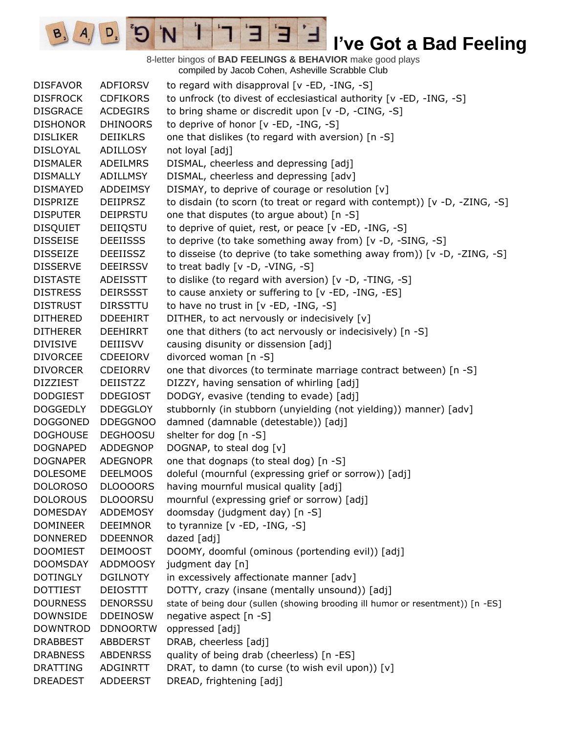8-letter bingos of **BAD FEELINGS & BEHAVIOR** make good plays compiled by Jacob Cohen, Asheville Scrabble Club

E

3

 $\mathbf{I}$ 

'N

 $B_3$ 

 $A_{1}$ 

 $D_{2}$ 

| <b>DISFAVOR</b> | ADFIORSV        | to regard with disapproval [v -ED, -ING, -S]                                    |
|-----------------|-----------------|---------------------------------------------------------------------------------|
| <b>DISFROCK</b> | <b>CDFIKORS</b> | to unfrock (to divest of ecclesiastical authority [v -ED, -ING, -S]             |
| <b>DISGRACE</b> | <b>ACDEGIRS</b> | to bring shame or discredit upon [v -D, -CING, -S]                              |
| <b>DISHONOR</b> | <b>DHINOORS</b> | to deprive of honor [v -ED, -ING, -S]                                           |
| <b>DISLIKER</b> | <b>DEIIKLRS</b> | one that dislikes (to regard with aversion) [n -S]                              |
| <b>DISLOYAL</b> | ADILLOSY        | not loyal [adj]                                                                 |
| <b>DISMALER</b> | <b>ADEILMRS</b> | DISMAL, cheerless and depressing [adj]                                          |
| <b>DISMALLY</b> | ADILLMSY        | DISMAL, cheerless and depressing [adv]                                          |
| <b>DISMAYED</b> | ADDEIMSY        | DISMAY, to deprive of courage or resolution [v]                                 |
| <b>DISPRIZE</b> | <b>DEIIPRSZ</b> | to disdain (to scorn (to treat or regard with contempt)) [v -D, -ZING, -S]      |
| <b>DISPUTER</b> | <b>DEIPRSTU</b> | one that disputes (to argue about) [n -S]                                       |
| <b>DISQUIET</b> | DEIIQSTU        | to deprive of quiet, rest, or peace [v -ED, -ING, -S]                           |
| <b>DISSEISE</b> | <b>DEEIISSS</b> | to deprive (to take something away from) [v -D, -SING, -S]                      |
| <b>DISSEIZE</b> | <b>DEEIISSZ</b> | to disseise (to deprive (to take something away from)) [v -D, -ZING, -S]        |
| <b>DISSERVE</b> | <b>DEEIRSSV</b> | to treat badly [v -D, -VING, -S]                                                |
| <b>DISTASTE</b> | ADEISSTT        | to dislike (to regard with aversion) [v -D, -TING, -S]                          |
| <b>DISTRESS</b> | <b>DEIRSSST</b> | to cause anxiety or suffering to [v -ED, -ING, -ES]                             |
| <b>DISTRUST</b> | <b>DIRSSTTU</b> | to have no trust in [v -ED, -ING, -S]                                           |
| <b>DITHERED</b> | <b>DDEEHIRT</b> | DITHER, to act nervously or indecisively [v]                                    |
| <b>DITHERER</b> | <b>DEEHIRRT</b> | one that dithers (to act nervously or indecisively) [n -S]                      |
| <b>DIVISIVE</b> | DEIIISVV        | causing disunity or dissension [adj]                                            |
| <b>DIVORCEE</b> | CDEEIORV        | divorced woman [n -S]                                                           |
| <b>DIVORCER</b> | <b>CDEIORRV</b> | one that divorces (to terminate marriage contract between) [n -S]               |
| <b>DIZZIEST</b> | DEIISTZZ        | DIZZY, having sensation of whirling [adj]                                       |
| <b>DODGIEST</b> | <b>DDEGIOST</b> | DODGY, evasive (tending to evade) [adj]                                         |
| <b>DOGGEDLY</b> | <b>DDEGGLOY</b> | stubbornly (in stubborn (unyielding (not yielding)) manner) [adv]               |
| <b>DOGGONED</b> | <b>DDEGGNOO</b> | damned (damnable (detestable)) [adj]                                            |
| <b>DOGHOUSE</b> | <b>DEGHOOSU</b> | shelter for dog [n -S]                                                          |
| <b>DOGNAPED</b> | ADDEGNOP        | DOGNAP, to steal dog [v]                                                        |
| <b>DOGNAPER</b> | <b>ADEGNOPR</b> | one that dognaps (to steal dog) [n -S]                                          |
| <b>DOLESOME</b> | <b>DEELMOOS</b> | doleful (mournful (expressing grief or sorrow)) [adj]                           |
| <b>DOLOROSO</b> | <b>DLOOOORS</b> | having mournful musical quality [adj]                                           |
| <b>DOLOROUS</b> | <b>DLOOORSU</b> | mournful (expressing grief or sorrow) [adj]                                     |
| <b>DOMESDAY</b> | <b>ADDEMOSY</b> | doomsday (judgment day) [n -S]                                                  |
| <b>DOMINEER</b> | <b>DEEIMNOR</b> | to tyrannize [v -ED, -ING, -S]                                                  |
| <b>DONNERED</b> | <b>DDEENNOR</b> | dazed [adj]                                                                     |
| <b>DOOMIEST</b> | <b>DEIMOOST</b> | DOOMY, doomful (ominous (portending evil)) [adj]                                |
| <b>DOOMSDAY</b> | <b>ADDMOOSY</b> | judgment day [n]                                                                |
| <b>DOTINGLY</b> | <b>DGILNOTY</b> | in excessively affectionate manner [adv]                                        |
| <b>DOTTIEST</b> | <b>DEIOSTTT</b> | DOTTY, crazy (insane (mentally unsound)) [adj]                                  |
| <b>DOURNESS</b> | <b>DENORSSU</b> | state of being dour (sullen (showing brooding ill humor or resentment)) [n -ES] |
| <b>DOWNSIDE</b> | <b>DDEINOSW</b> | negative aspect [n -S]                                                          |
| <b>DOWNTROD</b> | <b>DDNOORTW</b> | oppressed [adj]                                                                 |
| <b>DRABBEST</b> | ABBDERST        | DRAB, cheerless [adj]                                                           |
| <b>DRABNESS</b> | <b>ABDENRSS</b> | quality of being drab (cheerless) [n -ES]                                       |
| <b>DRATTING</b> | ADGINRTT        | DRAT, to damn (to curse (to wish evil upon)) [v]                                |
| <b>DREADEST</b> | <b>ADDEERST</b> | DREAD, frightening [adj]                                                        |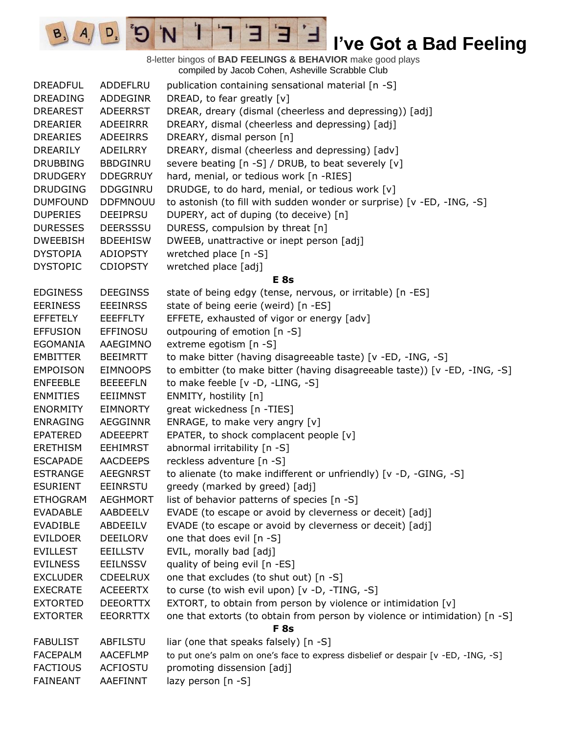8-letter bingos of **BAD FEELINGS & BEHAVIOR** make good plays compiled by Jacob Cohen, Asheville Scrabble Club DREADFUL ADDEFLRU publication containing sensational material [n -S] DREADING ADDEGINR DREAD, to fear greatly [v] DREAREST ADEERRST DREAR, dreary (dismal (cheerless and depressing)) [adj] DREARIER ADEEIRRR DREARY, dismal (cheerless and depressing) [adj] DREARIES ADEEIRRS DREARY, dismal person [n] DREARILY ADEILRRY DREARY, dismal (cheerless and depressing) [adv] DRUBBING BBDGINRU severe beating [n -S] / DRUB, to beat severely [v] DRUDGERY DDEGRRUY hard, menial, or tedious work [n -RIES] DRUDGING DDGGINRU DRUDGE, to do hard, menial, or tedious work [v] DUMFOUND DDFMNOUU to astonish (to fill with sudden wonder or surprise) [v -ED, -ING, -S] DUPERIES DEEIPRSU DUPERY, act of duping (to deceive) [n] DURESSES DEERSSSU DURESS, compulsion by threat [n] DWEEBISH BDEEHISW DWEEB, unattractive or inept person [adj] DYSTOPIA ADIOPSTY wretched place [n -S] DYSTOPIC CDIOPSTY wretched place [adj] **E 8s** EDGINESS DEEGINSS state of being edgy (tense, nervous, or irritable) [n -ES] EERINESS EEEINRSS state of being eerie (weird) [n -ES] EFFETELY EEEFFLTY EFFETE, exhausted of vigor or energy [adv] EFFUSION EFFINOSU outpouring of emotion [n -S] EGOMANIA AAEGIMNO extreme egotism [n -S] EMBITTER BEEIMRTT to make bitter (having disagreeable taste) [v -ED, -ING, -S] EMPOISON EIMNOOPS to embitter (to make bitter (having disagreeable taste)) [v -ED, -ING, -S] ENFEEBLE BEEEEFLN to make feeble [v -D, -LING, -S] ENMITIES EEIIMNST ENMITY, hostility [n] ENORMITY EIMNORTY great wickedness [n -TIES] ENRAGING AEGGINNR ENRAGE, to make very angry [v] EPATERED ADEEEPRT EPATER, to shock complacent people [v] ERETHISM EEHIMRST abnormal irritability [n -S] ESCAPADE AACDEEPS reckless adventure [n -S] ESTRANGE AEEGNRST to alienate (to make indifferent or unfriendly) [v -D, -GING, -S] ESURIENT EEINRSTU greedy (marked by greed) [adj] ETHOGRAM AEGHMORT list of behavior patterns of species [n -S] EVADABLE AABDEELV EVADE (to escape or avoid by cleverness or deceit) [adj] EVADIBLE ABDEEILV EVADE (to escape or avoid by cleverness or deceit) [adj] EVILDOER DEEILORV one that does evil [n -S] EVILLEST EEILLSTV EVIL, morally bad [adj] EVILNESS EEILNSSV quality of being evil [n -ES] EXCLUDER CDEELRUX one that excludes (to shut out) [n -S] EXECRATE ACEEERTX to curse (to wish evil upon) [v -D, -TING, -S] EXTORTED DEEORTTX EXTORT, to obtain from person by violence or intimidation [v] EXTORTER EEORRTTX one that extorts (to obtain from person by violence or intimidation) [n -S] **F 8s** FABULIST ABFILSTU liar (one that speaks falsely) [n -S] FACEPALM AACEFLMP to put one's palm on one's face to express disbelief or despair [v -ED, -ING, -S] FACTIOUS ACFIOSTU promoting dissension [adj] FAINEANT AAEFINNT lazy person [n -S]

H

 $A \mid D$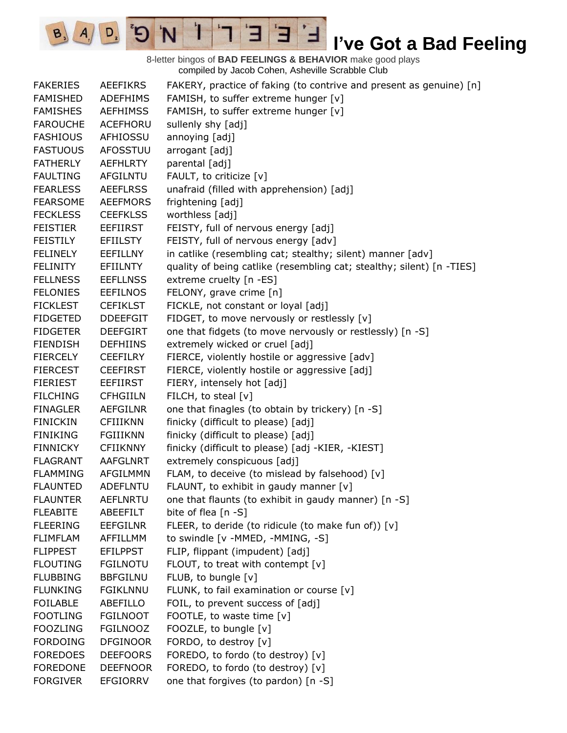8-letter bingos of **BAD FEELINGS & BEHAVIOR** make good plays compiled by Jacob Cohen, Asheville Scrabble Club

 $E$ 

Ⅎ

3

 $\mathbf{1}$ 

'N

 $B_3$   $A_1$ 

 $\boxed{D}_{2}$ 

 $\mathbf{G}^{\mathbf{s}}$ 

| <b>FAKERIES</b> | <b>AEEFIKRS</b> | FAKERY, practice of faking (to contrive and present as genuine) [n]   |
|-----------------|-----------------|-----------------------------------------------------------------------|
| <b>FAMISHED</b> | <b>ADEFHIMS</b> | FAMISH, to suffer extreme hunger [v]                                  |
| <b>FAMISHES</b> | <b>AEFHIMSS</b> | FAMISH, to suffer extreme hunger [v]                                  |
| <b>FAROUCHE</b> | <b>ACEFHORU</b> | sullenly shy [adj]                                                    |
| <b>FASHIOUS</b> | AFHIOSSU        | annoying [adj]                                                        |
| <b>FASTUOUS</b> | <b>AFOSSTUU</b> | arrogant [adj]                                                        |
| <b>FATHERLY</b> | <b>AEFHLRTY</b> | parental [adj]                                                        |
| <b>FAULTING</b> | AFGILNTU        | FAULT, to criticize [v]                                               |
| <b>FEARLESS</b> | <b>AEEFLRSS</b> | unafraid (filled with apprehension) [adj]                             |
| <b>FEARSOME</b> | <b>AEEFMORS</b> | frightening [adj]                                                     |
| <b>FECKLESS</b> | <b>CEEFKLSS</b> | worthless [adj]                                                       |
| <b>FEISTIER</b> | <b>EEFIIRST</b> | FEISTY, full of nervous energy [adj]                                  |
| <b>FEISTILY</b> | <b>EFIILSTY</b> | FEISTY, full of nervous energy [adv]                                  |
| <b>FELINELY</b> | <b>EEFILLNY</b> | in catlike (resembling cat; stealthy; silent) manner [adv]            |
| FELINITY        | EFIILNTY        | quality of being catlike (resembling cat; stealthy; silent) [n -TIES] |
| <b>FELLNESS</b> | <b>EEFLLNSS</b> | extreme cruelty [n -ES]                                               |
| <b>FELONIES</b> | <b>EEFILNOS</b> | FELONY, grave crime [n]                                               |
| <b>FICKLEST</b> | <b>CEFIKLST</b> | FICKLE, not constant or loyal [adj]                                   |
| <b>FIDGETED</b> | <b>DDEEFGIT</b> | FIDGET, to move nervously or restlessly [v]                           |
| <b>FIDGETER</b> | <b>DEEFGIRT</b> | one that fidgets (to move nervously or restlessly) [n -S]             |
| <b>FIENDISH</b> | <b>DEFHIINS</b> | extremely wicked or cruel [adj]                                       |
| <b>FIERCELY</b> | <b>CEEFILRY</b> | FIERCE, violently hostile or aggressive [adv]                         |
| <b>FIERCEST</b> | <b>CEEFIRST</b> | FIERCE, violently hostile or aggressive [adj]                         |
| <b>FIERIEST</b> | <b>EEFIIRST</b> | FIERY, intensely hot [adj]                                            |
| <b>FILCHING</b> | <b>CFHGIILN</b> | FILCH, to steal [v]                                                   |
| <b>FINAGLER</b> | AEFGILNR        | one that finagles (to obtain by trickery) [n -S]                      |
| <b>FINICKIN</b> | <b>CFIIIKNN</b> | finicky (difficult to please) [adj]                                   |
| <b>FINIKING</b> | <b>FGIIIKNN</b> | finicky (difficult to please) [adj]                                   |
| <b>FINNICKY</b> | <b>CFIIKNNY</b> | finicky (difficult to please) [adj -KIER, -KIEST]                     |
| <b>FLAGRANT</b> | <b>AAFGLNRT</b> | extremely conspicuous [adj]                                           |
| <b>FLAMMING</b> | AFGILMMN        | FLAM, to deceive (to mislead by falsehood) [v]                        |
| <b>FLAUNTED</b> | <b>ADEFLNTU</b> | FLAUNT, to exhibit in gaudy manner [v]                                |
| <b>FLAUNTER</b> | <b>AEFLNRTU</b> | one that flaunts (to exhibit in gaudy manner) [n -S]                  |
| <b>FLEABITE</b> | ABEEFILT        | bite of flea [n -S]                                                   |
| <b>FLEERING</b> | <b>EEFGILNR</b> | FLEER, to deride (to ridicule (to make fun of)) [v]                   |
| <b>FLIMFLAM</b> | AFFILLMM        | to swindle [v -MMED, -MMING, -S]                                      |
| <b>FLIPPEST</b> | <b>EFILPPST</b> | FLIP, flippant (impudent) [adj]                                       |
| <b>FLOUTING</b> | <b>FGILNOTU</b> | FLOUT, to treat with contempt [v]                                     |
| <b>FLUBBING</b> | <b>BBFGILNU</b> | FLUB, to bungle [v]                                                   |
| <b>FLUNKING</b> | <b>FGIKLNNU</b> | FLUNK, to fail examination or course [v]                              |
| <b>FOILABLE</b> | ABEFILLO        | FOIL, to prevent success of [adj]                                     |
| <b>FOOTLING</b> | <b>FGILNOOT</b> | FOOTLE, to waste time [v]                                             |
| <b>FOOZLING</b> | <b>FGILNOOZ</b> | FOOZLE, to bungle [v]                                                 |
| <b>FORDOING</b> | <b>DFGINOOR</b> | FORDO, to destroy [v]                                                 |
| <b>FOREDOES</b> | <b>DEEFOORS</b> | FOREDO, to fordo (to destroy) [v]                                     |
| <b>FOREDONE</b> | <b>DEEFNOOR</b> | FOREDO, to fordo (to destroy) [v]                                     |
| <b>FORGIVER</b> | EFGIORRV        | one that forgives (to pardon) [n -S]                                  |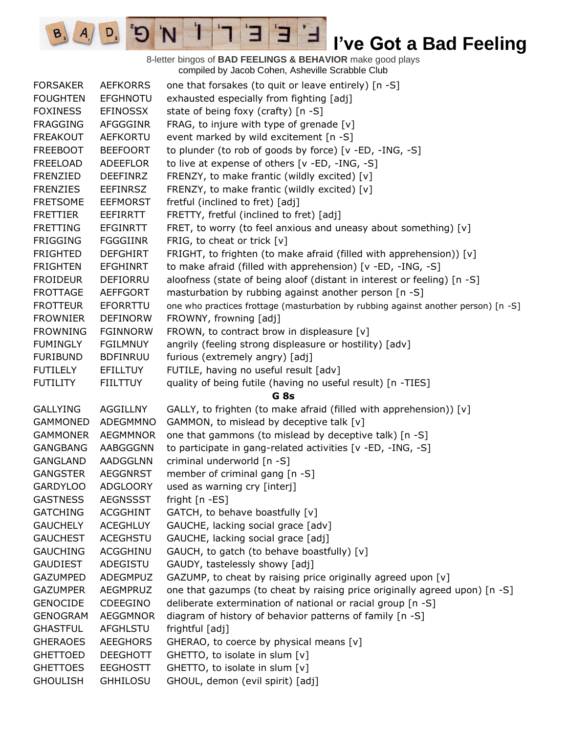8-letter bingos of **BAD FEELINGS & BEHAVIOR** make good plays compiled by Jacob Cohen, Asheville Scrabble Club

E

3

 $\mathbf{I}$ 

'N

 $B_3$ 

 $A_{1}$ 

 $D_{2}$ 

| <b>FORSAKER</b> | <b>AEFKORRS</b> | one that forsakes (to quit or leave entirely) [n -S]                               |
|-----------------|-----------------|------------------------------------------------------------------------------------|
| <b>FOUGHTEN</b> | <b>EFGHNOTU</b> | exhausted especially from fighting [adj]                                           |
| <b>FOXINESS</b> | <b>EFINOSSX</b> | state of being foxy (crafty) [n -S]                                                |
| <b>FRAGGING</b> | <b>AFGGGINR</b> | FRAG, to injure with type of grenade [v]                                           |
| <b>FREAKOUT</b> | <b>AEFKORTU</b> | event marked by wild excitement [n -S]                                             |
| <b>FREEBOOT</b> | <b>BEEFOORT</b> | to plunder (to rob of goods by force) [v -ED, -ING, -S]                            |
| <b>FREELOAD</b> | ADEEFLOR        | to live at expense of others [v -ED, -ING, -S]                                     |
| FRENZIED        | <b>DEEFINRZ</b> | FRENZY, to make frantic (wildly excited) [v]                                       |
| <b>FRENZIES</b> | <b>EEFINRSZ</b> | FRENZY, to make frantic (wildly excited) [v]                                       |
| <b>FRETSOME</b> | <b>EEFMORST</b> | fretful (inclined to fret) [adj]                                                   |
| <b>FRETTIER</b> | EEFIRRTT        | FRETTY, fretful (inclined to fret) [adj]                                           |
| <b>FRETTING</b> | <b>EFGINRTT</b> | FRET, to worry (to feel anxious and uneasy about something) [v]                    |
| <b>FRIGGING</b> | <b>FGGGIINR</b> | FRIG, to cheat or trick [v]                                                        |
| <b>FRIGHTED</b> | <b>DEFGHIRT</b> | FRIGHT, to frighten (to make afraid (filled with apprehension)) [v]                |
| <b>FRIGHTEN</b> | <b>EFGHINRT</b> | to make afraid (filled with apprehension) [v -ED, -ING, -S]                        |
| <b>FROIDEUR</b> | DEFIORRU        | aloofness (state of being aloof (distant in interest or feeling) [n -S]            |
| <b>FROTTAGE</b> | <b>AEFFGORT</b> | masturbation by rubbing against another person [n -S]                              |
| <b>FROTTEUR</b> | EFORRTTU        | one who practices frottage (masturbation by rubbing against another person) [n -S] |
| <b>FROWNIER</b> | <b>DEFINORW</b> | FROWNY, frowning [adj]                                                             |
| <b>FROWNING</b> | <b>FGINNORW</b> | FROWN, to contract brow in displeasure [v]                                         |
| <b>FUMINGLY</b> | <b>FGILMNUY</b> | angrily (feeling strong displeasure or hostility) [adv]                            |
| <b>FURIBUND</b> | <b>BDFINRUU</b> | furious (extremely angry) [adj]                                                    |
| <b>FUTILELY</b> | <b>EFILLTUY</b> | FUTILE, having no useful result [adv]                                              |
| <b>FUTILITY</b> | <b>FIILTTUY</b> | quality of being futile (having no useful result) [n -TIES]                        |
|                 |                 | G <sub>8s</sub>                                                                    |
| <b>GALLYING</b> | <b>AGGILLNY</b> | GALLY, to frighten (to make afraid (filled with apprehension)) [v]                 |
| <b>GAMMONED</b> | ADEGMMNO        | GAMMON, to mislead by deceptive talk [v]                                           |
| <b>GAMMONER</b> | <b>AEGMMNOR</b> | one that gammons (to mislead by deceptive talk) [n -S]                             |
| <b>GANGBANG</b> | AABGGGNN        | to participate in gang-related activities [v -ED, -ING, -S]                        |
| <b>GANGLAND</b> | AADGGLNN        | criminal underworld [n -S]                                                         |
| <b>GANGSTER</b> | <b>AEGGNRST</b> | member of criminal gang [n -S]                                                     |
| <b>GARDYLOO</b> | <b>ADGLOORY</b> | used as warning cry [interj]                                                       |
| <b>GASTNESS</b> | <b>AEGNSSST</b> | fright [n -ES]                                                                     |
| <b>GATCHING</b> | <b>ACGGHINT</b> | GATCH, to behave boastfully [v]                                                    |
| <b>GAUCHELY</b> | <b>ACEGHLUY</b> | GAUCHE, lacking social grace [adv]                                                 |
| <b>GAUCHEST</b> | <b>ACEGHSTU</b> | GAUCHE, lacking social grace [adj]                                                 |
| <b>GAUCHING</b> | <b>ACGGHINU</b> | GAUCH, to gatch (to behave boastfully) [v]                                         |
| <b>GAUDIEST</b> | ADEGISTU        | GAUDY, tastelessly showy [adj]                                                     |
| <b>GAZUMPED</b> | ADEGMPUZ        | GAZUMP, to cheat by raising price originally agreed upon [v]                       |
| <b>GAZUMPER</b> | <b>AEGMPRUZ</b> | one that gazumps (to cheat by raising price originally agreed upon) [n -S]         |
| <b>GENOCIDE</b> | <b>CDEEGINO</b> | deliberate extermination of national or racial group [n -S]                        |
| <b>GENOGRAM</b> | <b>AEGGMNOR</b> | diagram of history of behavior patterns of family [n -S]                           |
| <b>GHASTFUL</b> | <b>AFGHLSTU</b> | frightful [adj]                                                                    |
| <b>GHERAOES</b> | <b>AEEGHORS</b> | GHERAO, to coerce by physical means [v]                                            |
| <b>GHETTOED</b> | <b>DEEGHOTT</b> | GHETTO, to isolate in slum [v]                                                     |
| <b>GHETTOES</b> | <b>EEGHOSTT</b> | GHETTO, to isolate in slum [v]                                                     |
| <b>GHOULISH</b> | <b>GHHILOSU</b> | GHOUL, demon (evil spirit) [adj]                                                   |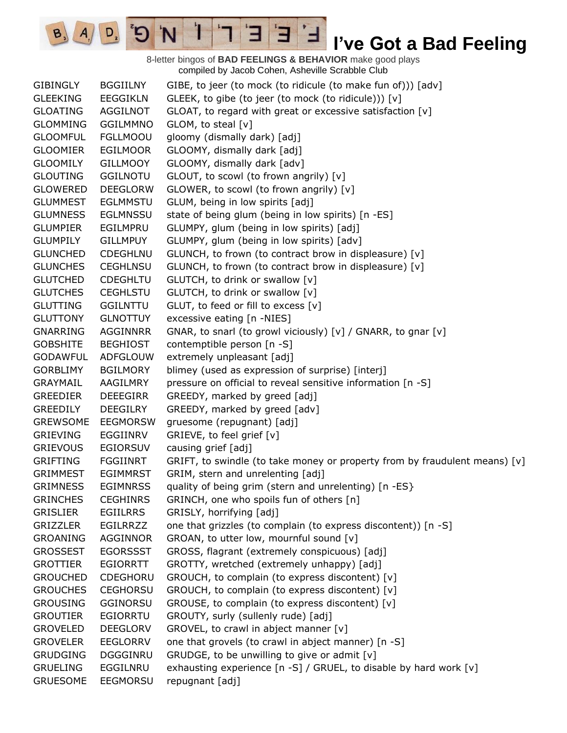8-letter bingos of **BAD FEELINGS & BEHAVIOR** make good plays compiled by Jacob Cohen, Asheville Scrabble Club

 $\mathbf{E}$ 

 $A \mid D$   $D$ 

GIBINGLY BGGIILNY GIBE, to jeer (to mock (to ridicule (to make fun of))) [adv] GLEEKING EEGGIKLN GLEEK, to gibe (to jeer (to mock (to ridicule))) [v] GLOATING AGGILNOT GLOAT, to regard with great or excessive satisfaction [v] GLOMMING GGILMMNO GLOM, to steal [v] GLOOMFUL FGLLMOOU gloomy (dismally dark) [adj] GLOOMIER EGILMOOR GLOOMY, dismally dark [adj] GLOOMILY GILLMOOY GLOOMY, dismally dark [adv] GLOUTING GGILNOTU GLOUT, to scowl (to frown angrily) [v] GLOWERED DEEGLORW GLOWER, to scowl (to frown angrily) [v] GLUMMEST EGLMMSTU GLUM, being in low spirits [adj] GLUMNESS EGLMNSSU state of being glum (being in low spirits) [n -ES] GLUMPIER EGILMPRU GLUMPY, glum (being in low spirits) [adj] GLUMPILY GILLMPUY GLUMPY, glum (being in low spirits) [adv] GLUNCHED CDEGHLNU GLUNCH, to frown (to contract brow in displeasure) [v] GLUNCHES CEGHLNSU GLUNCH, to frown (to contract brow in displeasure) [v] GLUTCHED CDEGHLTU GLUTCH, to drink or swallow [v] GLUTCHES CEGHLSTU GLUTCH, to drink or swallow [v] GLUTTING GGILNTTU GLUT, to feed or fill to excess [v] GLUTTONY GLNOTTUY excessive eating [n -NIES] GNARRING AGGINNRR GNAR, to snarl (to growl viciously) [v] / GNARR, to gnar [v] GOBSHITE BEGHIOST contemptible person [n -S] GODAWFUL ADFGLOUW extremely unpleasant [adj] GORBLIMY BGILMORY blimey (used as expression of surprise) [interj] GRAYMAIL AAGILMRY pressure on official to reveal sensitive information [n -S] GREEDIER DEEEGIRR GREEDY, marked by greed [adj] GREEDILY DEEGILRY GREEDY, marked by greed [adv] GREWSOME EEGMORSW gruesome (repugnant) [adj] GRIEVING EGGIINRV GRIEVE, to feel grief [v] GRIEVOUS EGIORSUV causing grief [adj] GRIFTING FGGIINRT GRIFT, to swindle (to take money or property from by fraudulent means) [v] GRIMMEST EGIMMRST GRIM, stern and unrelenting [adj] GRIMNESS EGIMNRSS quality of being grim (stern and unrelenting) [n -ES} GRINCHES CEGHINRS GRINCH, one who spoils fun of others [n] GRISLIER EGIILRRS GRISLY, horrifying [adj] GRIZZLER EGILRRZZ one that grizzles (to complain (to express discontent)) [n -S] GROANING AGGINNOR GROAN, to utter low, mournful sound [v] GROSSEST EGORSSST GROSS, flagrant (extremely conspicuous) [adj] GROTTIER EGIORRTT GROTTY, wretched (extremely unhappy) [adj] GROUCHED CDEGHORU GROUCH, to complain (to express discontent) [v] GROUCHES CEGHORSU GROUCH, to complain (to express discontent) [v] GROUSING GGINORSU GROUSE, to complain (to express discontent) [v] GROUTIER EGIORRTU GROUTY, surly (sullenly rude) [adj] GROVELED DEEGLORV GROVEL, to crawl in abject manner [v] GROVELER EEGLORRV one that grovels (to crawl in abject manner) [n -S] GRUDGING DGGGINRU GRUDGE, to be unwilling to give or admit  $[v]$ GRUELING EGGILNRU exhausting experience [n -S] / GRUEL, to disable by hard work [v] GRUESOME EEGMORSU repugnant [adj]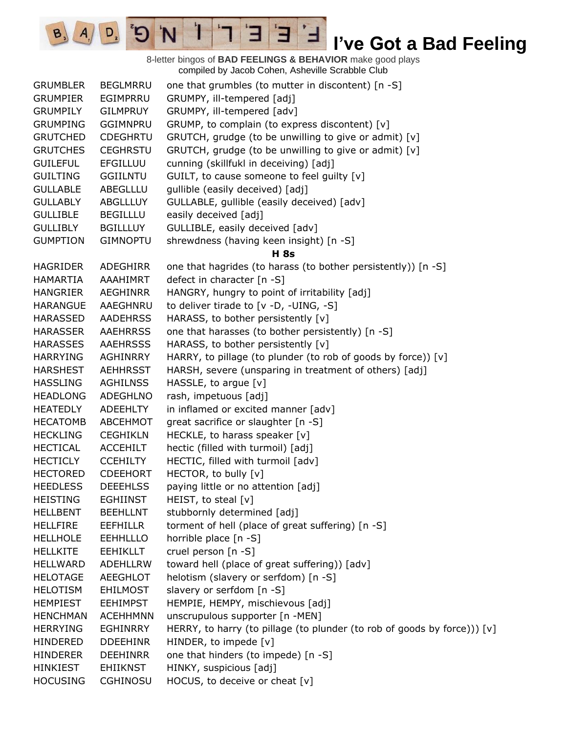8-letter bingos of **BAD FEELINGS & BEHAVIOR** make good plays compiled by Jacob Cohen, Asheville Scrabble Club GRUMBLER BEGLMRRU one that grumbles (to mutter in discontent) [n -S] GRUMPIER EGIMPRRU GRUMPY, ill-tempered [adj] GRUMPILY GILMPRUY GRUMPY, ill-tempered [adv] GRUMPING GGIMNPRU GRUMP, to complain (to express discontent) [v] GRUTCHED CDEGHRTU GRUTCH, grudge (to be unwilling to give or admit) [v] GRUTCHES CEGHRSTU GRUTCH, grudge (to be unwilling to give or admit)  $[v]$ GUILEFUL EFGILLUU cunning (skillfukl in deceiving) [adj] GUILTING GGIILNTU GUILT, to cause someone to feel guilty [v] GULLABLE ABEGLLLU gullible (easily deceived) [adj] GULLABLY ABGLLLUY GULLABLE, gullible (easily deceived) [adv] GULLIBLE BEGILLLU easily deceived [adj] GULLIBLY BGILLLUY GULLIBLE, easily deceived [adv] GUMPTION GIMNOPTU shrewdness (having keen insight) [n -S] **H 8s** HAGRIDER ADEGHIRR one that hagrides (to harass (to bother persistently)) [n -S] HAMARTIA AAAHIMRT defect in character [n -S] HANGRIER AEGHINRR HANGRY, hungry to point of irritability [adj] HARANGUE AAEGHNRU to deliver tirade to [v -D, -UING, -S] HARASSED AADEHRSS HARASS, to bother persistently [v] HARASSER AAEHRRSS one that harasses (to bother persistently) [n -S] HARASSES AAEHRSSS HARASS, to bother persistently [v] HARRYING AGHINRRY HARRY, to pillage (to plunder (to rob of goods by force)) [v] HARSHEST AEHHRSST HARSH, severe (unsparing in treatment of others) [adj] HASSLING AGHILNSS HASSLE, to argue [v] HEADLONG ADEGHLNO rash, impetuous [adj] HEATEDLY ADEEHLTY in inflamed or excited manner [adv] HECATOMB ABCEHMOT great sacrifice or slaughter [n -S] HECKLING CEGHIKLN HECKLE, to harass speaker [v] HECTICAL ACCEHILT hectic (filled with turmoil) [adj] HECTICLY CCEHILTY HECTIC, filled with turmoil [adv] HECTORED CDEEHORT HECTOR, to bully [v] HEEDLESS DEEEHLSS paying little or no attention [adj] HEISTING EGHIINST HEIST, to steal [v] HELLBENT BEEHLLNT stubbornly determined [adj] HELLFIRE EEFHILLR torment of hell (place of great suffering) [n -S] HELLHOLE EEHHLLLO horrible place [n -S] HELLKITE EEHIKLLT cruel person [n -S] HELLWARD ADEHLLRW toward hell (place of great suffering)) [adv] HELOTAGE AEEGHLOT helotism (slavery or serfdom) [n -S] HELOTISM EHILMOST slavery or serfdom [n -S] HEMPIEST EEHIMPST HEMPIE, HEMPY, mischievous [adj] HENCHMAN ACEHHMNN unscrupulous supporter [n -MEN] HERRYING EGHINRRY HERRY, to harry (to pillage (to plunder (to rob of goods by force))) [v] HINDERED DDEEHINR HINDER, to impede [v] HINDERER DEEHINRR one that hinders (to impede) [n -S] HINKIEST EHIIKNST HINKY, suspicious [adj] HOCUSING CGHINOSU HOCUS, to deceive or cheat [v]

H

D.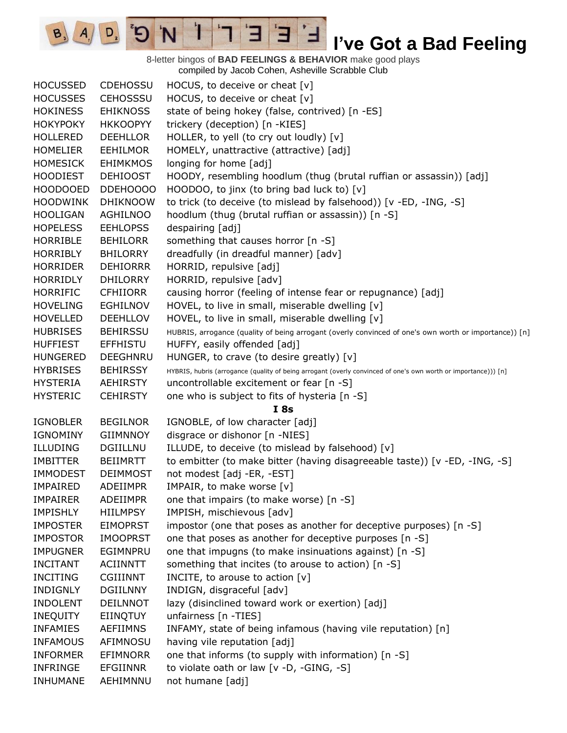8-letter bingos of **BAD FEELINGS & BEHAVIOR** make good plays compiled by Jacob Cohen, Asheville Scrabble Club

E

Ⅎ

3

 $\mathbf{I}$ 

'N

 $\mathbf{G}^{\mathbf{s}}$ 

 $D_{2}$ 

 $B_3$   $A_1$ 

| <b>HOCUSSED</b> | <b>CDEHOSSU</b> | HOCUS, to deceive or cheat [v]                                                                                 |
|-----------------|-----------------|----------------------------------------------------------------------------------------------------------------|
| <b>HOCUSSES</b> | <b>CEHOSSSU</b> | HOCUS, to deceive or cheat [v]                                                                                 |
| <b>HOKINESS</b> | <b>EHIKNOSS</b> | state of being hokey (false, contrived) [n -ES]                                                                |
| <b>HOKYPOKY</b> | <b>HKKOOPYY</b> | trickery (deception) [n -KIES]                                                                                 |
| <b>HOLLERED</b> | <b>DEEHLLOR</b> | HOLLER, to yell (to cry out loudly) [v]                                                                        |
| <b>HOMELIER</b> | <b>EEHILMOR</b> | HOMELY, unattractive (attractive) [adj]                                                                        |
| <b>HOMESICK</b> | <b>EHIMKMOS</b> | longing for home [adj]                                                                                         |
| <b>HOODIEST</b> | <b>DEHIOOST</b> | HOODY, resembling hoodlum (thug (brutal ruffian or assassin)) [adj]                                            |
| <b>HOODOOED</b> | DDEH0000        | HOODOO, to jinx (to bring bad luck to) [v]                                                                     |
| <b>HOODWINK</b> | <b>DHIKNOOW</b> | to trick (to deceive (to mislead by falsehood)) [v -ED, -ING, -S]                                              |
| <b>HOOLIGAN</b> | <b>AGHILNOO</b> | hoodlum (thug (brutal ruffian or assassin)) [n -S]                                                             |
| <b>HOPELESS</b> | <b>EEHLOPSS</b> | despairing [adj]                                                                                               |
| <b>HORRIBLE</b> | <b>BEHILORR</b> | something that causes horror [n -S]                                                                            |
| <b>HORRIBLY</b> | <b>BHILORRY</b> | dreadfully (in dreadful manner) [adv]                                                                          |
| <b>HORRIDER</b> | <b>DEHIORRR</b> | HORRID, repulsive [adj]                                                                                        |
| <b>HORRIDLY</b> | <b>DHILORRY</b> | HORRID, repulsive [adv]                                                                                        |
| <b>HORRIFIC</b> | <b>CFHIIORR</b> | causing horror (feeling of intense fear or repugnance) [adj]                                                   |
| <b>HOVELING</b> | <b>EGHILNOV</b> | HOVEL, to live in small, miserable dwelling [v]                                                                |
| <b>HOVELLED</b> | <b>DEEHLLOV</b> | HOVEL, to live in small, miserable dwelling [v]                                                                |
| <b>HUBRISES</b> | <b>BEHIRSSU</b> | HUBRIS, arrogance (quality of being arrogant (overly convinced of one's own worth or importance)) [n]          |
| <b>HUFFIEST</b> | <b>EFFHISTU</b> | HUFFY, easily offended [adj]                                                                                   |
| <b>HUNGERED</b> | <b>DEEGHNRU</b> | HUNGER, to crave (to desire greatly) [v]                                                                       |
| <b>HYBRISES</b> | <b>BEHIRSSY</b> | HYBRIS, hubris (arrogance (quality of being arrogant (overly convinced of one's own worth or importance))) [n] |
| <b>HYSTERIA</b> | <b>AEHIRSTY</b> | uncontrollable excitement or fear [n -S]                                                                       |
| <b>HYSTERIC</b> | <b>CEHIRSTY</b> | one who is subject to fits of hysteria [n -S]                                                                  |
|                 |                 | I8s                                                                                                            |
| <b>IGNOBLER</b> | <b>BEGILNOR</b> | IGNOBLE, of low character [adj]                                                                                |
| IGNOMINY        | <b>GIIMNNOY</b> | disgrace or dishonor [n -NIES]                                                                                 |
| <b>ILLUDING</b> | DGIILLNU        | ILLUDE, to deceive (to mislead by falsehood) [v]                                                               |
| <b>IMBITTER</b> | <b>BEIIMRTT</b> | to embitter (to make bitter (having disagreeable taste)) [v -ED, -ING, -S]                                     |
| <b>IMMODEST</b> | <b>DEIMMOST</b> | not modest [adj -ER, -EST]                                                                                     |
| <b>IMPAIRED</b> | <b>ADEIIMPR</b> | IMPAIR, to make worse [v]                                                                                      |
| <b>IMPAIRER</b> | ADEIIMPR        | one that impairs (to make worse) [n -S]                                                                        |
| <b>IMPISHLY</b> | <b>HIILMPSY</b> | IMPISH, mischievous [adv]                                                                                      |
| <b>IMPOSTER</b> | <b>EIMOPRST</b> | impostor (one that poses as another for deceptive purposes) [n -S]                                             |
| <b>IMPOSTOR</b> | <b>IMOOPRST</b> | one that poses as another for deceptive purposes [n -S]                                                        |
| <b>IMPUGNER</b> | EGIMNPRU        | one that impugns (to make insinuations against) [n -S]                                                         |
| <b>INCITANT</b> | <b>ACIINNTT</b> | something that incites (to arouse to action) [n -S]                                                            |
| <b>INCITING</b> | <b>CGIIINNT</b> | INCITE, to arouse to action $[v]$                                                                              |
| <b>INDIGNLY</b> | <b>DGIILNNY</b> | INDIGN, disgraceful [adv]                                                                                      |
| <b>INDOLENT</b> | <b>DEILNNOT</b> | lazy (disinclined toward work or exertion) [adj]                                                               |
| <b>INEQUITY</b> | EIINQTUY        | unfairness [n -TIES]                                                                                           |
| <b>INFAMIES</b> | <b>AEFIIMNS</b> | INFAMY, state of being infamous (having vile reputation) [n]                                                   |
| <b>INFAMOUS</b> | AFIMNOSU        | having vile reputation [adj]                                                                                   |
| <b>INFORMER</b> | <b>EFIMNORR</b> | one that informs (to supply with information) [n -S]                                                           |
| <b>INFRINGE</b> | <b>EFGIINNR</b> | to violate oath or law [v -D, -GING, -S]                                                                       |
| INHUMANE        | AEHIMNNU        | not humane [adj]                                                                                               |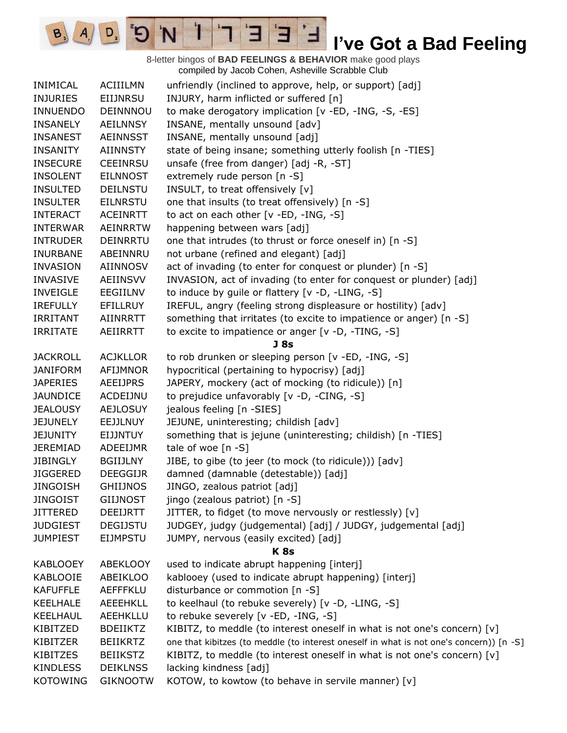8-letter bingos of **BAD FEELINGS & BEHAVIOR** make good plays compiled by Jacob Cohen, Asheville Scrabble Club INIMICAL ACIIILMN unfriendly (inclined to approve, help, or support) [adj] INJURIES EIIJNRSU INJURY, harm inflicted or suffered [n] INNUENDO DEINNNOU to make derogatory implication [v -ED, -ING, -S, -ES] INSANELY AEILNNSY INSANE, mentally unsound [adv] INSANEST AEINNSST INSANE, mentally unsound [adj] INSANITY AIINNSTY state of being insane; something utterly foolish [n -TIES] INSECURE CEEINRSU unsafe (free from danger) [adj -R, -ST] INSOLENT EILNNOST extremely rude person [n -S] INSULTED DEILNSTU INSULT, to treat offensively [v] INSULTER EILNRSTU one that insults (to treat offensively) [n -S] INTERACT ACEINRTT to act on each other [v -ED, -ING, -S] INTERWAR AEINRRTW happening between wars [adj] INTRUDER DEINRRTU one that intrudes (to thrust or force oneself in) [n -S] INURBANE ABEINNRU not urbane (refined and elegant) [adj] INVASION AIINNOSV act of invading (to enter for conquest or plunder) [n -S] INVASIVE AEIINSVV INVASION, act of invading (to enter for conquest or plunder) [adj] INVEIGLE EEGIILNV to induce by guile or flattery [v -D, -LING, -S] IREFULLY EFILLRUY IREFUL, angry (feeling strong displeasure or hostility) [adv] IRRITANT AIINRRTT something that irritates (to excite to impatience or anger) [n -S] IRRITATE AEIIRRTT to excite to impatience or anger [v -D, -TING, -S] **J 8s** JACKROLL ACJKLLOR to rob drunken or sleeping person [v -ED, -ING, -S] JANIFORM AFIJMNOR hypocritical (pertaining to hypocrisy) [adj] JAPERIES AEEIJPRS JAPERY, mockery (act of mocking (to ridicule)) [n] JAUNDICE ACDEIJNU to prejudice unfavorably [v -D, -CING, -S] JEALOUSY AEJLOSUY jealous feeling [n -SIES] JEJUNELY EEJJLNUY JEJUNE, uninteresting; childish [adv] JEJUNITY EIJJNTUY something that is jejune (uninteresting; childish) [n -TIES] JEREMIAD ADEEIJMR tale of woe [n -S] JIBINGLY BGIIJLNY JIBE, to gibe (to jeer (to mock (to ridicule))) [adv] JIGGERED DEEGGIJR damned (damnable (detestable)) [adj] JINGOISH GHIIJNOS JINGO, zealous patriot [adj] JINGOIST GIIJNOST jingo (zealous patriot) [n -S] JITTERED DEEIJRTT JITTER, to fidget (to move nervously or restlessly) [v] JUDGIEST DEGIJSTU JUDGEY, judgy (judgemental) [adj] / JUDGY, judgemental [adj] JUMPIEST EIJMPSTU JUMPY, nervous (easily excited) [adj] **K 8s** KABLOOEY ABEKLOOY used to indicate abrupt happening [interj] KABLOOIE ABEIKLOO kablooey (used to indicate abrupt happening) [interj] KAFUFFLE AEFFFKLU disturbance or commotion [n -S] KEELHALE AEEEHKLL to keelhaul (to rebuke severely) [v -D, -LING, -S] KEELHAUL AEEHKLLU to rebuke severely [v -ED, -ING, -S] KIBITZED BDEIIKTZ KIBITZ, to meddle (to interest oneself in what is not one's concern) [v] KIBITZER BEIIKRTZ one that kibitzes (to meddle (to interest oneself in what is not one's concern)) [n -S] KIBITZES BEIIKSTZ KIBITZ, to meddle (to interest oneself in what is not one's concern)  $[v]$ KINDLESS DEIKLNSS lacking kindness [adj] KOTOWING GIKNOOTW KOTOW, to kowtow (to behave in servile manner) [v]

H

 $D$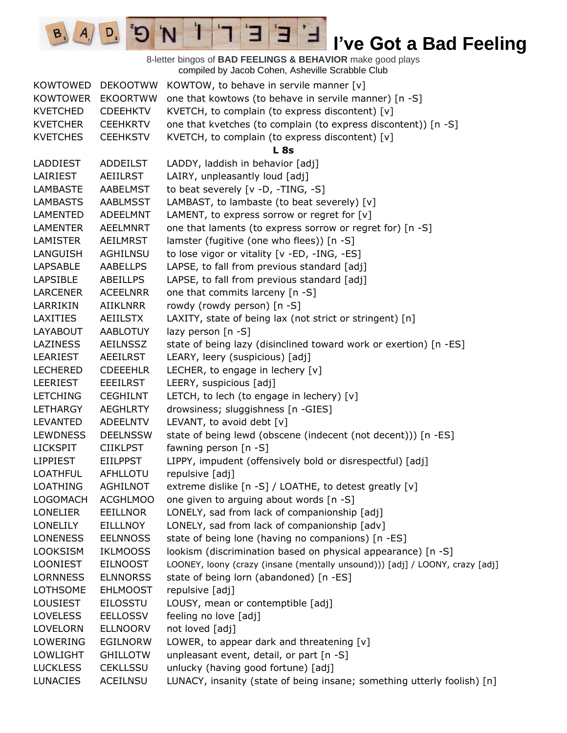8-letter bingos of **BAD FEELINGS & BEHAVIOR** make good plays compiled by Jacob Cohen, Asheville Scrabble Club

E

1

 $B_3$ 

 $D,$ 

9

| KOWTOWED        | <b>DEKOOTWW</b> | KOWTOW, to behave in servile manner [v]                                      |
|-----------------|-----------------|------------------------------------------------------------------------------|
| <b>KOWTOWER</b> | <b>EKOORTWW</b> | one that kowtows (to behave in servile manner) [n -S]                        |
| <b>KVETCHED</b> | <b>CDEEHKTV</b> | KVETCH, to complain (to express discontent) [v]                              |
| <b>KVETCHER</b> | <b>CEEHKRTV</b> | one that kvetches (to complain (to express discontent)) [n -S]               |
| <b>KVETCHES</b> | <b>CEEHKSTV</b> | KVETCH, to complain (to express discontent) [v]                              |
|                 |                 | <b>L</b> 8s                                                                  |
| LADDIEST        | <b>ADDEILST</b> | LADDY, laddish in behavior [adj]                                             |
| LAIRIEST        | AEIILRST        | LAIRY, unpleasantly loud [adj]                                               |
| <b>LAMBASTE</b> | <b>AABELMST</b> | to beat severely [v -D, -TING, -S]                                           |
| <b>LAMBASTS</b> | <b>AABLMSST</b> | LAMBAST, to lambaste (to beat severely) [v]                                  |
| <b>LAMENTED</b> | <b>ADEELMNT</b> | LAMENT, to express sorrow or regret for [v]                                  |
| LAMENTER        | <b>AEELMNRT</b> | one that laments (to express sorrow or regret for) [n -S]                    |
| LAMISTER        | <b>AEILMRST</b> | lamster (fugitive (one who flees)) [n -S]                                    |
| LANGUISH        | <b>AGHILNSU</b> | to lose vigor or vitality [v -ED, -ING, -ES]                                 |
| <b>LAPSABLE</b> | AABELLPS        | LAPSE, to fall from previous standard [adj]                                  |
| <b>LAPSIBLE</b> | ABEILLPS        | LAPSE, to fall from previous standard [adj]                                  |
| <b>LARCENER</b> | <b>ACEELNRR</b> | one that commits larceny [n -S]                                              |
| LARRIKIN        | AIIKLNRR        | rowdy (rowdy person) [n -S]                                                  |
| <b>LAXITIES</b> | AEIILSTX        | LAXITY, state of being lax (not strict or stringent) [n]                     |
| LAYABOUT        | <b>AABLOTUY</b> | lazy person $[n - S]$                                                        |
| <b>LAZINESS</b> | <b>AEILNSSZ</b> | state of being lazy (disinclined toward work or exertion) [n -ES]            |
| LEARIEST        | AEEILRST        | LEARY, leery (suspicious) [adj]                                              |
| <b>LECHERED</b> | <b>CDEEEHLR</b> | LECHER, to engage in lechery [v]                                             |
| <b>LEERIEST</b> | <b>EEEILRST</b> | LEERY, suspicious [adj]                                                      |
| <b>LETCHING</b> | <b>CEGHILNT</b> | LETCH, to lech (to engage in lechery) $[v]$                                  |
| LETHARGY        | <b>AEGHLRTY</b> | drowsiness; sluggishness [n -GIES]                                           |
| <b>LEVANTED</b> | <b>ADEELNTV</b> | LEVANT, to avoid debt [v]                                                    |
| <b>LEWDNESS</b> | <b>DEELNSSW</b> | state of being lewd (obscene (indecent (not decent))) [n -ES]                |
| <b>LICKSPIT</b> | <b>CIIKLPST</b> | fawning person [n -S]                                                        |
| <b>LIPPIEST</b> | <b>EIILPPST</b> | LIPPY, impudent (offensively bold or disrespectful) [adj]                    |
| <b>LOATHFUL</b> | AFHLLOTU        | repulsive [adj]                                                              |
| <b>LOATHING</b> | <b>AGHILNOT</b> | extreme dislike [n -S] / LOATHE, to detest greatly [v]                       |
| LOGOMACH        | <b>ACGHLMOO</b> | one given to arguing about words [n -S]                                      |
| <b>LONELIER</b> | <b>EEILLNOR</b> | LONELY, sad from lack of companionship [adj]                                 |
| <b>LONELILY</b> | EILLLNOY        | LONELY, sad from lack of companionship [adv]                                 |
| <b>LONENESS</b> | <b>EELNNOSS</b> | state of being lone (having no companions) [n -ES]                           |
| <b>LOOKSISM</b> | <b>IKLMOOSS</b> | lookism (discrimination based on physical appearance) [n -S]                 |
| <b>LOONIEST</b> | <b>EILNOOST</b> | LOONEY, loony (crazy (insane (mentally unsound))) [adj] / LOONY, crazy [adj] |
| <b>LORNNESS</b> | <b>ELNNORSS</b> | state of being lorn (abandoned) [n -ES]                                      |
| <b>LOTHSOME</b> | <b>EHLMOOST</b> | repulsive [adj]                                                              |
| <b>LOUSIEST</b> | <b>EILOSSTU</b> | LOUSY, mean or contemptible [adj]                                            |
| <b>LOVELESS</b> | <b>EELLOSSV</b> | feeling no love [adj]                                                        |
| LOVELORN        | <b>ELLNOORV</b> | not loved [adj]                                                              |
| LOWERING        | <b>EGILNORW</b> | LOWER, to appear dark and threatening [v]                                    |
| LOWLIGHT        | <b>GHILLOTW</b> | unpleasant event, detail, or part [n -S]                                     |
| <b>LUCKLESS</b> | <b>CEKLLSSU</b> | unlucky (having good fortune) [adj]                                          |
| <b>LUNACIES</b> | ACEILNSU        | LUNACY, insanity (state of being insane; something utterly foolish) [n]      |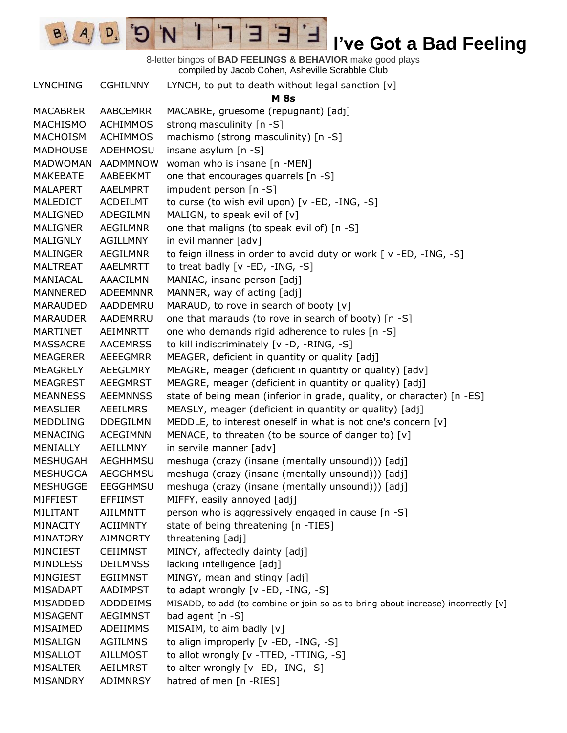

#### 8-letter bingos of **BAD FEELINGS & BEHAVIOR** make good plays compiled by Jacob Cohen, Asheville Scrabble Club

LYNCHING CGHILNNY LYNCH, to put to death without legal sanction [v]

| LTINCHING       | <b>CGLILIVIVI</b> | LYNCH, to put to death without legal sanction [V]                                 |
|-----------------|-------------------|-----------------------------------------------------------------------------------|
|                 |                   | <b>M</b> 8s                                                                       |
| <b>MACABRER</b> | <b>AABCEMRR</b>   | MACABRE, gruesome (repugnant) [adj]                                               |
| MACHISMO        | <b>ACHIMMOS</b>   | strong masculinity [n -S]                                                         |
| MACHOISM        | <b>ACHIMMOS</b>   | machismo (strong masculinity) [n -S]                                              |
| <b>MADHOUSE</b> | ADEHMOSU          | insane asylum $[n -S]$                                                            |
| MADWOMAN        | AADMMNOW          | woman who is insane [n -MEN]                                                      |
| MAKEBATE        | AABEEKMT          | one that encourages quarrels [n -S]                                               |
| <b>MALAPERT</b> | AAELMPRT          | impudent person [n -S]                                                            |
| <b>MALEDICT</b> | <b>ACDEILMT</b>   | to curse (to wish evil upon) [v -ED, -ING, -S]                                    |
| MALIGNED        | ADEGILMN          | MALIGN, to speak evil of [v]                                                      |
| <b>MALIGNER</b> | AEGILMNR          | one that maligns (to speak evil of) [n -S]                                        |
| <b>MALIGNLY</b> | AGILLMNY          | in evil manner [adv]                                                              |
| <b>MALINGER</b> | <b>AEGILMNR</b>   | to feign illness in order to avoid duty or work [v -ED, -ING, -S]                 |
| <b>MALTREAT</b> | AAELMRTT          | to treat badly [v -ED, -ING, -S]                                                  |
| MANIACAL        | AAACILMN          | MANIAC, insane person [adj]                                                       |
| MANNERED        | <b>ADEEMNNR</b>   | MANNER, way of acting [adj]                                                       |
| MARAUDED        | AADDEMRU          | MARAUD, to rove in search of booty [v]                                            |
| <b>MARAUDER</b> | AADEMRRU          | one that marauds (to rove in search of booty) [n -S]                              |
| MARTINET        | AEIMNRTT          | one who demands rigid adherence to rules [n -S]                                   |
| <b>MASSACRE</b> | <b>AACEMRSS</b>   | to kill indiscriminately [v -D, -RING, -S]                                        |
| MEAGERER        | <b>AEEEGMRR</b>   | MEAGER, deficient in quantity or quality [adj]                                    |
| MEAGRELY        | AEEGLMRY          | MEAGRE, meager (deficient in quantity or quality) [adv]                           |
| <b>MEAGREST</b> | <b>AEEGMRST</b>   | MEAGRE, meager (deficient in quantity or quality) [adj]                           |
| <b>MEANNESS</b> | <b>AEEMNNSS</b>   | state of being mean (inferior in grade, quality, or character) [n -ES]            |
| <b>MEASLIER</b> | AEEILMRS          | MEASLY, meager (deficient in quantity or quality) [adj]                           |
| <b>MEDDLING</b> | <b>DDEGILMN</b>   | MEDDLE, to interest oneself in what is not one's concern [v]                      |
| <b>MENACING</b> | <b>ACEGIMNN</b>   | MENACE, to threaten (to be source of danger to) [v]                               |
| MENIALLY        | AEILLMNY          | in servile manner [adv]                                                           |
| <b>MESHUGAH</b> | <b>AEGHHMSU</b>   | meshuga (crazy (insane (mentally unsound))) [adj]                                 |
| <b>MESHUGGA</b> | <b>AEGGHMSU</b>   | meshuga (crazy (insane (mentally unsound))) [adj]                                 |
| <b>MESHUGGE</b> | EEGGHMSU          | meshuga (crazy (insane (mentally unsound))) [adj]                                 |
| MIFFIEST        | EFFIIMST          | MIFFY, easily annoyed [adj]                                                       |
| MILITANT        | AIILMNTT          | person who is aggressively engaged in cause [n -S]                                |
| <b>MINACITY</b> | <b>ACIIMNTY</b>   | state of being threatening [n -TIES]                                              |
| <b>MINATORY</b> | <b>AIMNORTY</b>   | threatening [adj]                                                                 |
| <b>MINCIEST</b> | <b>CEIIMNST</b>   | MINCY, affectedly dainty [adj]                                                    |
| <b>MINDLESS</b> | <b>DEILMNSS</b>   | lacking intelligence [adj]                                                        |
| MINGIEST        | <b>EGIIMNST</b>   | MINGY, mean and stingy [adj]                                                      |
| MISADAPT        | AADIMPST          | to adapt wrongly [v -ED, -ING, -S]                                                |
| MISADDED        | <b>ADDDEIMS</b>   | MISADD, to add (to combine or join so as to bring about increase) incorrectly [v] |
| <b>MISAGENT</b> | <b>AEGIMNST</b>   | bad agent [n -S]                                                                  |
| MISAIMED        | ADEIIMMS          | MISAIM, to aim badly [v]                                                          |
| MISALIGN        | AGIILMNS          | to align improperly [v -ED, -ING, -S]                                             |
| <b>MISALLOT</b> | <b>AILLMOST</b>   | to allot wrongly [v -TTED, -TTING, -S]                                            |
| <b>MISALTER</b> | <b>AEILMRST</b>   | to alter wrongly [v -ED, -ING, -S]                                                |
| MISANDRY        | ADIMNRSY          | hatred of men [n -RIES]                                                           |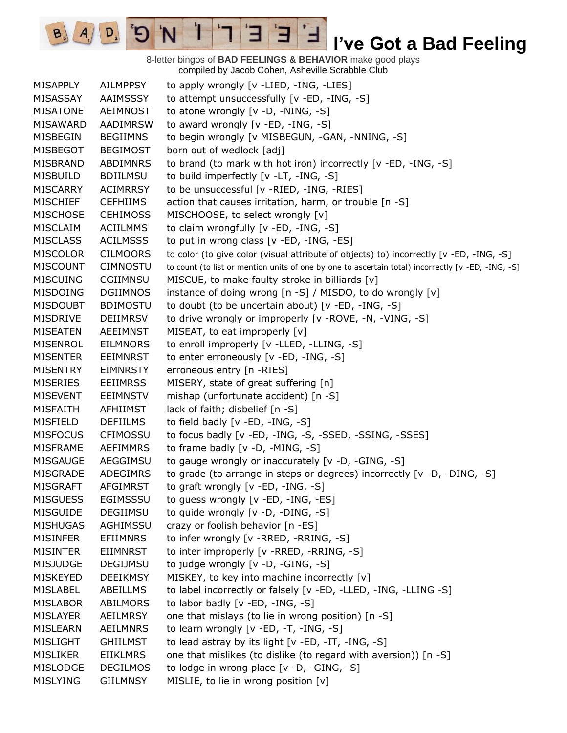8-letter bingos of **BAD FEELINGS & BEHAVIOR** make good plays compiled by Jacob Cohen, Asheville Scrabble Club

 $\mathbf{F}$ 

 $A/\sqrt{D}$   $D$ 

MISAPPLY AILMPPSY to apply wrongly [v -LIED, -ING, -LIES] MISASSAY AAIMSSSY to attempt unsuccessfully [v -ED, -ING, -S] MISATONE AEIMNOST to atone wrongly [v -D, -NING, -S] MISAWARD AADIMRSW to award wrongly [v -ED, -ING, -S] MISBEGIN BEGIIMNS to begin wrongly [v MISBEGUN, -GAN, -NNING, -S] MISBEGOT BEGIMOST born out of wedlock [adj] MISBRAND ABDIMNRS to brand (to mark with hot iron) incorrectly [v -ED, -ING, -S] MISBUILD BDIILMSU to build imperfectly [v -LT, -ING, -S] MISCARRY ACIMRRSY to be unsuccessful [v -RIED, -ING, -RIES] MISCHIEF CEFHIIMS action that causes irritation, harm, or trouble [n -S] MISCHOSE CEHIMOSS MISCHOOSE, to select wrongly [v] MISCLAIM ACIILMMS to claim wrongfully [v -ED, -ING, -S] MISCLASS ACILMSSS to put in wrong class [v -ED, -ING, -ES] MISCOLOR CILMOORS to color (to give color (visual attribute of objects) to) incorrectly [v -ED, -ING, -S] MISCOUNT CIMNOSTU to count (to list or mention units of one by one to ascertain total) incorrectly [v -ED, -ING, -S] MISCUING CGIIMNSU MISCUE, to make faulty stroke in billiards [v] MISDOING DGIIMNOS instance of doing wrong [n -S] / MISDO, to do wrongly [v] MISDOUBT BDIMOSTU to doubt (to be uncertain about) [v -ED, -ING, -S] MISDRIVE DEIIMRSV to drive wrongly or improperly [v -ROVE, -N, -VING, -S] MISEATEN AEEIMNST MISEAT, to eat improperly [v] MISENROL EILMNORS to enroll improperly [v -LLED, -LLING, -S] MISENTER EEIMNRST to enter erroneously [v -ED, -ING, -S] MISENTRY EIMNRSTY erroneous entry [n -RIES] MISERIES EEIIMRSS MISERY, state of great suffering [n] MISEVENT EEIMNSTV mishap (unfortunate accident) [n -S] MISFAITH AFHIIMST lack of faith; disbelief [n -S] MISFIELD DEFIILMS to field badly [v -ED, -ING, -S] MISFOCUS CFIMOSSU to focus badly [v -ED, -ING, -S, -SSED, -SSING, -SSES] MISFRAME AEFIMMRS to frame badly [v -D, -MING, -S] MISGAUGE AEGGIMSU to gauge wrongly or inaccurately [v -D, -GING, -S] MISGRADE ADEGIMRS to grade (to arrange in steps or degrees) incorrectly [v -D, -DING, -S] MISGRAFT AFGIMRST to graft wrongly [v -ED, -ING, -S] MISGUESS EGIMSSSU to guess wrongly [v -ED, -ING, -ES] MISGUIDE DEGIIMSU to guide wrongly [v -D, -DING, -S] MISHUGAS AGHIMSSU crazy or foolish behavior [n -ES] MISINFER EFIIMNRS to infer wrongly [v -RRED, -RRING, -S] MISINTER EIIMNRST to inter improperly [v -RRED, -RRING, -S] MISJUDGE DEGIJMSU to judge wrongly [v -D, -GING, -S] MISKEYED DEEIKMSY MISKEY, to key into machine incorrectly [v] MISLABEL ABEILLMS to label incorrectly or falsely [v -ED, -LLED, -ING, -LLING -S] MISLABOR ABILMORS to labor badly [v -ED, -ING, -S] MISLAYER AEILMRSY one that mislays (to lie in wrong position) [n -S] MISLEARN AEILMNRS to learn wrongly [v -ED, -T, -ING, -S] MISLIGHT GHIILMST to lead astray by its light  $[v - ED, -IT, -ING, -S]$ MISLIKER EIIKLMRS one that mislikes (to dislike (to regard with aversion)) [n -S] MISLODGE DEGILMOS to lodge in wrong place [v -D, -GING, -S] MISLYING GIILMNSY MISLIE, to lie in wrong position [v]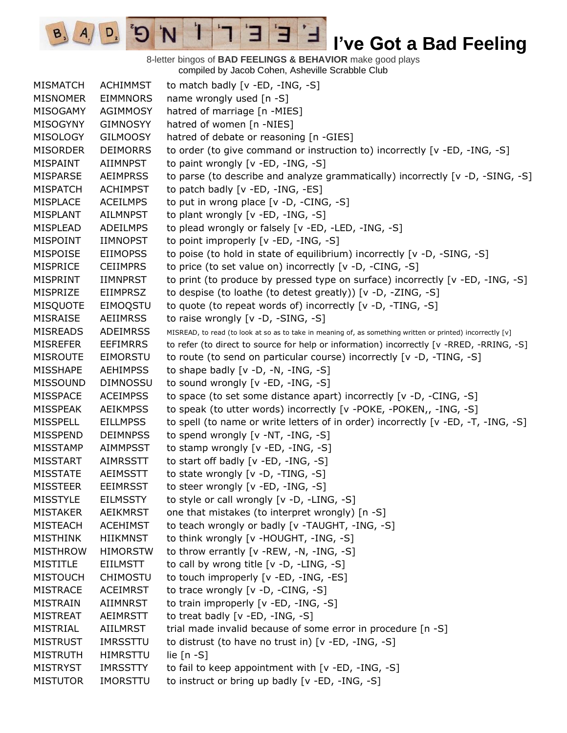8-letter bingos of **BAD FEELINGS & BEHAVIOR** make good plays compiled by Jacob Cohen, Asheville Scrabble Club

 $\overline{E}$ 

3

 $\mathbf{I}$ 

'N

 $B_3$ 

 $A_{1}$ 

 $D_{2}$ 

| <b>MISMATCH</b> | <b>ACHIMMST</b> | to match badly [v -ED, -ING, -S]                                                                           |
|-----------------|-----------------|------------------------------------------------------------------------------------------------------------|
| <b>MISNOMER</b> | <b>EIMMNORS</b> | name wrongly used [n -S]                                                                                   |
| MISOGAMY        | <b>AGIMMOSY</b> | hatred of marriage [n -MIES]                                                                               |
| <b>MISOGYNY</b> | <b>GIMNOSYY</b> | hatred of women [n -NIES]                                                                                  |
| <b>MISOLOGY</b> | <b>GILMOOSY</b> | hatred of debate or reasoning [n -GIES]                                                                    |
| <b>MISORDER</b> | <b>DEIMORRS</b> | to order (to give command or instruction to) incorrectly [v -ED, -ING, -S]                                 |
| MISPAINT        | AIIMNPST        | to paint wrongly [v -ED, -ING, -S]                                                                         |
| <b>MISPARSE</b> | <b>AEIMPRSS</b> | to parse (to describe and analyze grammatically) incorrectly [v -D, -SING, -S]                             |
| <b>MISPATCH</b> | <b>ACHIMPST</b> | to patch badly [v -ED, -ING, -ES]                                                                          |
| <b>MISPLACE</b> | <b>ACEILMPS</b> | to put in wrong place $[v -D, -CING, -S]$                                                                  |
| <b>MISPLANT</b> | <b>AILMNPST</b> | to plant wrongly [v -ED, -ING, -S]                                                                         |
| MISPLEAD        | <b>ADEILMPS</b> | to plead wrongly or falsely [v -ED, -LED, -ING, -S]                                                        |
| MISPOINT        | <b>IIMNOPST</b> | to point improperly [v -ED, -ING, -S]                                                                      |
| MISPOISE        | <b>EIIMOPSS</b> | to poise (to hold in state of equilibrium) incorrectly [v -D, -SING, -S]                                   |
| <b>MISPRICE</b> | <b>CEIIMPRS</b> | to price (to set value on) incorrectly [v -D, -CING, -S]                                                   |
| <b>MISPRINT</b> | <b>IIMNPRST</b> | to print (to produce by pressed type on surface) incorrectly [v -ED, -ING, -S]                             |
| MISPRIZE        | <b>EIIMPRSZ</b> | to despise (to loathe (to detest greatly)) [v -D, -ZING, -S]                                               |
| <b>MISQUOTE</b> | EIMOQSTU        | to quote (to repeat words of) incorrectly [v -D, -TING, -S]                                                |
| <b>MISRAISE</b> | <b>AEIIMRSS</b> | to raise wrongly [v -D, -SING, -S]                                                                         |
| <b>MISREADS</b> | <b>ADEIMRSS</b> | MISREAD, to read (to look at so as to take in meaning of, as something written or printed) incorrectly [v] |
| <b>MISREFER</b> | <b>EEFIMRRS</b> | to refer (to direct to source for help or information) incorrectly [v -RRED, -RRING, -S]                   |
| <b>MISROUTE</b> | <b>EIMORSTU</b> | to route (to send on particular course) incorrectly [v -D, -TING, -S]                                      |
| <b>MISSHAPE</b> | <b>AEHIMPSS</b> | to shape badly $[v -D, -N, -ING, -S]$                                                                      |
| <b>MISSOUND</b> | <b>DIMNOSSU</b> | to sound wrongly [v -ED, -ING, -S]                                                                         |
| <b>MISSPACE</b> | <b>ACEIMPSS</b> | to space (to set some distance apart) incorrectly [v -D, -CING, -S]                                        |
| <b>MISSPEAK</b> | <b>AEIKMPSS</b> | to speak (to utter words) incorrectly [v -POKE, -POKEN,, -ING, -S]                                         |
| <b>MISSPELL</b> | <b>EILLMPSS</b> | to spell (to name or write letters of in order) incorrectly [v -ED, -T, -ING, -S]                          |
| <b>MISSPEND</b> | <b>DEIMNPSS</b> | to spend wrongly [v -NT, -ING, -S]                                                                         |
| MISSTAMP        | <b>AIMMPSST</b> | to stamp wrongly [v -ED, -ING, -S]                                                                         |
| <b>MISSTART</b> | <b>AIMRSSTT</b> | to start off badly $[v - ED, -ING, -S]$                                                                    |
| <b>MISSTATE</b> | <b>AEIMSSTT</b> | to state wrongly [v -D, -TING, -S]                                                                         |
| <b>MISSTEER</b> | <b>EEIMRSST</b> | to steer wrongly [v -ED, -ING, -S]                                                                         |
| <b>MISSTYLE</b> | <b>EILMSSTY</b> | to style or call wrongly [v -D, -LING, -S]                                                                 |
| <b>MISTAKER</b> | <b>AEIKMRST</b> | one that mistakes (to interpret wrongly) [n -S]                                                            |
| <b>MISTEACH</b> | <b>ACEHIMST</b> | to teach wrongly or badly [v -TAUGHT, -ING, -S]                                                            |
| <b>MISTHINK</b> | <b>HIIKMNST</b> | to think wrongly [v -HOUGHT, -ING, -S]                                                                     |
| <b>MISTHROW</b> | <b>HIMORSTW</b> | to throw errantly [v -REW, -N, -ING, -S]                                                                   |
| <b>MISTITLE</b> | <b>EIILMSTT</b> | to call by wrong title [v -D, -LING, -S]                                                                   |
| <b>MISTOUCH</b> | <b>CHIMOSTU</b> | to touch improperly [v -ED, -ING, -ES]                                                                     |
| <b>MISTRACE</b> | <b>ACEIMRST</b> | to trace wrongly [v -D, -CING, -S]                                                                         |
| <b>MISTRAIN</b> | <b>AIIMNRST</b> | to train improperly [v -ED, -ING, -S]                                                                      |
| <b>MISTREAT</b> | AEIMRSTT        | to treat badly [v -ED, -ING, -S]                                                                           |
| MISTRIAL        | AIILMRST        | trial made invalid because of some error in procedure [n -S]                                               |
| <b>MISTRUST</b> | <b>IMRSSTTU</b> | to distrust (to have no trust in) [v -ED, -ING, -S]                                                        |
| <b>MISTRUTH</b> | <b>HIMRSTTU</b> | lie $[n - S]$                                                                                              |
| <b>MISTRYST</b> | <b>IMRSSTTY</b> | to fail to keep appointment with [v -ED, -ING, -S]                                                         |
| <b>MISTUTOR</b> | <b>IMORSTTU</b> | to instruct or bring up badly [v -ED, -ING, -S]                                                            |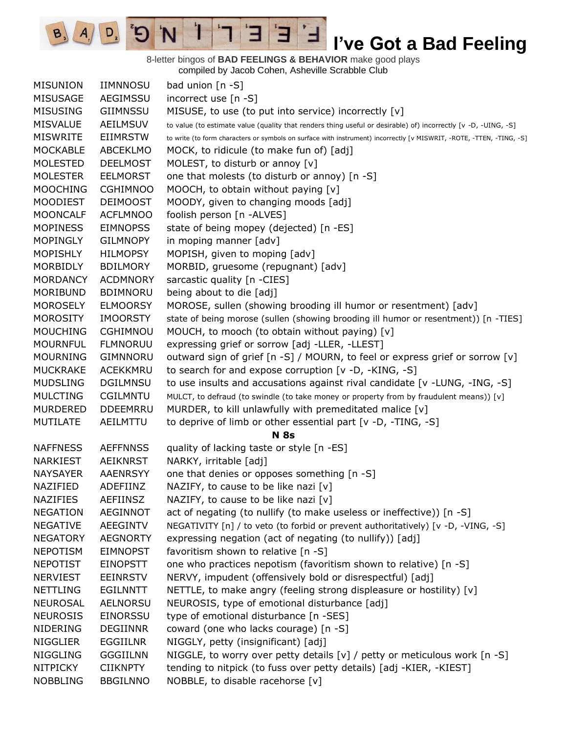8-letter bingos of **BAD FEELINGS & BEHAVIOR** make good plays compiled by Jacob Cohen, Asheville Scrabble Club

 $\overline{E}$ 

3

 $\mathbf{I}$ 

'N

 $B_3$ 

 $A_{1}$ 

 $D_{2}$ 

| <b>MISUNION</b> | <b>IIMNNOSU</b> | bad union $[n - S]$                                                                                                  |
|-----------------|-----------------|----------------------------------------------------------------------------------------------------------------------|
| <b>MISUSAGE</b> | AEGIMSSU        | incorrect use [n -S]                                                                                                 |
| <b>MISUSING</b> | <b>GIIMNSSU</b> | MISUSE, to use (to put into service) incorrectly [v]                                                                 |
| <b>MISVALUE</b> | <b>AEILMSUV</b> | to value (to estimate value (quality that renders thing useful or desirable) of) incorrectly [v -D, -UING, -S]       |
| <b>MISWRITE</b> | <b>EIIMRSTW</b> | to write (to form characters or symbols on surface with instrument) incorrectly [v MISWRIT, -ROTE, -TTEN, -TING, -S] |
| <b>MOCKABLE</b> | <b>ABCEKLMO</b> | MOCK, to ridicule (to make fun of) [adj]                                                                             |
| <b>MOLESTED</b> | <b>DEELMOST</b> | MOLEST, to disturb or annoy [v]                                                                                      |
| <b>MOLESTER</b> | <b>EELMORST</b> | one that molests (to disturb or annoy) [n -S]                                                                        |
| <b>MOOCHING</b> | <b>CGHIMNOO</b> | MOOCH, to obtain without paying [v]                                                                                  |
| <b>MOODIEST</b> | <b>DEIMOOST</b> | MOODY, given to changing moods [adj]                                                                                 |
| <b>MOONCALF</b> | <b>ACFLMNOO</b> | foolish person [n -ALVES]                                                                                            |
| <b>MOPINESS</b> | <b>EIMNOPSS</b> | state of being mopey (dejected) [n -ES]                                                                              |
| <b>MOPINGLY</b> | <b>GILMNOPY</b> | in moping manner [adv]                                                                                               |
| <b>MOPISHLY</b> | <b>HILMOPSY</b> | MOPISH, given to moping [adv]                                                                                        |
| <b>MORBIDLY</b> | <b>BDILMORY</b> | MORBID, gruesome (repugnant) [adv]                                                                                   |
| <b>MORDANCY</b> | <b>ACDMNORY</b> | sarcastic quality [n -CIES]                                                                                          |
| MORIBUND        | <b>BDIMNORU</b> | being about to die [adj]                                                                                             |
| <b>MOROSELY</b> | <b>ELMOORSY</b> | MOROSE, sullen (showing brooding ill humor or resentment) [adv]                                                      |
| <b>MOROSITY</b> | <b>IMOORSTY</b> | state of being morose (sullen (showing brooding ill humor or resentment)) [n -TIES]                                  |
| <b>MOUCHING</b> | <b>CGHIMNOU</b> | MOUCH, to mooch (to obtain without paying) [v]                                                                       |
| <b>MOURNFUL</b> | <b>FLMNORUU</b> | expressing grief or sorrow [adj -LLER, -LLEST]                                                                       |
| <b>MOURNING</b> | <b>GIMNNORU</b> | outward sign of grief [n -S] / MOURN, to feel or express grief or sorrow [v]                                         |
| <b>MUCKRAKE</b> | ACEKKMRU        | to search for and expose corruption [v -D, -KING, -S]                                                                |
| <b>MUDSLING</b> | <b>DGILMNSU</b> | to use insults and accusations against rival candidate $[v - LUNG, -ING, -S]$                                        |
| <b>MULCTING</b> | CGILMNTU        | MULCT, to defraud (to swindle (to take money or property from by fraudulent means)) [v]                              |
| <b>MURDERED</b> | <b>DDEEMRRU</b> | MURDER, to kill unlawfully with premeditated malice [v]                                                              |
| <b>MUTILATE</b> | AEILMTTU        | to deprive of limb or other essential part $[v -D, -TING, -S]$                                                       |
|                 |                 | <b>N</b> 8s                                                                                                          |
| <b>NAFFNESS</b> | <b>AEFFNNSS</b> | quality of lacking taste or style [n -ES]                                                                            |
| <b>NARKIEST</b> | <b>AEIKNRST</b> | NARKY, irritable [adj]                                                                                               |
| <b>NAYSAYER</b> | <b>AAENRSYY</b> | one that denies or opposes something [n -S]                                                                          |
| NAZIFIED        | ADEFIINZ        | NAZIFY, to cause to be like nazi [v]                                                                                 |
| <b>NAZIFIES</b> | <b>AEFIINSZ</b> | NAZIFY, to cause to be like nazi [v]                                                                                 |
| <b>NEGATION</b> | <b>AEGINNOT</b> | act of negating (to nullify (to make useless or ineffective)) [n -S]                                                 |
| <b>NEGATIVE</b> | AEEGINTV        | NEGATIVITY [n] / to veto (to forbid or prevent authoritatively) [v -D, -VING, -S]                                    |
| <b>NEGATORY</b> | <b>AEGNORTY</b> | expressing negation (act of negating (to nullify)) [adj]                                                             |
| <b>NEPOTISM</b> | <b>EIMNOPST</b> | favoritism shown to relative [n -S]                                                                                  |
| <b>NEPOTIST</b> | <b>EINOPSTT</b> | one who practices nepotism (favoritism shown to relative) [n -S]                                                     |
| <b>NERVIEST</b> | <b>EEINRSTV</b> | NERVY, impudent (offensively bold or disrespectful) [adj]                                                            |
| <b>NETTLING</b> | <b>EGILNNTT</b> | NETTLE, to make angry (feeling strong displeasure or hostility) [v]                                                  |
| <b>NEUROSAL</b> | <b>AELNORSU</b> | NEUROSIS, type of emotional disturbance [adj]                                                                        |
| <b>NEUROSIS</b> | <b>EINORSSU</b> | type of emotional disturbance [n -SES]                                                                               |
| <b>NIDERING</b> | <b>DEGIINNR</b> | coward (one who lacks courage) [n -S]                                                                                |
| <b>NIGGLIER</b> | <b>EGGIILNR</b> | NIGGLY, petty (insignificant) [adj]                                                                                  |
| <b>NIGGLING</b> | <b>GGGIILNN</b> | NIGGLE, to worry over petty details $[v]$ / petty or meticulous work $[n -S]$                                        |
| <b>NITPICKY</b> | <b>CIIKNPTY</b> | tending to nitpick (to fuss over petty details) [adj -KIER, -KIEST]                                                  |
| <b>NOBBLING</b> | <b>BBGILNNO</b> | NOBBLE, to disable racehorse [v]                                                                                     |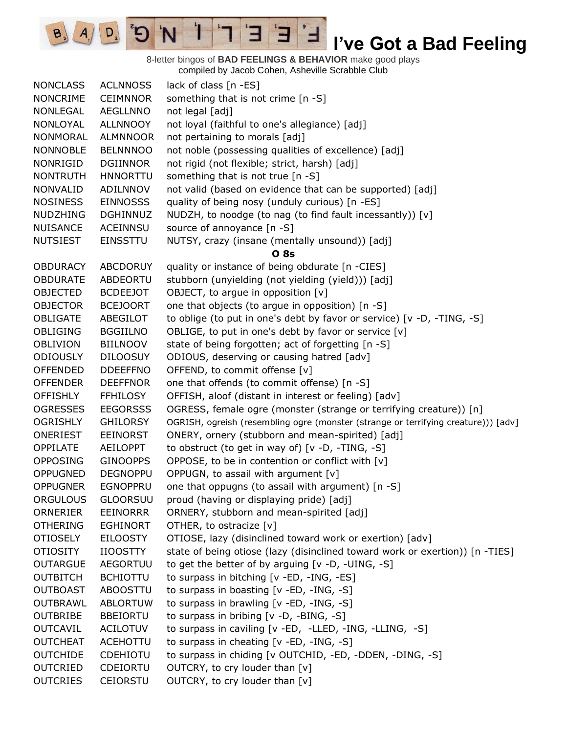8-letter bingos of **BAD FEELINGS & BEHAVIOR** make good plays compiled by Jacob Cohen, Asheville Scrabble Club

 $\overline{E}$ 

3

 $\mathbf{I}$ 

'N

 $B_3$ 

 $A_{1}$ 

 $D_{2}$ 

| <b>NONCLASS</b> | <b>ACLNNOSS</b> | lack of class [n -ES]                                                              |
|-----------------|-----------------|------------------------------------------------------------------------------------|
| <b>NONCRIME</b> | <b>CEIMNNOR</b> | something that is not crime [n -S]                                                 |
| NONLEGAL        | AEGLLNNO        | not legal [adj]                                                                    |
| NONLOYAL        | <b>ALLNNOOY</b> | not loyal (faithful to one's allegiance) [adj]                                     |
| NONMORAL        | <b>ALMNNOOR</b> | not pertaining to morals [adj]                                                     |
| <b>NONNOBLE</b> | <b>BELNNNOO</b> | not noble (possessing qualities of excellence) [adj]                               |
| NONRIGID        | DGIINNOR        | not rigid (not flexible; strict, harsh) [adj]                                      |
| <b>NONTRUTH</b> | <b>HNNORTTU</b> | something that is not true [n -S]                                                  |
| <b>NONVALID</b> | ADILNNOV        | not valid (based on evidence that can be supported) [adj]                          |
| <b>NOSINESS</b> | <b>EINNOSSS</b> | quality of being nosy (unduly curious) [n -ES]                                     |
| <b>NUDZHING</b> | <b>DGHINNUZ</b> | NUDZH, to noodge (to nag (to find fault incessantly)) [v]                          |
| <b>NUISANCE</b> | <b>ACEINNSU</b> | source of annoyance [n -S]                                                         |
| <b>NUTSIEST</b> | <b>EINSSTTU</b> | NUTSY, crazy (insane (mentally unsound)) [adj]                                     |
|                 |                 | <b>O</b> 8s                                                                        |
| <b>OBDURACY</b> | <b>ABCDORUY</b> | quality or instance of being obdurate [n -CIES]                                    |
| <b>OBDURATE</b> | ABDEORTU        | stubborn (unyielding (not yielding (yield))) [adj]                                 |
| <b>OBJECTED</b> | <b>BCDEEJOT</b> | OBJECT, to argue in opposition [v]                                                 |
| <b>OBJECTOR</b> | <b>BCEJOORT</b> | one that objects (to argue in opposition) [n -S]                                   |
| OBLIGATE        | ABEGILOT        | to oblige (to put in one's debt by favor or service) [v -D, -TING, -S]             |
| <b>OBLIGING</b> | <b>BGGIILNO</b> | OBLIGE, to put in one's debt by favor or service [v]                               |
| <b>OBLIVION</b> | <b>BIILNOOV</b> | state of being forgotten; act of forgetting [n -S]                                 |
| <b>ODIOUSLY</b> | <b>DILOOSUY</b> | ODIOUS, deserving or causing hatred [adv]                                          |
| <b>OFFENDED</b> | <b>DDEEFFNO</b> | OFFEND, to commit offense [v]                                                      |
| <b>OFFENDER</b> | <b>DEEFFNOR</b> | one that offends (to commit offense) [n -S]                                        |
| <b>OFFISHLY</b> | <b>FFHILOSY</b> | OFFISH, aloof (distant in interest or feeling) [adv]                               |
| <b>OGRESSES</b> | <b>EEGORSSS</b> | OGRESS, female ogre (monster (strange or terrifying creature)) [n]                 |
| <b>OGRISHLY</b> | <b>GHILORSY</b> | OGRISH, ogreish (resembling ogre (monster (strange or terrifying creature))) [adv] |
| ONERIEST        | <b>EEINORST</b> | ONERY, ornery (stubborn and mean-spirited) [adj]                                   |
| OPPILATE        | <b>AEILOPPT</b> | to obstruct (to get in way of) $[v -D, -TING, -S]$                                 |
| <b>OPPOSING</b> | <b>GINOOPPS</b> | OPPOSE, to be in contention or conflict with [v]                                   |
| <b>OPPUGNED</b> | <b>DEGNOPPU</b> | OPPUGN, to assail with argument [v]                                                |
| <b>OPPUGNER</b> | <b>EGNOPPRU</b> | one that oppugns (to assail with argument) [n -S]                                  |
| <b>ORGULOUS</b> | <b>GLOORSUU</b> | proud (having or displaying pride) [adj]                                           |
| ORNERIER        | EEINORRR        | ORNERY, stubborn and mean-spirited [adj]                                           |
| <b>OTHERING</b> | <b>EGHINORT</b> | OTHER, to ostracize [v]                                                            |
| <b>OTIOSELY</b> | <b>EILOOSTY</b> | OTIOSE, lazy (disinclined toward work or exertion) [adv]                           |
| <b>OTIOSITY</b> | <b>IIOOSTTY</b> | state of being otiose (lazy (disinclined toward work or exertion)) [n -TIES]       |
| <b>OUTARGUE</b> | <b>AEGORTUU</b> | to get the better of by arguing [v -D, -UING, -S]                                  |
| <b>OUTBITCH</b> | <b>BCHIOTTU</b> | to surpass in bitching [v -ED, -ING, -ES]                                          |
| <b>OUTBOAST</b> | <b>ABOOSTTU</b> | to surpass in boasting [v -ED, -ING, -S]                                           |
| <b>OUTBRAWL</b> | <b>ABLORTUW</b> | to surpass in brawling [v -ED, -ING, -S]                                           |
| <b>OUTBRIBE</b> | <b>BBEIORTU</b> | to surpass in bribing [v -D, -BING, -S]                                            |
| <b>OUTCAVIL</b> | <b>ACILOTUV</b> | to surpass in caviling [v -ED, -LLED, -ING, -LLING, -S]                            |
| <b>OUTCHEAT</b> | <b>ACEHOTTU</b> | to surpass in cheating [v -ED, -ING, -S]                                           |
| <b>OUTCHIDE</b> | <b>CDEHIOTU</b> | to surpass in chiding [v OUTCHID, -ED, -DDEN, -DING, -S]                           |
| <b>OUTCRIED</b> | CDEIORTU        | OUTCRY, to cry louder than [v]                                                     |
| <b>OUTCRIES</b> | <b>CEIORSTU</b> | OUTCRY, to cry louder than [v]                                                     |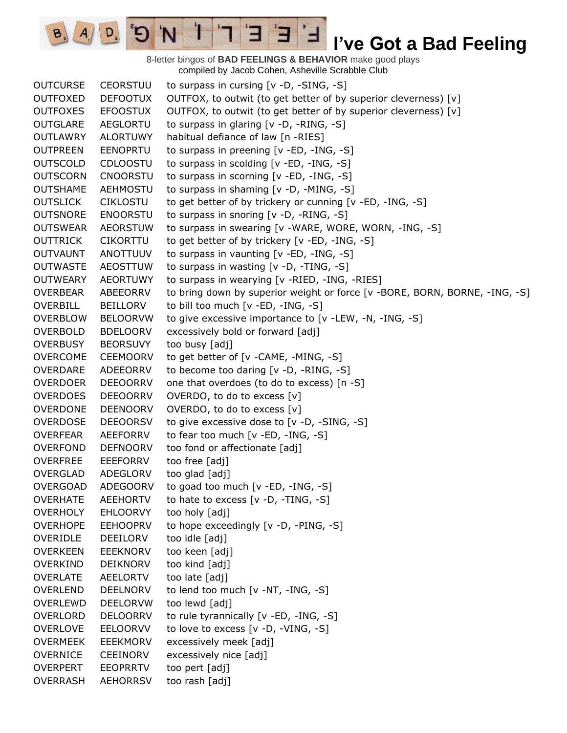8-letter bingos of **BAD FEELINGS & BEHAVIOR** make good plays compiled by Jacob Cohen, Asheville Scrabble Club

 $\blacksquare$ 

 $A/\sqrt{D}$  5

OUTCURSE CEORSTUU to surpass in cursing [v -D, -SING, -S] OUTFOXED DEFOOTUX OUTFOX, to outwit (to get better of by superior cleverness)  $[v]$ OUTFOXES EFOOSTUX OUTFOX, to outwit (to get better of by superior cleverness) [v] OUTGLARE AEGLORTU to surpass in glaring [v -D, -RING, -S] OUTLAWRY ALORTUWY habitual defiance of law [n -RIES] OUTPREEN EENOPRTU to surpass in preening [v -ED, -ING, -S] OUTSCOLD CDLOOSTU to surpass in scolding [v -ED, -ING, -S] OUTSCORN CNOORSTU to surpass in scorning [v -ED, -ING, -S] OUTSHAME AEHMOSTU to surpass in shaming [v -D, -MING, -S] OUTSLICK CIKLOSTU to get better of by trickery or cunning [v -ED, -ING, -S] OUTSNORE ENOORSTU to surpass in snoring [v -D, -RING, -S] OUTSWEAR AEORSTUW to surpass in swearing [v -WARE, WORE, WORN, -ING, -S] OUTTRICK CIKORTTU to get better of by trickery [v -ED, -ING, -S] OUTVAUNT ANOTTUUV to surpass in vaunting [v -ED, -ING, -S] OUTWASTE AEOSTTUW to surpass in wasting [v -D, -TING, -S] OUTWEARY AEORTUWY to surpass in wearying [v -RIED, -ING, -RIES] OVERBEAR ABEEORRV to bring down by superior weight or force [v -BORE, BORN, BORNE, -ING, -S] OVERBILL BEILLORV to bill too much [v -ED, -ING, -S] OVERBLOW BELOORVW to give excessive importance to [v -LEW, -N, -ING, -S] OVERBOLD BDELOORV excessively bold or forward [adj] OVERBUSY BEORSUVY too busy [adj] OVERCOME CEEMOORV to get better of [v -CAME, -MING, -S] OVERDARE ADEEORRV to become too daring [v -D, -RING, -S] OVERDOER DEEOORRV one that overdoes (to do to excess) [n -S] OVERDOES DEEOORRV OVERDO, to do to excess [v] OVERDONE DEENOORV OVERDO, to do to excess [v] OVERDOSE DEEOORSV to give excessive dose to [v -D, -SING, -S] OVERFEAR AEEFORRV to fear too much [v -ED, -ING, -S] OVERFOND DEFNOORV too fond or affectionate [adj] OVERFREE EEEFORRV too free [adj] OVERGLAD ADEGLORV too glad [adj] OVERGOAD ADEGOORV to goad too much [v -ED, -ING, -S] OVERHATE AEEHORTV to hate to excess [v -D, -TING, -S] OVERHOLY EHLOORVY too holy [adj] OVERHOPE EEHOOPRV to hope exceedingly [v -D, -PING, -S] OVERIDLE DEEILORV too idle [adj] OVERKEEN EEEKNORV too keen [adj] OVERKIND DEIKNORV too kind [adj] OVERLATE AEELORTV too late [adj] OVERLEND DEELNORV to lend too much [v -NT, -ING, -S] OVERLEWD DEELORVW too lewd [adj] OVERLORD DELOORRV to rule tyrannically [v -ED, -ING, -S] OVERLOVE EELOORVV to love to excess [v -D, -VING, -S] OVERMEEK EEEKMORV excessively meek [adj] OVERNICE CEEINORV excessively nice [adj] OVERPERT EEOPRRTV too pert [adj] OVERRASH AEHORRSV too rash [adj]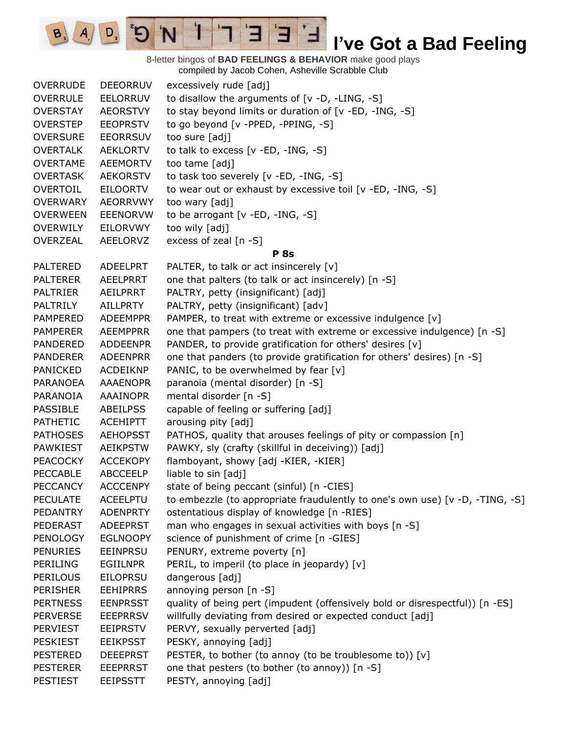8-letter bingos of **BAD FEELINGS & BEHAVIOR** make good plays compiled by Jacob Cohen, Asheville Scrabble Club

 $\overline{E}$ 

3

 $\mathbf{I}$ 

'N

 $B_3$ 

 $A_{1}$ 

 $D_{2}$ 

| <b>OVERRUDE</b> | <b>DEEORRUV</b> | excessively rude [adj]                                                       |
|-----------------|-----------------|------------------------------------------------------------------------------|
| <b>OVERRULE</b> | <b>EELORRUV</b> | to disallow the arguments of $[v -D, -LING, -S]$                             |
| <b>OVERSTAY</b> | <b>AEORSTVY</b> | to stay beyond limits or duration of [v -ED, -ING, -S]                       |
| <b>OVERSTEP</b> | <b>EEOPRSTV</b> | to go beyond [v -PPED, -PPING, -S]                                           |
| <b>OVERSURE</b> | <b>EEORRSUV</b> | too sure [adj]                                                               |
| <b>OVERTALK</b> | <b>AEKLORTV</b> | to talk to excess $[v - ED, -ING, -S]$                                       |
| <b>OVERTAME</b> | <b>AEEMORTV</b> | too tame [adj]                                                               |
| <b>OVERTASK</b> | <b>AEKORSTV</b> | to task too severely [v -ED, -ING, -S]                                       |
| OVERTOIL        | <b>EILOORTV</b> | to wear out or exhaust by excessive toil [v -ED, -ING, -S]                   |
| <b>OVERWARY</b> | <b>AEORRVWY</b> | too wary [adj]                                                               |
| <b>OVERWEEN</b> | <b>EEENORVW</b> | to be arrogant [v -ED, -ING, -S]                                             |
| <b>OVERWILY</b> | EILORVWY        | too wily [adj]                                                               |
| OVERZEAL        | AEELORVZ        | excess of zeal [n -S]                                                        |
|                 |                 | <b>P</b> 8s                                                                  |
| <b>PALTERED</b> | <b>ADEELPRT</b> | PALTER, to talk or act insincerely [v]                                       |
| <b>PALTERER</b> | <b>AEELPRRT</b> | one that palters (to talk or act insincerely) [n -S]                         |
| <b>PALTRIER</b> | AEILPRRT        | PALTRY, petty (insignificant) [adj]                                          |
| <b>PALTRILY</b> | <b>AILLPRTY</b> | PALTRY, petty (insignificant) [adv]                                          |
| <b>PAMPERED</b> | <b>ADEEMPPR</b> | PAMPER, to treat with extreme or excessive indulgence [v]                    |
| <b>PAMPERER</b> | <b>AEEMPPRR</b> | one that pampers (to treat with extreme or excessive indulgence) [n -S]      |
| <b>PANDERED</b> | <b>ADDEENPR</b> | PANDER, to provide gratification for others' desires [v]                     |
| <b>PANDERER</b> | <b>ADEENPRR</b> | one that panders (to provide gratification for others' desires) [n -S]       |
| <b>PANICKED</b> | <b>ACDEIKNP</b> | PANIC, to be overwhelmed by fear [v]                                         |
| <b>PARANOEA</b> | <b>AAAENOPR</b> | paranoia (mental disorder) [n -S]                                            |
| PARANOIA        | <b>AAAINOPR</b> | mental disorder [n -S]                                                       |
| PASSIBLE        | <b>ABEILPSS</b> | capable of feeling or suffering [adj]                                        |
| <b>PATHETIC</b> | <b>ACEHIPTT</b> | arousing pity [adj]                                                          |
| <b>PATHOSES</b> | <b>AEHOPSST</b> | PATHOS, quality that arouses feelings of pity or compassion [n]              |
| <b>PAWKIEST</b> | <b>AEIKPSTW</b> | PAWKY, sly (crafty (skillful in deceiving)) [adj]                            |
| <b>PEACOCKY</b> | <b>ACCEKOPY</b> | flamboyant, showy [adj -KIER, -KIER]                                         |
| <b>PECCABLE</b> | <b>ABCCEELP</b> | liable to sin [adj]                                                          |
| <b>PECCANCY</b> | <b>ACCCENPY</b> | state of being peccant (sinful) [n -CIES]                                    |
| <b>PECULATE</b> | <b>ACEELPTU</b> | to embezzle (to appropriate fraudulently to one's own use) [v -D, -TING, -S] |
| <b>PEDANTRY</b> | <b>ADENPRTY</b> | ostentatious display of knowledge [n -RIES]                                  |
| PEDERAST        | <b>ADEEPRST</b> | man who engages in sexual activities with boys [n -S]                        |
| <b>PENOLOGY</b> | <b>EGLNOOPY</b> | science of punishment of crime [n -GIES]                                     |
| <b>PENURIES</b> | <b>EEINPRSU</b> | PENURY, extreme poverty [n]                                                  |
| <b>PERILING</b> | <b>EGIILNPR</b> | PERIL, to imperil (to place in jeopardy) [v]                                 |
| <b>PERILOUS</b> | <b>EILOPRSU</b> | dangerous [adj]                                                              |
| <b>PERISHER</b> | <b>EEHIPRRS</b> | annoying person [n -S]                                                       |
| <b>PERTNESS</b> | <b>EENPRSST</b> | quality of being pert (impudent (offensively bold or disrespectful)) [n -ES] |
| <b>PERVERSE</b> | <b>EEEPRRSV</b> | willfully deviating from desired or expected conduct [adj]                   |
| <b>PERVIEST</b> | <b>EEIPRSTV</b> | PERVY, sexually perverted [adj]                                              |
| <b>PESKIEST</b> | <b>EEIKPSST</b> | PESKY, annoying [adj]                                                        |
| <b>PESTERED</b> | <b>DEEEPRST</b> | PESTER, to bother (to annoy (to be troublesome to)) [v]                      |
| <b>PESTERER</b> | <b>EEEPRRST</b> | one that pesters (to bother (to annoy)) [n -S]                               |
| <b>PESTIEST</b> | <b>EEIPSSTT</b> | PESTY, annoying [adj]                                                        |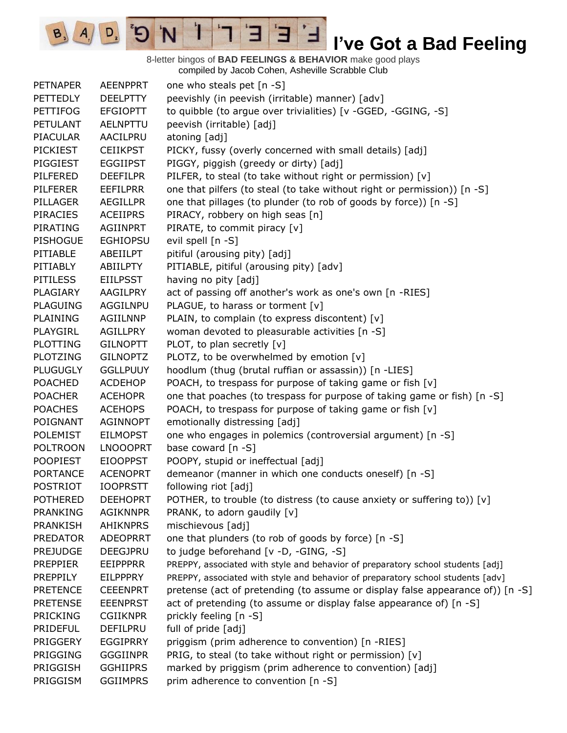8-letter bingos of **BAD FEELINGS & BEHAVIOR** make good plays compiled by Jacob Cohen, Asheville Scrabble Club

 $\overline{E}$ 

ᅼ

3

 $\mathbf{I}$ 

'N

 $B, A,$ 

 $D_{2}$ 

 $\mathbf{G}^{\mathbf{S}}$ 

| <b>PETNAPER</b> | <b>AEENPPRT</b> | one who steals pet [n -S]                                                       |
|-----------------|-----------------|---------------------------------------------------------------------------------|
| <b>PETTEDLY</b> | <b>DEELPTTY</b> | peevishly (in peevish (irritable) manner) [adv]                                 |
| <b>PETTIFOG</b> | <b>EFGIOPTT</b> | to quibble (to argue over trivialities) [v -GGED, -GGING, -S]                   |
| <b>PETULANT</b> | <b>AELNPTTU</b> | peevish (irritable) [adj]                                                       |
| <b>PIACULAR</b> | AACILPRU        | atoning [adj]                                                                   |
| PICKIEST        | <b>CEIIKPST</b> | PICKY, fussy (overly concerned with small details) [adj]                        |
| PIGGIEST        | <b>EGGIIPST</b> | PIGGY, piggish (greedy or dirty) [adj]                                          |
| PILFERED        | <b>DEEFILPR</b> | PILFER, to steal (to take without right or permission) [v]                      |
| <b>PILFERER</b> | <b>EEFILPRR</b> | one that pilfers (to steal (to take without right or permission)) [n -S]        |
| PILLAGER        | <b>AEGILLPR</b> | one that pillages (to plunder (to rob of goods by force)) [n -S]                |
| <b>PIRACIES</b> | <b>ACEIIPRS</b> | PIRACY, robbery on high seas [n]                                                |
| PIRATING        | AGIINPRT        | PIRATE, to commit piracy [v]                                                    |
| <b>PISHOGUE</b> | <b>EGHIOPSU</b> | evil spell [n -S]                                                               |
| PITIABLE        | ABEIILPT        | pitiful (arousing pity) [adj]                                                   |
| PITIABLY        | ABIILPTY        | PITIABLE, pitiful (arousing pity) [adv]                                         |
| <b>PITILESS</b> | <b>EIILPSST</b> | having no pity [adj]                                                            |
| PLAGIARY        | AAGILPRY        | act of passing off another's work as one's own [n -RIES]                        |
| <b>PLAGUING</b> | AGGILNPU        | PLAGUE, to harass or torment [v]                                                |
| PLAINING        | <b>AGIILNNP</b> | PLAIN, to complain (to express discontent) [v]                                  |
| PLAYGIRL        | <b>AGILLPRY</b> | woman devoted to pleasurable activities [n -S]                                  |
| <b>PLOTTING</b> | <b>GILNOPTT</b> | PLOT, to plan secretly [v]                                                      |
| <b>PLOTZING</b> | <b>GILNOPTZ</b> | PLOTZ, to be overwhelmed by emotion [v]                                         |
| <b>PLUGUGLY</b> | <b>GGLLPUUY</b> | hoodlum (thug (brutal ruffian or assassin)) [n -LIES]                           |
| <b>POACHED</b>  | <b>ACDEHOP</b>  | POACH, to trespass for purpose of taking game or fish [v]                       |
| <b>POACHER</b>  | <b>ACEHOPR</b>  | one that poaches (to trespass for purpose of taking game or fish) [n -S]        |
| <b>POACHES</b>  | <b>ACEHOPS</b>  | POACH, to trespass for purpose of taking game or fish [v]                       |
| POIGNANT        | <b>AGINNOPT</b> | emotionally distressing [adj]                                                   |
| <b>POLEMIST</b> | <b>EILMOPST</b> | one who engages in polemics (controversial argument) [n -S]                     |
| <b>POLTROON</b> | <b>LNOOOPRT</b> | base coward [n -S]                                                              |
| <b>POOPIEST</b> | <b>EIOOPPST</b> | POOPY, stupid or ineffectual [adj]                                              |
| <b>PORTANCE</b> | <b>ACENOPRT</b> | demeanor (manner in which one conducts oneself) [n -S]                          |
| <b>POSTRIOT</b> | <b>IOOPRSTT</b> | following riot [adj]                                                            |
| <b>POTHERED</b> | <b>DEEHOPRT</b> | POTHER, to trouble (to distress (to cause anxiety or suffering to)) [v]         |
| <b>PRANKING</b> | <b>AGIKNNPR</b> | PRANK, to adorn gaudily [v]                                                     |
| <b>PRANKISH</b> | <b>AHIKNPRS</b> | mischievous [adj]                                                               |
| <b>PREDATOR</b> | ADEOPRRT        | one that plunders (to rob of goods by force) [n -S]                             |
| <b>PREJUDGE</b> | <b>DEEGJPRU</b> | to judge beforehand [v -D, -GING, -S]                                           |
| <b>PREPPIER</b> | <b>EEIPPPRR</b> | PREPPY, associated with style and behavior of preparatory school students [adj] |
| <b>PREPPILY</b> | <b>EILPPPRY</b> | PREPPY, associated with style and behavior of preparatory school students [adv] |
| <b>PRETENCE</b> | <b>CEEENPRT</b> | pretense (act of pretending (to assume or display false appearance of)) [n -S]  |
| <b>PRETENSE</b> | <b>EEENPRST</b> | act of pretending (to assume or display false appearance of) [n -S]             |
| <b>PRICKING</b> | <b>CGIIKNPR</b> | prickly feeling [n -S]                                                          |
| <b>PRIDEFUL</b> | DEFILPRU        | full of pride [adj]                                                             |
| PRIGGERY        | <b>EGGIPRRY</b> | priggism (prim adherence to convention) [n -RIES]                               |
| <b>PRIGGING</b> | <b>GGGIINPR</b> | PRIG, to steal (to take without right or permission) [v]                        |
| PRIGGISH        | <b>GGHIIPRS</b> | marked by priggism (prim adherence to convention) [adj]                         |
| PRIGGISM        | <b>GGIIMPRS</b> | prim adherence to convention [n -S]                                             |
|                 |                 |                                                                                 |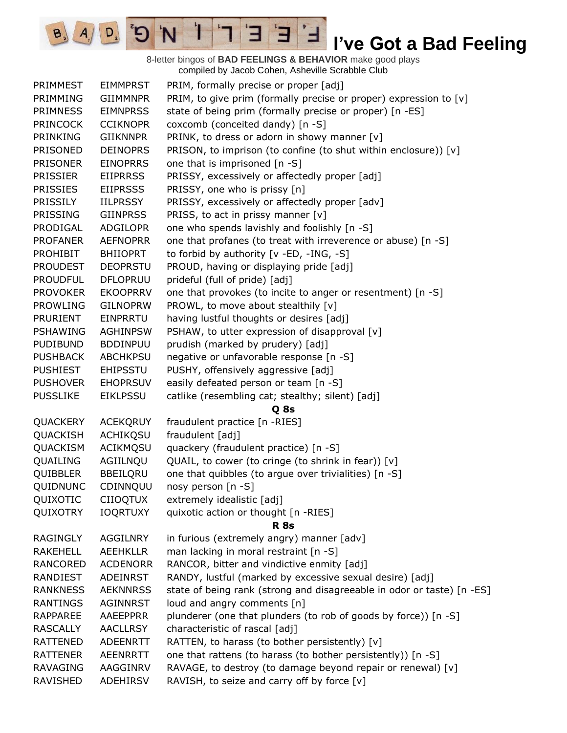8-letter bingos of **BAD FEELINGS & BEHAVIOR** make good plays compiled by Jacob Cohen, Asheville Scrabble Club

 $\mathbf{E}$ 

Ⅎ

Е

 $\mathbf{1}$ 

'N

 $\mathbf{G}^{\prime}$ 

 $\boxed{\mathsf{D}_2}$ 

 $B_3$   $A_1$ 

| PRIMMEST        | <b>EIMMPRST</b> | PRIM, formally precise or proper [adj]                                 |
|-----------------|-----------------|------------------------------------------------------------------------|
| PRIMMING        | <b>GIIMMNPR</b> | PRIM, to give prim (formally precise or proper) expression to [v]      |
| <b>PRIMNESS</b> | <b>EIMNPRSS</b> | state of being prim (formally precise or proper) [n -ES]               |
| <b>PRINCOCK</b> | <b>CCIKNOPR</b> | coxcomb (conceited dandy) [n -S]                                       |
| PRINKING        | <b>GIIKNNPR</b> | PRINK, to dress or adorn in showy manner [v]                           |
| <b>PRISONED</b> | <b>DEINOPRS</b> | PRISON, to imprison (to confine (to shut within enclosure)) [v]        |
| <b>PRISONER</b> | <b>EINOPRRS</b> | one that is imprisoned [n -S]                                          |
| <b>PRISSIER</b> | <b>EIIPRRSS</b> | PRISSY, excessively or affectedly proper [adj]                         |
| <b>PRISSIES</b> | <b>EIIPRSSS</b> | PRISSY, one who is prissy [n]                                          |
| <b>PRISSILY</b> | <b>IILPRSSY</b> | PRISSY, excessively or affectedly proper [adv]                         |
| <b>PRISSING</b> | <b>GIINPRSS</b> | PRISS, to act in prissy manner [v]                                     |
| PRODIGAL        | <b>ADGILOPR</b> | one who spends lavishly and foolishly [n -S]                           |
| <b>PROFANER</b> | <b>AEFNOPRR</b> | one that profanes (to treat with irreverence or abuse) [n -S]          |
| PROHIBIT        | <b>BHIIOPRT</b> | to forbid by authority [v -ED, -ING, -S]                               |
| <b>PROUDEST</b> | <b>DEOPRSTU</b> | PROUD, having or displaying pride [adj]                                |
| <b>PROUDFUL</b> | <b>DFLOPRUU</b> | prideful (full of pride) [adj]                                         |
| <b>PROVOKER</b> | <b>EKOOPRRV</b> | one that provokes (to incite to anger or resentment) [n -S]            |
| <b>PROWLING</b> | <b>GILNOPRW</b> | PROWL, to move about stealthily [v]                                    |
| PRURIENT        | EINPRRTU        | having lustful thoughts or desires [adj]                               |
| <b>PSHAWING</b> | <b>AGHINPSW</b> | PSHAW, to utter expression of disapproval [v]                          |
| <b>PUDIBUND</b> | <b>BDDINPUU</b> | prudish (marked by prudery) [adj]                                      |
| <b>PUSHBACK</b> | <b>ABCHKPSU</b> | negative or unfavorable response [n -S]                                |
| <b>PUSHIEST</b> | <b>EHIPSSTU</b> | PUSHY, offensively aggressive [adj]                                    |
| <b>PUSHOVER</b> | <b>EHOPRSUV</b> | easily defeated person or team [n -S]                                  |
| <b>PUSSLIKE</b> | <b>EIKLPSSU</b> | catlike (resembling cat; stealthy; silent) [adj]                       |
|                 |                 | Q 8s                                                                   |
| QUACKERY        | <b>ACEKQRUY</b> | fraudulent practice [n -RIES]                                          |
| QUACKISH        | ACHIKQSU        | fraudulent [adj]                                                       |
| QUACKISM        | ACIKMQSU        | quackery (fraudulent practice) [n -S]                                  |
| QUAILING        | AGIILNQU        | QUAIL, to cower (to cringe (to shrink in fear)) [v]                    |
| QUIBBLER        | BBEILQRU        | one that quibbles (to argue over trivialities) [n -S]                  |
| QUIDNUNC        | CDINNQUU        | nosy person [n -S]                                                     |
| QUIXOTIC        | <b>CIIOQTUX</b> | extremely idealistic [adj]                                             |
| QUIXOTRY        | <b>IOQRTUXY</b> | quixotic action or thought [n -RIES]                                   |
|                 |                 | <b>R</b> 8s                                                            |
| RAGINGLY        | AGGILNRY        | in furious (extremely angry) manner [adv]                              |
| <b>RAKEHELL</b> | <b>AEEHKLLR</b> | man lacking in moral restraint [n -S]                                  |
| <b>RANCORED</b> | <b>ACDENORR</b> | RANCOR, bitter and vindictive enmity [adj]                             |
| RANDIEST        | ADEINRST        | RANDY, lustful (marked by excessive sexual desire) [adj]               |
| <b>RANKNESS</b> | <b>AEKNNRSS</b> | state of being rank (strong and disagreeable in odor or taste) [n -ES] |
| <b>RANTINGS</b> | AGINNRST        | loud and angry comments [n]                                            |
| RAPPAREE        | AAEEPPRR        | plunderer (one that plunders (to rob of goods by force)) [n -S]        |
| <b>RASCALLY</b> | <b>AACLLRSY</b> | characteristic of rascal [adj]                                         |
| <b>RATTENED</b> | <b>ADEENRTT</b> | RATTEN, to harass (to bother persistently) [v]                         |
| <b>RATTENER</b> | AEENRRTT        | one that rattens (to harass (to bother persistently)) [n -S]           |
| <b>RAVAGING</b> | AAGGINRV        | RAVAGE, to destroy (to damage beyond repair or renewal) [v]            |
| RAVISHED        | ADEHIRSV        | RAVISH, to seize and carry off by force [v]                            |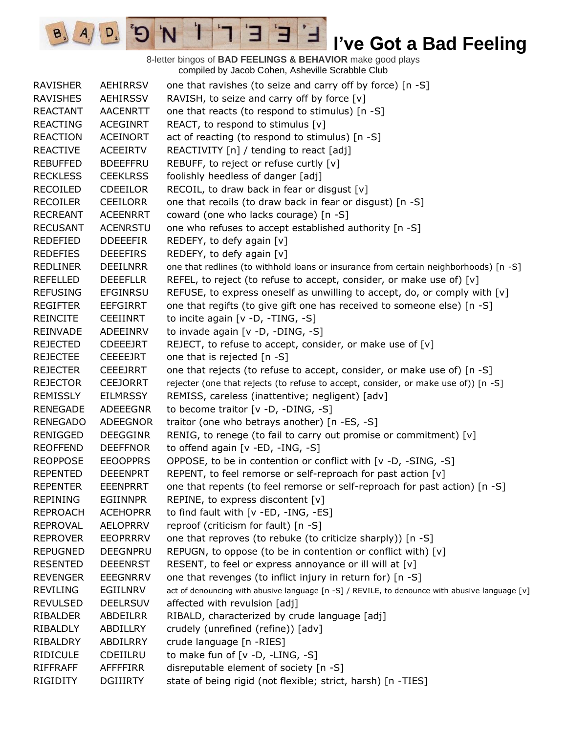8-letter bingos of **BAD FEELINGS & BEHAVIOR** make good plays compiled by Jacob Cohen, Asheville Scrabble Club

 $\overline{E}$ 

3

 $\mathbf{I}$ 

'N

 $B_3$ 

 $A_{1}$ 

 $D_{2}$ 

| <b>RAVISHER</b> | <b>AEHIRRSV</b> | one that ravishes (to seize and carry off by force) [n -S]                                     |
|-----------------|-----------------|------------------------------------------------------------------------------------------------|
| <b>RAVISHES</b> | <b>AEHIRSSV</b> | RAVISH, to seize and carry off by force [v]                                                    |
| <b>REACTANT</b> | <b>AACENRTT</b> | one that reacts (to respond to stimulus) [n -S]                                                |
| <b>REACTING</b> | <b>ACEGINRT</b> | REACT, to respond to stimulus [v]                                                              |
| <b>REACTION</b> | <b>ACEINORT</b> | act of reacting (to respond to stimulus) [n -S]                                                |
| <b>REACTIVE</b> | <b>ACEEIRTV</b> | REACTIVITY [n] / tending to react [adj]                                                        |
| <b>REBUFFED</b> | <b>BDEEFFRU</b> | REBUFF, to reject or refuse curtly [v]                                                         |
| <b>RECKLESS</b> | <b>CEEKLRSS</b> | foolishly heedless of danger [adj]                                                             |
| <b>RECOILED</b> | <b>CDEEILOR</b> | RECOIL, to draw back in fear or disgust $[v]$                                                  |
| <b>RECOILER</b> | <b>CEEILORR</b> | one that recoils (to draw back in fear or disgust) [n -S]                                      |
| <b>RECREANT</b> | <b>ACEENRRT</b> | coward (one who lacks courage) [n -S]                                                          |
| <b>RECUSANT</b> | <b>ACENRSTU</b> | one who refuses to accept established authority [n -S]                                         |
| REDEFIED        | <b>DDEEEFIR</b> | REDEFY, to defy again [v]                                                                      |
| <b>REDEFIES</b> | <b>DEEEFIRS</b> | REDEFY, to defy again [v]                                                                      |
| <b>REDLINER</b> | <b>DEEILNRR</b> | one that redlines (to withhold loans or insurance from certain neighborhoods) [n -S]           |
| <b>REFELLED</b> | <b>DEEEFLLR</b> | REFEL, to reject (to refuse to accept, consider, or make use of) [v]                           |
| <b>REFUSING</b> | <b>EFGINRSU</b> | REFUSE, to express oneself as unwilling to accept, do, or comply with [v]                      |
| <b>REGIFTER</b> | <b>EEFGIRRT</b> | one that regifts (to give gift one has received to someone else) [n -S]                        |
| <b>REINCITE</b> | <b>CEEIINRT</b> | to incite again [v -D, -TING, -S]                                                              |
| REINVADE        | ADEEINRV        | to invade again [v -D, -DING, -S]                                                              |
| <b>REJECTED</b> | <b>CDEEEJRT</b> | REJECT, to refuse to accept, consider, or make use of [v]                                      |
| <b>REJECTEE</b> | <b>CEEEEJRT</b> | one that is rejected [n -S]                                                                    |
| <b>REJECTER</b> | <b>CEEEJRRT</b> | one that rejects (to refuse to accept, consider, or make use of) [n -S]                        |
| <b>REJECTOR</b> | <b>CEEJORRT</b> | rejecter (one that rejects (to refuse to accept, consider, or make use of)) [n -S]             |
| <b>REMISSLY</b> | <b>EILMRSSY</b> | REMISS, careless (inattentive; negligent) [adv]                                                |
| <b>RENEGADE</b> | ADEEEGNR        | to become traitor $[v -D, -DING, -S]$                                                          |
| <b>RENEGADO</b> | <b>ADEEGNOR</b> | traitor (one who betrays another) [n -ES, -S]                                                  |
| <b>RENIGGED</b> | <b>DEEGGINR</b> | RENIG, to renege (to fail to carry out promise or commitment) [v]                              |
| <b>REOFFEND</b> | <b>DEEFFNOR</b> | to offend again [v -ED, -ING, -S]                                                              |
| <b>REOPPOSE</b> | <b>EEOOPPRS</b> | OPPOSE, to be in contention or conflict with [v -D, -SING, -S]                                 |
| <b>REPENTED</b> | <b>DEEENPRT</b> | REPENT, to feel remorse or self-reproach for past action [v]                                   |
| <b>REPENTER</b> | <b>EEENPRRT</b> | one that repents (to feel remorse or self-reproach for past action) [n -S]                     |
| <b>REPINING</b> | <b>EGIINNPR</b> | REPINE, to express discontent [v]                                                              |
| <b>REPROACH</b> | <b>ACEHOPRR</b> | to find fault with [v -ED, -ING, -ES]                                                          |
| <b>REPROVAL</b> | <b>AELOPRRV</b> | reproof (criticism for fault) [n -S]                                                           |
| <b>REPROVER</b> | <b>EEOPRRRV</b> | one that reproves (to rebuke (to criticize sharply)) [n -S]                                    |
| <b>REPUGNED</b> | <b>DEEGNPRU</b> | REPUGN, to oppose (to be in contention or conflict with) [v]                                   |
| <b>RESENTED</b> | <b>DEEENRST</b> | RESENT, to feel or express annoyance or ill will at [v]                                        |
| <b>REVENGER</b> | <b>EEEGNRRV</b> | one that revenges (to inflict injury in return for) [n -S]                                     |
| <b>REVILING</b> | EGIILNRV        | act of denouncing with abusive language [n -S] / REVILE, to denounce with abusive language [v] |
| <b>REVULSED</b> | <b>DEELRSUV</b> | affected with revulsion [adj]                                                                  |
| RIBALDER        | ABDEILRR        | RIBALD, characterized by crude language [adj]                                                  |
| RIBALDLY        | ABDILLRY        | crudely (unrefined (refine)) [adv]                                                             |
| RIBALDRY        | ABDILRRY        | crude language [n -RIES]                                                                       |
| <b>RIDICULE</b> | CDEIILRU        | to make fun of [v -D, -LING, -S]                                                               |
| <b>RIFFRAFF</b> | <b>AFFFFIRR</b> | disreputable element of society [n -S]                                                         |
| RIGIDITY        | <b>DGIIIRTY</b> | state of being rigid (not flexible; strict, harsh) [n -TIES]                                   |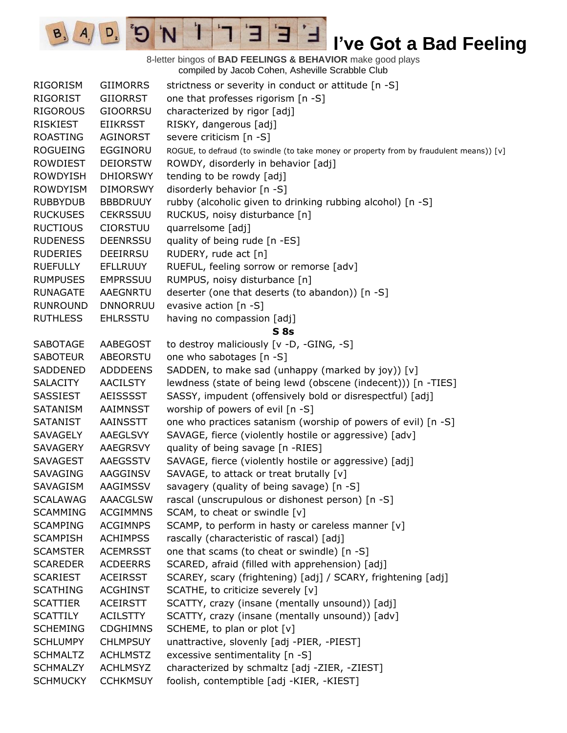8-letter bingos of **BAD FEELINGS & BEHAVIOR** make good plays compiled by Jacob Cohen, Asheville Scrabble Club

 $E$ 

3

 $\mathbf{I}$ 

'N

 $B_3$ 

 $A_{1}$ 

 $D_{2}$ 

| RIGORISM        | <b>GIIMORRS</b> | strictness or severity in conduct or attitude [n -S]                                    |
|-----------------|-----------------|-----------------------------------------------------------------------------------------|
| RIGORIST        | GIIORRST        | one that professes rigorism [n -S]                                                      |
| <b>RIGOROUS</b> | <b>GIOORRSU</b> | characterized by rigor [adj]                                                            |
| <b>RISKIEST</b> | <b>EIIKRSST</b> | RISKY, dangerous [adj]                                                                  |
| ROASTING        | AGINORST        | severe criticism [n -S]                                                                 |
| <b>ROGUEING</b> | EGGINORU        | ROGUE, to defraud (to swindle (to take money or property from by fraudulent means)) [v] |
| <b>ROWDIEST</b> | <b>DEIORSTW</b> | ROWDY, disorderly in behavior [adj]                                                     |
| <b>ROWDYISH</b> | <b>DHIORSWY</b> | tending to be rowdy [adj]                                                               |
| <b>ROWDYISM</b> | <b>DIMORSWY</b> | disorderly behavior [n -S]                                                              |
| <b>RUBBYDUB</b> | <b>BBBDRUUY</b> | rubby (alcoholic given to drinking rubbing alcohol) [n -S]                              |
| <b>RUCKUSES</b> | <b>CEKRSSUU</b> | RUCKUS, noisy disturbance [n]                                                           |
| <b>RUCTIOUS</b> | <b>CIORSTUU</b> | quarrelsome [adj]                                                                       |
| <b>RUDENESS</b> | <b>DEENRSSU</b> | quality of being rude [n -ES]                                                           |
| <b>RUDERIES</b> | DEEIRRSU        | RUDERY, rude act [n]                                                                    |
| <b>RUEFULLY</b> | <b>EFLLRUUY</b> | RUEFUL, feeling sorrow or remorse [adv]                                                 |
| <b>RUMPUSES</b> | <b>EMPRSSUU</b> | RUMPUS, noisy disturbance [n]                                                           |
| <b>RUNAGATE</b> | <b>AAEGNRTU</b> | deserter (one that deserts (to abandon)) [n -S]                                         |
| <b>RUNROUND</b> | <b>DNNORRUU</b> | evasive action [n -S]                                                                   |
| <b>RUTHLESS</b> | <b>EHLRSSTU</b> | having no compassion [adj]                                                              |
|                 |                 | S <sub>8s</sub>                                                                         |
| <b>SABOTAGE</b> | AABEGOST        | to destroy maliciously [v -D, -GING, -S]                                                |
| <b>SABOTEUR</b> | ABEORSTU        | one who sabotages [n -S]                                                                |
| SADDENED        | <b>ADDDEENS</b> | SADDEN, to make sad (unhappy (marked by joy)) [v]                                       |
| <b>SALACITY</b> | <b>AACILSTY</b> | lewdness (state of being lewd (obscene (indecent))) [n -TIES]                           |
| SASSIEST        | AEISSSST        | SASSY, impudent (offensively bold or disrespectful) [adj]                               |
| SATANISM        | AAIMNSST        | worship of powers of evil [n -S]                                                        |
| <b>SATANIST</b> | AAINSSTT        | one who practices satanism (worship of powers of evil) [n -S]                           |
| SAVAGELY        | AAEGLSVY        | SAVAGE, fierce (violently hostile or aggressive) [adv]                                  |
| SAVAGERY        | AAEGRSVY        | quality of being savage [n -RIES]                                                       |
| SAVAGEST        | AAEGSSTV        | SAVAGE, fierce (violently hostile or aggressive) [adj]                                  |
| <b>SAVAGING</b> | AAGGINSV        | SAVAGE, to attack or treat brutally [v]                                                 |
| SAVAGISM        | AAGIMSSV        | savagery (quality of being savage) [n -S]                                               |
| <b>SCALAWAG</b> | <b>AAACGLSW</b> | rascal (unscrupulous or dishonest person) [n -S]                                        |
| <b>SCAMMING</b> | <b>ACGIMMNS</b> | SCAM, to cheat or swindle [v]                                                           |
| <b>SCAMPING</b> | <b>ACGIMNPS</b> | SCAMP, to perform in hasty or careless manner [v]                                       |
| <b>SCAMPISH</b> | <b>ACHIMPSS</b> | rascally (characteristic of rascal) [adj]                                               |
| <b>SCAMSTER</b> | <b>ACEMRSST</b> | one that scams (to cheat or swindle) [n -S]                                             |
| <b>SCAREDER</b> | <b>ACDEERRS</b> | SCARED, afraid (filled with apprehension) [adj]                                         |
| <b>SCARIEST</b> | <b>ACEIRSST</b> | SCAREY, scary (frightening) [adj] / SCARY, frightening [adj]                            |
| <b>SCATHING</b> | <b>ACGHINST</b> | SCATHE, to criticize severely [v]                                                       |
| <b>SCATTIER</b> | <b>ACEIRSTT</b> | SCATTY, crazy (insane (mentally unsound)) [adj]                                         |
| <b>SCATTILY</b> | <b>ACILSTTY</b> | SCATTY, crazy (insane (mentally unsound)) [adv]                                         |
| <b>SCHEMING</b> | <b>CDGHIMNS</b> | SCHEME, to plan or plot [v]                                                             |
| <b>SCHLUMPY</b> | <b>CHLMPSUY</b> | unattractive, slovenly [adj -PIER, -PIEST]                                              |
| <b>SCHMALTZ</b> | <b>ACHLMSTZ</b> | excessive sentimentality [n -S]                                                         |
| <b>SCHMALZY</b> | <b>ACHLMSYZ</b> | characterized by schmaltz [adj -ZIER, -ZIEST]                                           |
| <b>SCHMUCKY</b> | <b>CCHKMSUY</b> | foolish, contemptible [adj -KIER, -KIEST]                                               |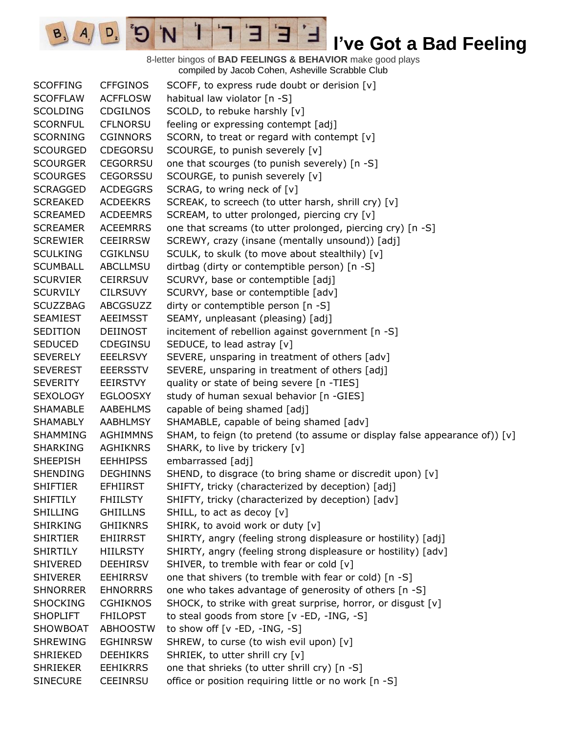8-letter bingos of **BAD FEELINGS & BEHAVIOR** make good plays compiled by Jacob Cohen, Asheville Scrabble Club

 $\overline{E}$ 

3

 $\mathbf{I}$ 

'N

 $B_3$ 

 $A_{1}$ 

 $D_{2}$ 

| <b>SCOFFING</b> | <b>CFFGINOS</b> | SCOFF, to express rude doubt or derision [v]                               |
|-----------------|-----------------|----------------------------------------------------------------------------|
| <b>SCOFFLAW</b> | <b>ACFFLOSW</b> | habitual law violator [n -S]                                               |
| <b>SCOLDING</b> | <b>CDGILNOS</b> | SCOLD, to rebuke harshly [v]                                               |
| <b>SCORNFUL</b> | <b>CFLNORSU</b> | feeling or expressing contempt [adj]                                       |
| <b>SCORNING</b> | <b>CGINNORS</b> | SCORN, to treat or regard with contempt [v]                                |
| <b>SCOURGED</b> | <b>CDEGORSU</b> | SCOURGE, to punish severely [v]                                            |
| <b>SCOURGER</b> | <b>CEGORRSU</b> | one that scourges (to punish severely) [n -S]                              |
| <b>SCOURGES</b> | <b>CEGORSSU</b> | SCOURGE, to punish severely [v]                                            |
| <b>SCRAGGED</b> | <b>ACDEGGRS</b> | SCRAG, to wring neck of [v]                                                |
| <b>SCREAKED</b> | <b>ACDEEKRS</b> | SCREAK, to screech (to utter harsh, shrill cry) [v]                        |
| <b>SCREAMED</b> | <b>ACDEEMRS</b> | SCREAM, to utter prolonged, piercing cry [v]                               |
| <b>SCREAMER</b> | <b>ACEEMRRS</b> | one that screams (to utter prolonged, piercing cry) [n -S]                 |
| <b>SCREWIER</b> | <b>CEEIRRSW</b> | SCREWY, crazy (insane (mentally unsound)) [adj]                            |
| <b>SCULKING</b> | <b>CGIKLNSU</b> | SCULK, to skulk (to move about stealthily) [v]                             |
| <b>SCUMBALL</b> | <b>ABCLLMSU</b> | dirtbag (dirty or contemptible person) [n -S]                              |
| <b>SCURVIER</b> | <b>CEIRRSUV</b> | SCURVY, base or contemptible [adj]                                         |
| <b>SCURVILY</b> | <b>CILRSUVY</b> | SCURVY, base or contemptible [adv]                                         |
| <b>SCUZZBAG</b> | <b>ABCGSUZZ</b> | dirty or contemptible person [n -S]                                        |
| <b>SEAMIEST</b> | <b>AEEIMSST</b> | SEAMY, unpleasant (pleasing) [adj]                                         |
| <b>SEDITION</b> | <b>DEIINOST</b> | incitement of rebellion against government [n -S]                          |
| <b>SEDUCED</b>  | <b>CDEGINSU</b> | SEDUCE, to lead astray [v]                                                 |
| <b>SEVERELY</b> | <b>EEELRSVY</b> | SEVERE, unsparing in treatment of others [adv]                             |
| <b>SEVEREST</b> | <b>EEERSSTV</b> | SEVERE, unsparing in treatment of others [adj]                             |
| <b>SEVERITY</b> | <b>EEIRSTVY</b> | quality or state of being severe [n -TIES]                                 |
| <b>SEXOLOGY</b> | <b>EGLOOSXY</b> | study of human sexual behavior [n -GIES]                                   |
| <b>SHAMABLE</b> | AABEHLMS        | capable of being shamed [adj]                                              |
| <b>SHAMABLY</b> | AABHLMSY        | SHAMABLE, capable of being shamed [adv]                                    |
| <b>SHAMMING</b> | <b>AGHIMMNS</b> | SHAM, to feign (to pretend (to assume or display false appearance of)) [v] |
| <b>SHARKING</b> | <b>AGHIKNRS</b> | SHARK, to live by trickery [v]                                             |
| <b>SHEEPISH</b> | <b>EEHHIPSS</b> | embarrassed [adj]                                                          |
| <b>SHENDING</b> | <b>DEGHINNS</b> | SHEND, to disgrace (to bring shame or discredit upon) [v]                  |
| <b>SHIFTIER</b> | <b>EFHIIRST</b> | SHIFTY, tricky (characterized by deception) [adj]                          |
| <b>SHIFTILY</b> | <b>FHIILSTY</b> | SHIFTY, tricky (characterized by deception) [adv]                          |
| <b>SHILLING</b> | <b>GHIILLNS</b> | SHILL, to act as decoy [v]                                                 |
| <b>SHIRKING</b> | <b>GHIIKNRS</b> | SHIRK, to avoid work or duty [v]                                           |
| <b>SHIRTIER</b> | <b>EHIIRRST</b> | SHIRTY, angry (feeling strong displeasure or hostility) [adj]              |
| <b>SHIRTILY</b> | <b>HIILRSTY</b> | SHIRTY, angry (feeling strong displeasure or hostility) [adv]              |
| <b>SHIVERED</b> | <b>DEEHIRSV</b> | SHIVER, to tremble with fear or cold [v]                                   |
| <b>SHIVERER</b> | <b>EEHIRRSV</b> | one that shivers (to tremble with fear or cold) [n -S]                     |
| <b>SHNORRER</b> | <b>EHNORRRS</b> | one who takes advantage of generosity of others [n -S]                     |
| <b>SHOCKING</b> | <b>CGHIKNOS</b> | SHOCK, to strike with great surprise, horror, or disgust [v]               |
| <b>SHOPLIFT</b> | <b>FHILOPST</b> | to steal goods from store [v -ED, -ING, -S]                                |
| SHOWBOAT        | <b>ABHOOSTW</b> | to show off $[v - ED, -ING, -S]$                                           |
| <b>SHREWING</b> | <b>EGHINRSW</b> | SHREW, to curse (to wish evil upon) [v]                                    |
| <b>SHRIEKED</b> | <b>DEEHIKRS</b> | SHRIEK, to utter shrill cry [v]                                            |
| <b>SHRIEKER</b> | <b>EEHIKRRS</b> | one that shrieks (to utter shrill cry) [n -S]                              |
| <b>SINECURE</b> | <b>CEEINRSU</b> | office or position requiring little or no work [n -S]                      |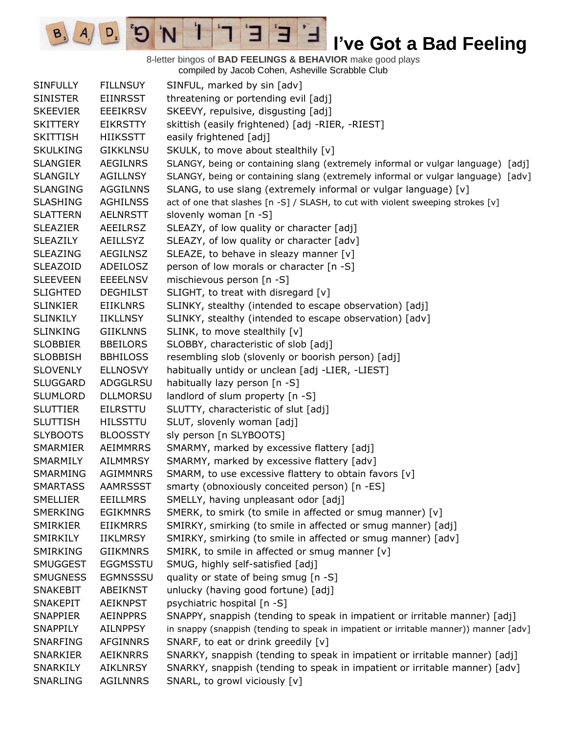8-letter bingos of **BAD FEELINGS & BEHAVIOR** make good plays compiled by Jacob Cohen, Asheville Scrabble Club

 $\overline{E}$ 

3

 $\mathbf{I}$ 

'N

 $B_3$ 

 $A_{1}$ 

 $D_{2}$ 

| <b>SINFULLY</b> | <b>FILLNSUY</b> | SINFUL, marked by sin [adv]                                                           |
|-----------------|-----------------|---------------------------------------------------------------------------------------|
| <b>SINISTER</b> | <b>EIINRSST</b> | threatening or portending evil [adj]                                                  |
| <b>SKEEVIER</b> | <b>EEEIKRSV</b> | SKEEVY, repulsive, disgusting [adj]                                                   |
| <b>SKITTERY</b> | <b>EIKRSTTY</b> | skittish (easily frightened) [adj -RIER, -RIEST]                                      |
| <b>SKITTISH</b> | <b>HIIKSSTT</b> | easily frightened [adj]                                                               |
| <b>SKULKING</b> | <b>GIKKLNSU</b> | SKULK, to move about stealthily [v]                                                   |
| <b>SLANGIER</b> | <b>AEGILNRS</b> | SLANGY, being or containing slang (extremely informal or vulgar language) [adj]       |
| <b>SLANGILY</b> | <b>AGILLNSY</b> | SLANGY, being or containing slang (extremely informal or vulgar language) [adv]       |
| <b>SLANGING</b> | <b>AGGILNNS</b> | SLANG, to use slang (extremely informal or vulgar language) [v]                       |
| <b>SLASHING</b> | <b>AGHILNSS</b> | act of one that slashes [n -S] / SLASH, to cut with violent sweeping strokes [v]      |
| <b>SLATTERN</b> | <b>AELNRSTT</b> | slovenly woman [n -S]                                                                 |
| <b>SLEAZIER</b> | <b>AEEILRSZ</b> | SLEAZY, of low quality or character [adj]                                             |
| <b>SLEAZILY</b> | <b>AEILLSYZ</b> | SLEAZY, of low quality or character [adv]                                             |
| <b>SLEAZING</b> | AEGILNSZ        | SLEAZE, to behave in sleazy manner [v]                                                |
| <b>SLEAZOID</b> | ADEILOSZ        | person of low morals or character [n -S]                                              |
| <b>SLEEVEEN</b> | <b>EEEELNSV</b> | mischievous person [n -S]                                                             |
| <b>SLIGHTED</b> | <b>DEGHILST</b> | SLIGHT, to treat with disregard [v]                                                   |
| <b>SLINKIER</b> | <b>EIIKLNRS</b> | SLINKY, stealthy (intended to escape observation) [adj]                               |
| <b>SLINKILY</b> | <b>IIKLLNSY</b> | SLINKY, stealthy (intended to escape observation) [adv]                               |
| <b>SLINKING</b> | <b>GIIKLNNS</b> | SLINK, to move stealthily [v]                                                         |
| <b>SLOBBIER</b> | <b>BBEILORS</b> | SLOBBY, characteristic of slob [adj]                                                  |
| <b>SLOBBISH</b> | <b>BBHILOSS</b> | resembling slob (slovenly or boorish person) [adj]                                    |
| <b>SLOVENLY</b> | <b>ELLNOSVY</b> | habitually untidy or unclean [adj -LIER, -LIEST]                                      |
| <b>SLUGGARD</b> | ADGGLRSU        | habitually lazy person [n -S]                                                         |
| <b>SLUMLORD</b> | <b>DLLMORSU</b> | landlord of slum property [n -S]                                                      |
| <b>SLUTTIER</b> | <b>EILRSTTU</b> | SLUTTY, characteristic of slut [adj]                                                  |
| <b>SLUTTISH</b> | <b>HILSSTTU</b> | SLUT, slovenly woman [adj]                                                            |
| <b>SLYBOOTS</b> | <b>BLOOSSTY</b> | sly person [n SLYBOOTS]                                                               |
| SMARMIER        | AEIMMRRS        | SMARMY, marked by excessive flattery [adj]                                            |
| SMARMILY        | <b>AILMMRSY</b> | SMARMY, marked by excessive flattery [adv]                                            |
| SMARMING        | <b>AGIMMNRS</b> | SMARM, to use excessive flattery to obtain favors [v]                                 |
| <b>SMARTASS</b> | <b>AAMRSSST</b> | smarty (obnoxiously conceited person) [n -ES]                                         |
| <b>SMELLIER</b> | <b>EEILLMRS</b> | SMELLY, having unpleasant odor [adj]                                                  |
| <b>SMERKING</b> | <b>EGIKMNRS</b> | SMERK, to smirk (to smile in affected or smug manner) [v]                             |
| SMIRKIER        | <b>EIIKMRRS</b> | SMIRKY, smirking (to smile in affected or smug manner) [adj]                          |
| SMIRKILY        | <b>IIKLMRSY</b> | SMIRKY, smirking (to smile in affected or smug manner) [adv]                          |
| SMIRKING        | <b>GIIKMNRS</b> | SMIRK, to smile in affected or smug manner [v]                                        |
| <b>SMUGGEST</b> | <b>EGGMSSTU</b> | SMUG, highly self-satisfied [adj]                                                     |
| <b>SMUGNESS</b> | <b>EGMNSSSU</b> | quality or state of being smug [n -S]                                                 |
| <b>SNAKEBIT</b> | <b>ABEIKNST</b> | unlucky (having good fortune) [adj]                                                   |
| <b>SNAKEPIT</b> | <b>AEIKNPST</b> | psychiatric hospital [n -S]                                                           |
| <b>SNAPPIER</b> | AEINPPRS        | SNAPPY, snappish (tending to speak in impatient or irritable manner) [adj]            |
| SNAPPILY        | <b>AILNPPSY</b> | in snappy (snappish (tending to speak in impatient or irritable manner)) manner [adv] |
| SNARFING        | <b>AFGINNRS</b> | SNARF, to eat or drink greedily [v]                                                   |
| <b>SNARKIER</b> | <b>AEIKNRRS</b> | SNARKY, snappish (tending to speak in impatient or irritable manner) [adj]            |
| SNARKILY        | <b>AIKLNRSY</b> | SNARKY, snappish (tending to speak in impatient or irritable manner) [adv]            |
| SNARLING        | <b>AGILNNRS</b> | SNARL, to growl viciously [v]                                                         |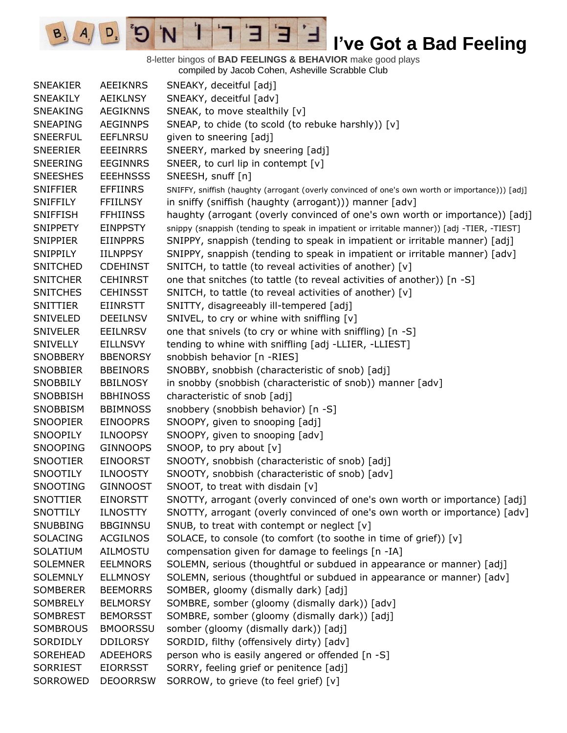8-letter bingos of **BAD FEELINGS & BEHAVIOR** make good plays compiled by Jacob Cohen, Asheville Scrabble Club

E

3

 $\mathbf{I}$ 

'N

 $B_3$ 

 $A_{1}$ 

 $D_{2}$ 

| <b>SNEAKIER</b> | <b>AEEIKNRS</b> | SNEAKY, deceitful [adj]                                                                         |
|-----------------|-----------------|-------------------------------------------------------------------------------------------------|
| <b>SNEAKILY</b> | <b>AEIKLNSY</b> | SNEAKY, deceitful [adv]                                                                         |
| SNEAKING        | <b>AEGIKNNS</b> | SNEAK, to move stealthily [v]                                                                   |
| <b>SNEAPING</b> | <b>AEGINNPS</b> | SNEAP, to chide (to scold (to rebuke harshly)) [v]                                              |
| <b>SNEERFUL</b> | <b>EEFLNRSU</b> | given to sneering [adj]                                                                         |
| <b>SNEERIER</b> | <b>EEEINRRS</b> | SNEERY, marked by sneering [adj]                                                                |
| SNEERING        | <b>EEGINNRS</b> | SNEER, to curl lip in contempt [v]                                                              |
| <b>SNEESHES</b> | <b>EEEHNSSS</b> | SNEESH, snuff [n]                                                                               |
| <b>SNIFFIER</b> | <b>EFFIINRS</b> | SNIFFY, sniffish (haughty (arrogant (overly convinced of one's own worth or importance))) [adj] |
| <b>SNIFFILY</b> | <b>FFIILNSY</b> | in sniffy (sniffish (haughty (arrogant))) manner [adv]                                          |
| <b>SNIFFISH</b> | <b>FFHIINSS</b> | haughty (arrogant (overly convinced of one's own worth or importance)) [adj]                    |
| <b>SNIPPETY</b> | <b>EINPPSTY</b> | snippy (snappish (tending to speak in impatient or irritable manner)) [adj -TIER, -TIEST]       |
| <b>SNIPPIER</b> | <b>EIINPPRS</b> | SNIPPY, snappish (tending to speak in impatient or irritable manner) [adj]                      |
| SNIPPILY        | <b>IILNPPSY</b> | SNIPPY, snappish (tending to speak in impatient or irritable manner) [adv]                      |
| <b>SNITCHED</b> | <b>CDEHINST</b> | SNITCH, to tattle (to reveal activities of another) [v]                                         |
| <b>SNITCHER</b> | <b>CEHINRST</b> | one that snitches (to tattle (to reveal activities of another)) [n -S]                          |
| <b>SNITCHES</b> | <b>CEHINSST</b> | SNITCH, to tattle (to reveal activities of another) [v]                                         |
| <b>SNITTIER</b> | <b>EIINRSTT</b> | SNITTY, disagreeably ill-tempered [adj]                                                         |
| SNIVELED        | <b>DEEILNSV</b> | SNIVEL, to cry or whine with sniffling [v]                                                      |
| <b>SNIVELER</b> | <b>EEILNRSV</b> | one that snivels (to cry or whine with sniffling) [n -S]                                        |
| <b>SNIVELLY</b> | <b>EILLNSVY</b> | tending to whine with sniffling [adj -LLIER, -LLIEST]                                           |
| <b>SNOBBERY</b> | <b>BBENORSY</b> | snobbish behavior [n -RIES]                                                                     |
| <b>SNOBBIER</b> | <b>BBEINORS</b> | SNOBBY, snobbish (characteristic of snob) [adj]                                                 |
| <b>SNOBBILY</b> | <b>BBILNOSY</b> | in snobby (snobbish (characteristic of snob)) manner [adv]                                      |
| <b>SNOBBISH</b> | <b>BBHINOSS</b> | characteristic of snob [adj]                                                                    |
| SNOBBISM        | <b>BBIMNOSS</b> | snobbery (snobbish behavior) [n -S]                                                             |
| <b>SNOOPIER</b> | <b>EINOOPRS</b> | SNOOPY, given to snooping [adj]                                                                 |
| <b>SNOOPILY</b> | <b>ILNOOPSY</b> | SNOOPY, given to snooping [adv]                                                                 |
| <b>SNOOPING</b> | <b>GINNOOPS</b> | SNOOP, to pry about $[v]$                                                                       |
| <b>SNOOTIER</b> | <b>EINOORST</b> | SNOOTY, snobbish (characteristic of snob) [adj]                                                 |
| <b>SNOOTILY</b> | <b>ILNOOSTY</b> | SNOOTY, snobbish (characteristic of snob) [adv]                                                 |
| SNOOTING        | <b>GINNOOST</b> | SNOOT, to treat with disdain [v]                                                                |
| <b>SNOTTIER</b> | <b>EINORSTT</b> | SNOTTY, arrogant (overly convinced of one's own worth or importance) [adj]                      |
| SNOTTILY        | <b>ILNOSTTY</b> | SNOTTY, arrogant (overly convinced of one's own worth or importance) [adv]                      |
| <b>SNUBBING</b> | <b>BBGINNSU</b> | SNUB, to treat with contempt or neglect [v]                                                     |
| <b>SOLACING</b> | <b>ACGILNOS</b> | SOLACE, to console (to comfort (to soothe in time of grief)) [v]                                |
| SOLATIUM        | <b>AILMOSTU</b> | compensation given for damage to feelings [n -IA]                                               |
| <b>SOLEMNER</b> | <b>EELMNORS</b> | SOLEMN, serious (thoughtful or subdued in appearance or manner) [adj]                           |
| <b>SOLEMNLY</b> | <b>ELLMNOSY</b> | SOLEMN, serious (thoughtful or subdued in appearance or manner) [adv]                           |
| <b>SOMBERER</b> | <b>BEEMORRS</b> | SOMBER, gloomy (dismally dark) [adj]                                                            |
| <b>SOMBRELY</b> | <b>BELMORSY</b> | SOMBRE, somber (gloomy (dismally dark)) [adv]                                                   |
| <b>SOMBREST</b> | <b>BEMORSST</b> | SOMBRE, somber (gloomy (dismally dark)) [adj]                                                   |
| SOMBROUS        | <b>BMOORSSU</b> | somber (gloomy (dismally dark)) [adj]                                                           |
| SORDIDLY        | <b>DDILORSY</b> | SORDID, filthy (offensively dirty) [adv]                                                        |
| SOREHEAD        | <b>ADEEHORS</b> | person who is easily angered or offended [n -S]                                                 |
| <b>SORRIEST</b> | <b>EIORRSST</b> | SORRY, feeling grief or penitence [adj]                                                         |
| SORROWED        | <b>DEOORRSW</b> | SORROW, to grieve (to feel grief) [v]                                                           |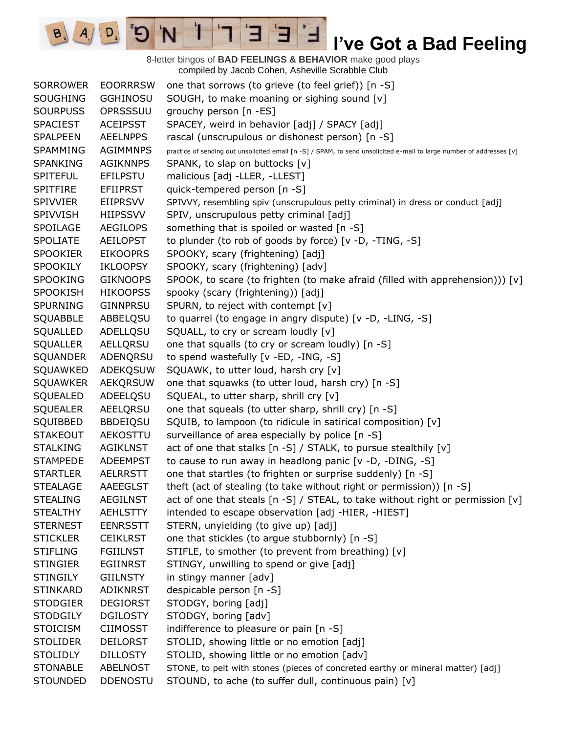8-letter bingos of **BAD FEELINGS & BEHAVIOR** make good plays compiled by Jacob Cohen, Asheville Scrabble Club SORROWER EOORRRSW one that sorrows (to grieve (to feel grief)) [n -S] SOUGHING GGHINOSU SOUGH, to make moaning or sighing sound [v] SOURPUSS OPRSSSUU grouchy person [n -ES] SPACIEST ACEIPSST SPACEY, weird in behavior [adj] / SPACY [adj] SPALPEEN AEELNPPS rascal (unscrupulous or dishonest person) [n -S] SPAMMING AGIMMNPS practice of sending out unsolicited email [n -S] / SPAM, to send unsolicited e-mail to large number of addresses [v] SPANKING AGIKNNPS SPANK, to slap on buttocks [v] SPITEFUL EFILPSTU malicious [adj -LLER, -LLEST] SPITFIRE EFIIPRST quick-tempered person [n -S] SPIVVIER EIIPRSVV SPIVVY, resembling spiv (unscrupulous petty criminal) in dress or conduct [adj] SPIVVISH HIIPSSVV SPIV, unscrupulous petty criminal [adj] SPOILAGE AEGILOPS something that is spoiled or wasted [n -S] SPOLIATE AEILOPST to plunder (to rob of goods by force) [v -D, -TING, -S] SPOOKIER EIKOOPRS SPOOKY, scary (frightening) [adj] SPOOKILY IKLOOPSY SPOOKY, scary (frightening) [adv] SPOOKING GIKNOOPS SPOOK, to scare (to frighten (to make afraid (filled with apprehension))) [v] SPOOKISH HIKOOPSS spooky (scary (frightening)) [adj] SPURNING GINNPRSU SPURN, to reject with contempt [v] SQUABBLE ABBELQSU to quarrel (to engage in angry dispute) [v -D, -LING, -S] SQUALLED ADELLQSU SQUALL, to cry or scream loudly [v] SQUALLER AELLQRSU one that squalls (to cry or scream loudly) [n -S] SQUANDER ADENQRSU to spend wastefully [v -ED, -ING, -S] SQUAWKED ADEKQSUW SQUAWK, to utter loud, harsh cry [v] SQUAWKER AEKQRSUW one that squawks (to utter loud, harsh cry) [n -S] SQUEALED ADEELQSU SQUEAL, to utter sharp, shrill cry [v] SQUEALER AEELQRSU one that squeals (to utter sharp, shrill cry) [n -S] SQUIBBED BBDEIQSU SQUIB, to lampoon (to ridicule in satirical composition) [v] STAKEOUT AEKOSTTU surveillance of area especially by police [n -S] STALKING AGIKLNST act of one that stalks [n -S] / STALK, to pursue stealthily [v] STAMPEDE ADEEMPST to cause to run away in headlong panic [v -D, -DING, -S] STARTLER AELRRSTT one that startles (to frighten or surprise suddenly) [n -S] STEALAGE AAEEGLST theft (act of stealing (to take without right or permission)) [n -S] STEALING AEGILNST act of one that steals  $\lceil n - S \rceil / STEAL$ , to take without right or permission  $\lceil v \rceil$ STEALTHY AEHLSTTY intended to escape observation [adj -HIER, -HIEST] STERNEST EENRSSTT STERN, unyielding (to give up) [adj] STICKLER CEIKLRST one that stickles (to argue stubbornly) [n -S] STIFLING FGIILNST STIFLE, to smother (to prevent from breathing) [v] STINGIER EGIINRST STINGY, unwilling to spend or give [adj] STINGILY GIILNSTY in stingy manner [adv] STINKARD ADIKNRST despicable person [n -S] STODGIER DEGIORST STODGY, boring [adj] STODGILY DGILOSTY STODGY, boring [adv] STOICISM CIIMOSST indifference to pleasure or pain [n -S] STOLIDER DEILORST STOLID, showing little or no emotion [adj] STOLIDLY DILLOSTY STOLID, showing little or no emotion [adv] STONABLE ABELNOST STONE, to pelt with stones (pieces of concreted earthy or mineral matter) [adj] STOUNDED DDENOSTU STOUND, to ache (to suffer dull, continuous pain) [v]

Е

 $A \cap D$   $B \cap D$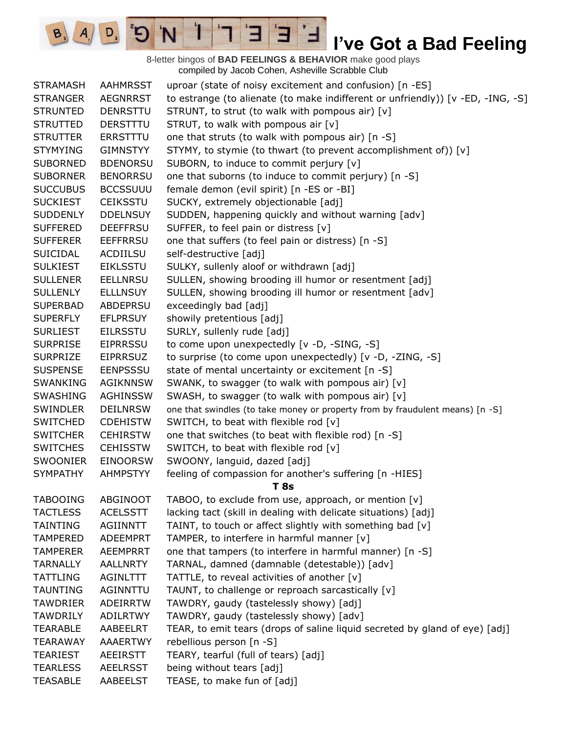8-letter bingos of **BAD FEELINGS & BEHAVIOR** make good plays compiled by Jacob Cohen, Asheville Scrabble Club

E

∃

1

'N

E)

 $B_3$ 

 $A_{1}$ 

 $D_{2}$ 

| <b>STRAMASH</b> | <b>AAHMRSST</b> | uproar (state of noisy excitement and confusion) [n -ES]                        |
|-----------------|-----------------|---------------------------------------------------------------------------------|
| <b>STRANGER</b> | <b>AEGNRRST</b> | to estrange (to alienate (to make indifferent or unfriendly)) [v -ED, -ING, -S] |
| <b>STRUNTED</b> | <b>DENRSTTU</b> | STRUNT, to strut (to walk with pompous air) [v]                                 |
| <b>STRUTTED</b> | DERSTTTU        | STRUT, to walk with pompous air [v]                                             |
| <b>STRUTTER</b> | <b>ERRSTTTU</b> | one that struts (to walk with pompous air) [n -S]                               |
| <b>STYMYING</b> | <b>GIMNSTYY</b> | STYMY, to stymie (to thwart (to prevent accomplishment of)) [v]                 |
| <b>SUBORNED</b> | <b>BDENORSU</b> | SUBORN, to induce to commit perjury [v]                                         |
| <b>SUBORNER</b> | <b>BENORRSU</b> | one that suborns (to induce to commit perjury) [n -S]                           |
| <b>SUCCUBUS</b> | <b>BCCSSUUU</b> | female demon (evil spirit) [n -ES or -BI]                                       |
| <b>SUCKIEST</b> | <b>CEIKSSTU</b> | SUCKY, extremely objectionable [adj]                                            |
| <b>SUDDENLY</b> | <b>DDELNSUY</b> | SUDDEN, happening quickly and without warning [adv]                             |
| <b>SUFFERED</b> | <b>DEEFFRSU</b> | SUFFER, to feel pain or distress [v]                                            |
| <b>SUFFERER</b> | <b>EEFFRRSU</b> | one that suffers (to feel pain or distress) [n -S]                              |
| <b>SUICIDAL</b> | <b>ACDIILSU</b> | self-destructive [adj]                                                          |
| <b>SULKIEST</b> | <b>EIKLSSTU</b> | SULKY, sullenly aloof or withdrawn [adj]                                        |
| <b>SULLENER</b> | <b>EELLNRSU</b> | SULLEN, showing brooding ill humor or resentment [adj]                          |
| <b>SULLENLY</b> | <b>ELLLNSUY</b> | SULLEN, showing brooding ill humor or resentment [adv]                          |
| <b>SUPERBAD</b> | <b>ABDEPRSU</b> | exceedingly bad [adj]                                                           |
| <b>SUPERFLY</b> | <b>EFLPRSUY</b> | showily pretentious [adj]                                                       |
| <b>SURLIEST</b> | <b>EILRSSTU</b> | SURLY, sullenly rude [adj]                                                      |
| <b>SURPRISE</b> | <b>EIPRRSSU</b> | to come upon unexpectedly [v -D, -SING, -S]                                     |
| <b>SURPRIZE</b> | <b>EIPRRSUZ</b> | to surprise (to come upon unexpectedly) [v -D, -ZING, -S]                       |
| <b>SUSPENSE</b> | <b>EENPSSSU</b> | state of mental uncertainty or excitement [n -S]                                |
| <b>SWANKING</b> | <b>AGIKNNSW</b> | SWANK, to swagger (to walk with pompous air) [v]                                |
| <b>SWASHING</b> | <b>AGHINSSW</b> | SWASH, to swagger (to walk with pompous air) [v]                                |
| <b>SWINDLER</b> | <b>DEILNRSW</b> | one that swindles (to take money or property from by fraudulent means) [n -S]   |
| <b>SWITCHED</b> | <b>CDEHISTW</b> | SWITCH, to beat with flexible rod [v]                                           |
| <b>SWITCHER</b> | <b>CEHIRSTW</b> | one that switches (to beat with flexible rod) [n -S]                            |
| <b>SWITCHES</b> | <b>CEHISSTW</b> | SWITCH, to beat with flexible rod [v]                                           |
| <b>SWOONIER</b> | <b>EINOORSW</b> | SWOONY, languid, dazed [adj]                                                    |
| <b>SYMPATHY</b> | <b>AHMPSTYY</b> | feeling of compassion for another's suffering [n -HIES]                         |
|                 |                 | <b>T</b> 8s                                                                     |
| <b>TABOOING</b> | ABGINOOT        | TABOO, to exclude from use, approach, or mention [v]                            |
| <b>TACTLESS</b> | <b>ACELSSTT</b> | lacking tact (skill in dealing with delicate situations) [adj]                  |
| TAINTING        | <b>AGIINNTT</b> | TAINT, to touch or affect slightly with something bad [v]                       |
| <b>TAMPERED</b> | <b>ADEEMPRT</b> | TAMPER, to interfere in harmful manner [v]                                      |
| <b>TAMPERER</b> | <b>AEEMPRRT</b> | one that tampers (to interfere in harmful manner) [n -S]                        |
| <b>TARNALLY</b> | <b>AALLNRTY</b> | TARNAL, damned (damnable (detestable)) [adv]                                    |
| TATTLING        | AGINLTTT        | TATTLE, to reveal activities of another [v]                                     |
| <b>TAUNTING</b> | AGINNTTU        | TAUNT, to challenge or reproach sarcastically [v]                               |
| <b>TAWDRIER</b> | <b>ADEIRRTW</b> | TAWDRY, gaudy (tastelessly showy) [adj]                                         |
| <b>TAWDRILY</b> | <b>ADILRTWY</b> | TAWDRY, gaudy (tastelessly showy) [adv]                                         |
| <b>TEARABLE</b> | AABEELRT        | TEAR, to emit tears (drops of saline liquid secreted by gland of eye) [adj]     |
| <b>TEARAWAY</b> | <b>AAAERTWY</b> | rebellious person [n -S]                                                        |
| <b>TEARIEST</b> | <b>AEEIRSTT</b> | TEARY, tearful (full of tears) [adj]                                            |
| <b>TEARLESS</b> | <b>AEELRSST</b> | being without tears [adj]                                                       |
| <b>TEASABLE</b> | AABEELST        | TEASE, to make fun of [adj]                                                     |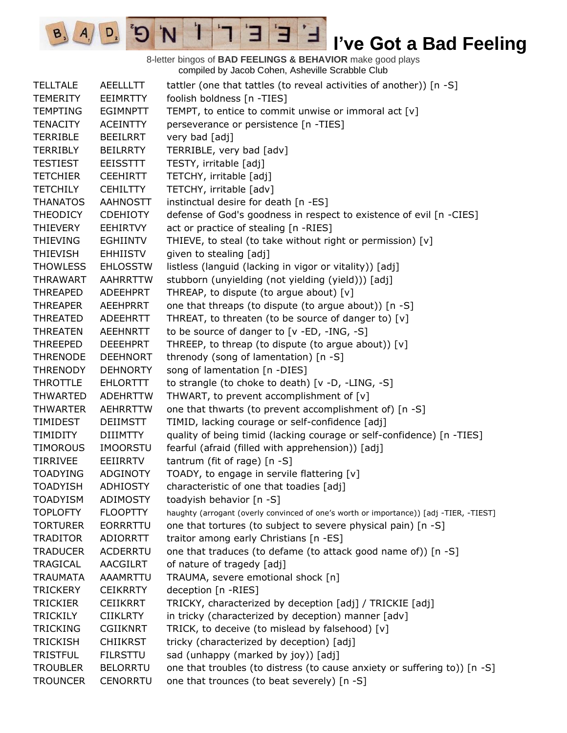8-letter bingos of **BAD FEELINGS & BEHAVIOR** make good plays compiled by Jacob Cohen, Asheville Scrabble Club

E

3

 $\mathbf{I}$ 

'N

 $B_3$ 

 $A_{1}$ 

 $D_{2}$ 

| <b>TELLTALE</b> | <b>AEELLLTT</b> | tattler (one that tattles (to reveal activities of another)) [n -S]                    |
|-----------------|-----------------|----------------------------------------------------------------------------------------|
| <b>TEMERITY</b> | <b>EEIMRTTY</b> | foolish boldness [n -TIES]                                                             |
| <b>TEMPTING</b> | <b>EGIMNPTT</b> | TEMPT, to entice to commit unwise or immoral act [v]                                   |
| <b>TENACITY</b> | <b>ACEINTTY</b> | perseverance or persistence [n -TIES]                                                  |
| <b>TERRIBLE</b> | <b>BEEILRRT</b> | very bad [adj]                                                                         |
| <b>TERRIBLY</b> | <b>BEILRRTY</b> | TERRIBLE, very bad [adv]                                                               |
| <b>TESTIEST</b> | <b>EEISSTTT</b> | TESTY, irritable [adj]                                                                 |
| <b>TETCHIER</b> | <b>CEEHIRTT</b> | TETCHY, irritable [adj]                                                                |
| <b>TETCHILY</b> | <b>CEHILTTY</b> | TETCHY, irritable [adv]                                                                |
| <b>THANATOS</b> | <b>AAHNOSTT</b> | instinctual desire for death [n -ES]                                                   |
| <b>THEODICY</b> | <b>CDEHIOTY</b> | defense of God's goodness in respect to existence of evil [n -CIES]                    |
| THIEVERY        | <b>EEHIRTVY</b> | act or practice of stealing [n -RIES]                                                  |
| <b>THIEVING</b> | <b>EGHIINTV</b> | THIEVE, to steal (to take without right or permission) [v]                             |
| <b>THIEVISH</b> | <b>EHHIISTV</b> | given to stealing [adj]                                                                |
| <b>THOWLESS</b> | <b>EHLOSSTW</b> | listless (languid (lacking in vigor or vitality)) [adj]                                |
| <b>THRAWART</b> | <b>AAHRRTTW</b> | stubborn (unyielding (not yielding (yield))) [adj]                                     |
| <b>THREAPED</b> | <b>ADEEHPRT</b> | THREAP, to dispute (to argue about) [v]                                                |
| <b>THREAPER</b> | <b>AEEHPRRT</b> | one that threaps (to dispute (to argue about)) [n -S]                                  |
| <b>THREATED</b> | <b>ADEEHRTT</b> | THREAT, to threaten (to be source of danger to) [v]                                    |
| <b>THREATEN</b> | <b>AEEHNRTT</b> | to be source of danger to [v -ED, -ING, -S]                                            |
| THREEPED        | <b>DEEEHPRT</b> | THREEP, to threap (to dispute (to argue about)) $[v]$                                  |
| <b>THRENODE</b> | <b>DEEHNORT</b> | threnody (song of lamentation) [n -S]                                                  |
| <b>THRENODY</b> | <b>DEHNORTY</b> | song of lamentation [n -DIES]                                                          |
| <b>THROTTLE</b> | <b>EHLORTTT</b> | to strangle (to choke to death) [v -D, -LING, -S]                                      |
| <b>THWARTED</b> | <b>ADEHRTTW</b> | THWART, to prevent accomplishment of [v]                                               |
| <b>THWARTER</b> | <b>AEHRRTTW</b> | one that thwarts (to prevent accomplishment of) [n -S]                                 |
| TIMIDEST        | <b>DEIIMSTT</b> | TIMID, lacking courage or self-confidence [adj]                                        |
| TIMIDITY        | <b>DIIIMTTY</b> | quality of being timid (lacking courage or self-confidence) [n -TIES]                  |
| <b>TIMOROUS</b> | <b>IMOORSTU</b> | fearful (afraid (filled with apprehension)) [adj]                                      |
| <b>TIRRIVEE</b> | <b>EEIIRRTV</b> | tantrum (fit of rage) [n -S]                                                           |
| <b>TOADYING</b> | ADGINOTY        | TOADY, to engage in servile flattering [v]                                             |
| <b>TOADYISH</b> | <b>ADHIOSTY</b> | characteristic of one that toadies [adj]                                               |
| <b>TOADYISM</b> | ADIMOSTY        | toadyish behavior [n -S]                                                               |
| <b>TOPLOFTY</b> | <b>FLOOPTTY</b> | haughty (arrogant (overly convinced of one's worth or importance)) [adj -TIER, -TIEST] |
| <b>TORTURER</b> | <b>EORRRTTU</b> | one that tortures (to subject to severe physical pain) [n -S]                          |
| <b>TRADITOR</b> | ADIORRTT        | traitor among early Christians [n -ES]                                                 |
| <b>TRADUCER</b> | <b>ACDERRTU</b> | one that traduces (to defame (to attack good name of)) [n -S]                          |
| TRAGICAL        | <b>AACGILRT</b> | of nature of tragedy [adj]                                                             |
| <b>TRAUMATA</b> | AAAMRTTU        | TRAUMA, severe emotional shock [n]                                                     |
| <b>TRICKERY</b> | <b>CEIKRRTY</b> | deception [n -RIES]                                                                    |
| <b>TRICKIER</b> | <b>CEIIKRRT</b> | TRICKY, characterized by deception [adj] / TRICKIE [adj]                               |
| <b>TRICKILY</b> | <b>CIIKLRTY</b> | in tricky (characterized by deception) manner [adv]                                    |
| <b>TRICKING</b> | <b>CGIIKNRT</b> | TRICK, to deceive (to mislead by falsehood) [v]                                        |
| <b>TRICKISH</b> | <b>CHIIKRST</b> | tricky (characterized by deception) [adj]                                              |
| <b>TRISTFUL</b> | <b>FILRSTTU</b> | sad (unhappy (marked by joy)) [adj]                                                    |
| <b>TROUBLER</b> | <b>BELORRTU</b> | one that troubles (to distress (to cause anxiety or suffering to)) [n -S]              |
| <b>TROUNCER</b> | <b>CENORRTU</b> | one that trounces (to beat severely) [n -S]                                            |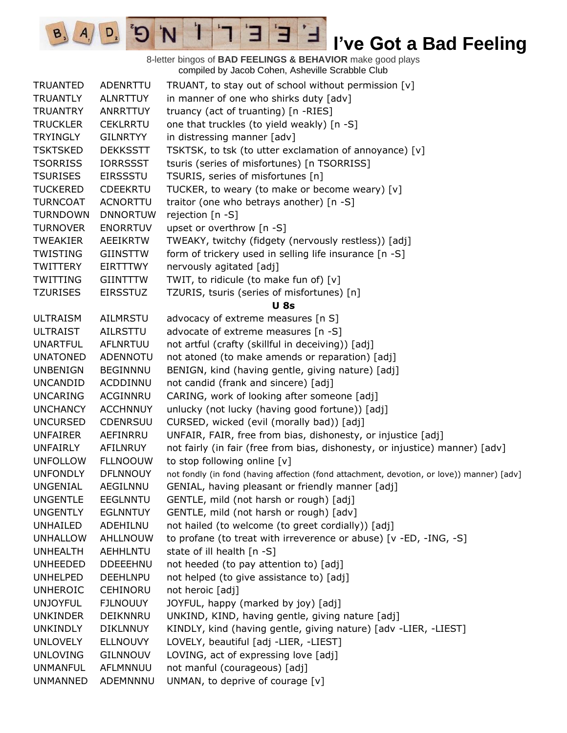8-letter bingos of **BAD FEELINGS & BEHAVIOR** make good plays compiled by Jacob Cohen, Asheville Scrabble Club TRUANTED ADENRTTU TRUANT, to stay out of school without permission [v] TRUANTLY ALNRTTUY in manner of one who shirks duty [adv] TRUANTRY ANRRTTUY truancy (act of truanting) [n -RIES] TRUCKLER CEKLRRTU one that truckles (to yield weakly) [n -S] TRYINGLY GILNRTYY in distressing manner [adv] TSKTSKED DEKKSSTT TSKTSK, to tsk (to utter exclamation of annoyance) [v] TSORRISS IORRSSST tsuris (series of misfortunes) [n TSORRISS] TSURISES EIRSSSTU TSURIS, series of misfortunes [n] TUCKERED CDEEKRTU TUCKER, to weary (to make or become weary) [v] TURNCOAT ACNORTTU traitor (one who betrays another) [n -S] TURNDOWN DNNORTUW rejection [n -S] TURNOVER ENORRTUV upset or overthrow [n -S] TWEAKIER AEEIKRTW TWEAKY, twitchy (fidgety (nervously restless)) [adj] TWISTING GIINSTTW form of trickery used in selling life insurance [n -S] TWITTERY EIRTTTWY nervously agitated [adj] TWITTING GIINTTTW TWIT, to ridicule (to make fun of) [v] TZURISES EIRSSTUZ TZURIS, tsuris (series of misfortunes) [n] **U 8s** ULTRAISM AILMRSTU advocacy of extreme measures [n S] ULTRAIST AILRSTTU advocate of extreme measures [n -S] UNARTFUL AFLNRTUU not artful (crafty (skillful in deceiving)) [adj] UNATONED ADENNOTU not atoned (to make amends or reparation) [adj] UNBENIGN BEGINNNU BENIGN, kind (having gentle, giving nature) [adj] UNCANDID ACDDINNU not candid (frank and sincere) [adj] UNCARING ACGINNRU CARING, work of looking after someone [adj] UNCHANCY ACCHNNUY unlucky (not lucky (having good fortune)) [adj] UNCURSED CDENRSUU CURSED, wicked (evil (morally bad)) [adj] UNFAIRER AEFINRRU UNFAIR, FAIR, free from bias, dishonesty, or injustice [adj] UNFAIRLY AFILNRUY not fairly (in fair (free from bias, dishonesty, or injustice) manner) [adv] UNFOLLOW FLLNOOUW to stop following online [v] UNFONDLY DFLNNOUY not fondly (in fond (having affection (fond attachment, devotion, or love)) manner) [adv] UNGENIAL AEGILNNU GENIAL, having pleasant or friendly manner [adj] UNGENTLE EEGLNNTU GENTLE, mild (not harsh or rough) [adj] UNGENTLY EGLNNTUY GENTLE, mild (not harsh or rough) [adv] UNHAILED ADEHILNU not hailed (to welcome (to greet cordially)) [adj] UNHALLOW AHLLNOUW to profane (to treat with irreverence or abuse) [v -ED, -ING, -S] UNHEALTH AEHHLNTU state of ill health [n -S] UNHEEDED DDEEEHNU not heeded (to pay attention to) [adj] UNHELPED DEEHLNPU not helped (to give assistance to) [adj] UNHEROIC CEHINORU not heroic [adj] UNJOYFUL FJLNOUUY JOYFUL, happy (marked by joy) [adj] UNKINDER DEIKNNRU UNKIND, KIND, having gentle, giving nature [adj] UNKINDLY DIKLNNUY KINDLY, kind (having gentle, giving nature) [adv -LIER, -LIEST] UNLOVELY ELLNOUVY LOVELY, beautiful [adj -LIER, -LIEST] UNLOVING GILNNOUV LOVING, act of expressing love [adj] UNMANFUL AFLMNNUU not manful (courageous) [adj] UNMANNED ADEMNNNU UNMAN, to deprive of courage [v]

E

 $D$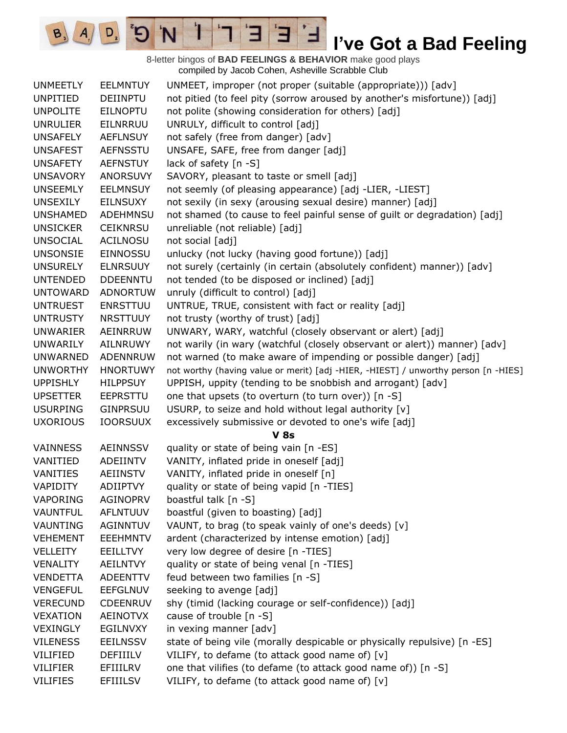8-letter bingos of **BAD FEELINGS & BEHAVIOR** make good plays compiled by Jacob Cohen, Asheville Scrabble Club

E

3

 $\mathbf{I}$ 

'N

 $B_3$ 

 $A_{1}$ 

 $D_{2}$ 

| <b>UNMEETLY</b> | <b>EELMNTUY</b> | UNMEET, improper (not proper (suitable (appropriate))) [adv]                       |
|-----------------|-----------------|------------------------------------------------------------------------------------|
| <b>UNPITIED</b> | <b>DEIINPTU</b> | not pitied (to feel pity (sorrow aroused by another's misfortune)) [adj]           |
| <b>UNPOLITE</b> | <b>EILNOPTU</b> | not polite (showing consideration for others) [adj]                                |
| <b>UNRULIER</b> | EILNRRUU        | UNRULY, difficult to control [adj]                                                 |
| <b>UNSAFELY</b> | <b>AEFLNSUY</b> | not safely (free from danger) [adv]                                                |
| <b>UNSAFEST</b> | <b>AEFNSSTU</b> | UNSAFE, SAFE, free from danger [adj]                                               |
| <b>UNSAFETY</b> | <b>AEFNSTUY</b> | lack of safety [n -S]                                                              |
| <b>UNSAVORY</b> | <b>ANORSUVY</b> | SAVORY, pleasant to taste or smell [adj]                                           |
| <b>UNSEEMLY</b> | <b>EELMNSUY</b> | not seemly (of pleasing appearance) [adj -LIER, -LIEST]                            |
| <b>UNSEXILY</b> | <b>EILNSUXY</b> | not sexily (in sexy (arousing sexual desire) manner) [adj]                         |
| <b>UNSHAMED</b> | <b>ADEHMNSU</b> | not shamed (to cause to feel painful sense of guilt or degradation) [adj]          |
| <b>UNSICKER</b> | <b>CEIKNRSU</b> | unreliable (not reliable) [adj]                                                    |
| <b>UNSOCIAL</b> | <b>ACILNOSU</b> | not social [adj]                                                                   |
| <b>UNSONSIE</b> | EINNOSSU        | unlucky (not lucky (having good fortune)) [adj]                                    |
| <b>UNSURELY</b> | <b>ELNRSUUY</b> | not surely (certainly (in certain (absolutely confident) manner)) [adv]            |
| <b>UNTENDED</b> | <b>DDEENNTU</b> | not tended (to be disposed or inclined) [adj]                                      |
| <b>UNTOWARD</b> | <b>ADNORTUW</b> | unruly (difficult to control) [adj]                                                |
| <b>UNTRUEST</b> | <b>ENRSTTUU</b> | UNTRUE, TRUE, consistent with fact or reality [adj]                                |
| <b>UNTRUSTY</b> | <b>NRSTTUUY</b> | not trusty (worthy of trust) [adj]                                                 |
| <b>UNWARIER</b> | AEINRRUW        | UNWARY, WARY, watchful (closely observant or alert) [adj]                          |
| UNWARILY        | AILNRUWY        | not warily (in wary (watchful (closely observant or alert)) manner) [adv]          |
| <b>UNWARNED</b> | <b>ADENNRUW</b> | not warned (to make aware of impending or possible danger) [adj]                   |
| <b>UNWORTHY</b> | <b>HNORTUWY</b> | not worthy (having value or merit) [adj -HIER, -HIEST] / unworthy person [n -HIES] |
| <b>UPPISHLY</b> | <b>HILPPSUY</b> | UPPISH, uppity (tending to be snobbish and arrogant) [adv]                         |
| <b>UPSETTER</b> | <b>EEPRSTTU</b> | one that upsets (to overturn (to turn over)) [n -S]                                |
| <b>USURPING</b> | <b>GINPRSUU</b> | USURP, to seize and hold without legal authority [v]                               |
| <b>UXORIOUS</b> | <b>IOORSUUX</b> | excessively submissive or devoted to one's wife [adj]                              |
|                 |                 | V <sub>8s</sub>                                                                    |
| <b>VAINNESS</b> | <b>AEINNSSV</b> | quality or state of being vain [n -ES]                                             |
| VANITIED        | ADEIINTV        | VANITY, inflated pride in oneself [adj]                                            |
| VANITIES        | <b>AEIINSTV</b> | VANITY, inflated pride in oneself [n]                                              |
| VAPIDITY        | <b>ADIIPTVY</b> | quality or state of being vapid [n -TIES]                                          |
| VAPORING        | <b>AGINOPRV</b> | boastful talk [n -S]                                                               |
| <b>VAUNTFUL</b> | <b>AFLNTUUV</b> | boastful (given to boasting) [adj]                                                 |
| VAUNTING        | AGINNTUV        | VAUNT, to brag (to speak vainly of one's deeds) [v]                                |
| <b>VEHEMENT</b> | <b>EEEHMNTV</b> | ardent (characterized by intense emotion) [adj]                                    |
| <b>VELLEITY</b> | <b>EEILLTVY</b> | very low degree of desire [n -TIES]                                                |
| <b>VENALITY</b> | AEILNTVY        | quality or state of being venal [n -TIES]                                          |
| <b>VENDETTA</b> | <b>ADEENTTV</b> | feud between two families [n -S]                                                   |
| <b>VENGEFUL</b> | <b>EEFGLNUV</b> | seeking to avenge [adj]                                                            |
| <b>VERECUND</b> | <b>CDEENRUV</b> | shy (timid (lacking courage or self-confidence)) [adj]                             |
| <b>VEXATION</b> | AEINOTVX        | cause of trouble [n -S]                                                            |
| <b>VEXINGLY</b> | <b>EGILNVXY</b> | in vexing manner [adv]                                                             |
| <b>VILENESS</b> | <b>EEILNSSV</b> | state of being vile (morally despicable or physically repulsive) [n -ES]           |
| VILIFIED        | DEFIIILV        | VILIFY, to defame (to attack good name of) [v]                                     |
| <b>VILIFIER</b> | EFIIILRV        | one that vilifies (to defame (to attack good name of)) [n -S]                      |
| <b>VILIFIES</b> | <b>EFIIILSV</b> | VILIFY, to defame (to attack good name of) [v]                                     |
|                 |                 |                                                                                    |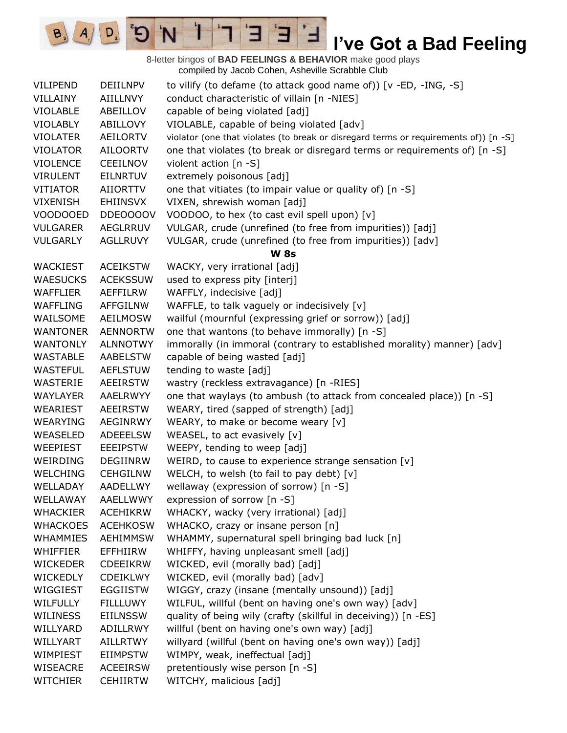8-letter bingos of **BAD FEELINGS & BEHAVIOR** make good plays compiled by Jacob Cohen, Asheville Scrabble Club VILIPEND DEIILNPV to vilify (to defame (to attack good name of)) [v -ED, -ING, -S] VILLAINY AIILLNVY conduct characteristic of villain [n -NIES] VIOLABLE ABEILLOV capable of being violated [adj] VIOLABLY ABILLOVY VIOLABLE, capable of being violated [adv] VIOLATER AEILORTV violator (one that violates (to break or disregard terms or requirements of)) [n -S] VIOLATOR AILOORTV one that violates (to break or disregard terms or requirements of) [n -S] VIOLENCE CEEILNOV violent action [n -S] VIRULENT EILNRTUV extremely poisonous [adj] VITIATOR AIIORTTV one that vitiates (to impair value or quality of) [n -S] VIXENISH EHIINSVX VIXEN, shrewish woman [adj] VOODOOED DDEOOOOV VOODOO, to hex (to cast evil spell upon) [v] VULGARER AEGLRRUV VULGAR, crude (unrefined (to free from impurities)) [adj] VULGARLY AGLLRUVY VULGAR, crude (unrefined (to free from impurities)) [adv] **W 8s** WACKIEST ACEIKSTW WACKY, very irrational [adj] WAESUCKS ACEKSSUW used to express pity [interj] WAFFLIER AEFFILRW WAFFLY, indecisive [adj] WAFFLING AFFGILNW WAFFLE, to talk vaguely or indecisively [v] WAILSOME AEILMOSW wailful (mournful (expressing grief or sorrow)) [adj] WANTONER AENNORTW one that wantons (to behave immorally) [n -S] WANTONLY ALNNOTWY immorally (in immoral (contrary to established morality) manner) [adv] WASTABLE AABELSTW capable of being wasted [adj] WASTEFUL AEFLSTUW tending to waste [adj] WASTERIE AEEIRSTW wastry (reckless extravagance) [n -RIES] WAYLAYER AAELRWYY one that waylays (to ambush (to attack from concealed place)) [n -S] WEARIEST AEEIRSTW WEARY, tired (sapped of strength) [adj] WEARYING AEGINRWY WEARY, to make or become weary [v] WEASELED ADEEELSW WEASEL, to act evasively [v] WEEPIEST EEEIPSTW WEEPY, tending to weep [adj] WEIRDING DEGIINRW WEIRD, to cause to experience strange sensation [v] WELCHING CEHGILNW WELCH, to welsh (to fail to pay debt) [v] WELLADAY AADELLWY wellaway (expression of sorrow) [n -S] WELLAWAY AAELLWWY expression of sorrow [n -S] WHACKIER ACEHIKRW WHACKY, wacky (very irrational) [adj] WHACKOES ACEHKOSW WHACKO, crazy or insane person [n] WHAMMIES AEHIMMSW WHAMMY, supernatural spell bringing bad luck [n] WHIFFIER EFFHIIRW WHIFFY, having unpleasant smell [adj] WICKEDER CDEEIKRW WICKED, evil (morally bad) [adj] WICKEDLY CDEIKLWY WICKED, evil (morally bad) [adv] WIGGIEST EGGIISTW WIGGY, crazy (insane (mentally unsound)) [adj] WILFULLY FILLLUWY WILFUL, willful (bent on having one's own way) [adv] WILINESS EIILNSSW quality of being wily (crafty (skillful in deceiving)) [n -ES] WILLYARD ADILLRWY willful (bent on having one's own way) [adj] WILLYART AILLRTWY willyard (willful (bent on having one's own way)) [adj] WIMPIEST EIIMPSTW WIMPY, weak, ineffectual [adj] WISEACRE ACEEIRSW pretentiously wise person [n -S] WITCHIER CEHIIRTW WITCHY, malicious [adj]

E

 $A/\sqrt{D}$  5